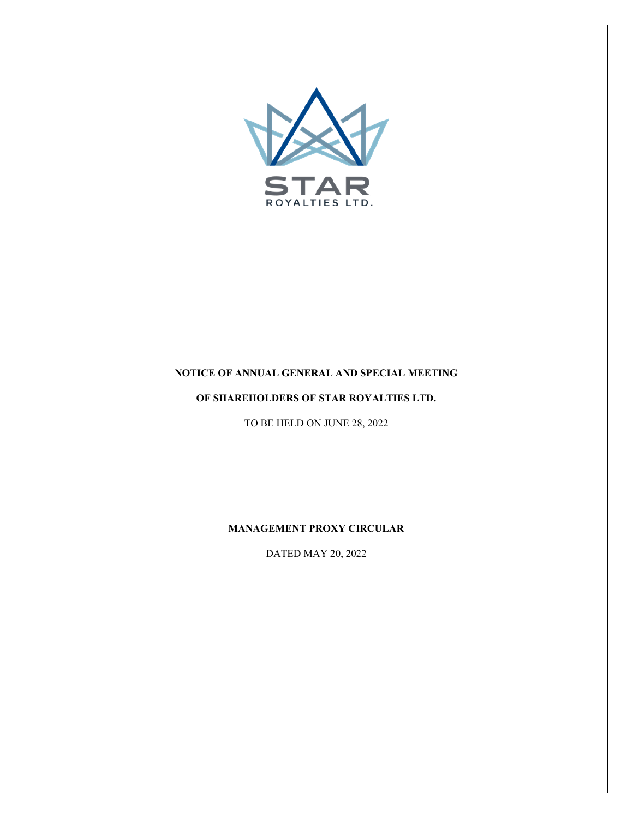

# **NOTICE OF ANNUAL GENERAL AND SPECIAL MEETING**

# **OF SHAREHOLDERS OF STAR ROYALTIES LTD.**

TO BE HELD ON JUNE 28, 2022

**MANAGEMENT PROXY CIRCULAR**

DATED MAY 20, 2022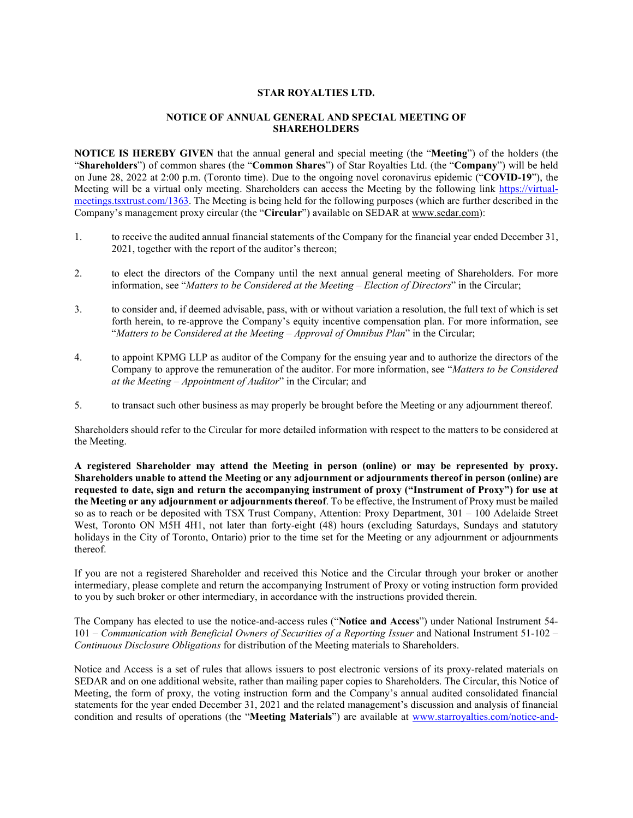## **STAR ROYALTIES LTD.**

## **NOTICE OF ANNUAL GENERAL AND SPECIAL MEETING OF SHAREHOLDERS**

**NOTICE IS HEREBY GIVEN** that the annual general and special meeting (the "**Meeting**") of the holders (the "**Shareholders**") of common shares (the "**Common Shares**") of Star Royalties Ltd. (the "**Company**") will be held on June 28, 2022 at 2:00 p.m. (Toronto time). Due to the ongoing novel coronavirus epidemic ("**COVID-19**"), the Meeting will be a virtual only meeting. Shareholders can access the Meeting by the following link [https://virtual](https://virtual-meetings.tsxtrust.com/1363)[meetings.tsxtrust.com/1363.](https://virtual-meetings.tsxtrust.com/1363) The Meeting is being held for the following purposes (which are further described in the Company's management proxy circular (the "**Circular**") available on SEDAR at www.sedar.com):

- 1. to receive the audited annual financial statements of the Company for the financial year ended December 31, 2021, together with the report of the auditor's thereon;
- 2. to elect the directors of the Company until the next annual general meeting of Shareholders. For more information, see "*Matters to be Considered at the Meeting – Election of Directors*" in the Circular;
- 3. to consider and, if deemed advisable, pass, with or without variation a resolution, the full text of which is set forth herein, to re-approve the Company's equity incentive compensation plan. For more information, see "*Matters to be Considered at the Meeting – Approval of Omnibus Plan*" in the Circular;
- 4. to appoint KPMG LLP as auditor of the Company for the ensuing year and to authorize the directors of the Company to approve the remuneration of the auditor. For more information, see "*Matters to be Considered at the Meeting – Appointment of Auditor*" in the Circular; and
- 5. to transact such other business as may properly be brought before the Meeting or any adjournment thereof.

Shareholders should refer to the Circular for more detailed information with respect to the matters to be considered at the Meeting.

**A registered Shareholder may attend the Meeting in person (online) or may be represented by proxy. Shareholders unable to attend the Meeting or any adjournment or adjournments thereof in person (online) are requested to date, sign and return the accompanying instrument of proxy ("Instrument of Proxy") for use at the Meeting or any adjournment or adjournments thereof**. To be effective, the Instrument of Proxy must be mailed so as to reach or be deposited with TSX Trust Company, Attention: Proxy Department, 301 – 100 Adelaide Street West, Toronto ON M5H 4H1, not later than forty-eight (48) hours (excluding Saturdays, Sundays and statutory holidays in the City of Toronto, Ontario) prior to the time set for the Meeting or any adjournment or adjournments thereof.

If you are not a registered Shareholder and received this Notice and the Circular through your broker or another intermediary, please complete and return the accompanying Instrument of Proxy or voting instruction form provided to you by such broker or other intermediary, in accordance with the instructions provided therein.

The Company has elected to use the notice-and-access rules ("**Notice and Access**") under National Instrument 54- 101 – *Communication with Beneficial Owners of Securities of a Reporting Issuer* and National Instrument 51-102 – *Continuous Disclosure Obligations* for distribution of the Meeting materials to Shareholders.

Notice and Access is a set of rules that allows issuers to post electronic versions of its proxy-related materials on SEDAR and on one additional website, rather than mailing paper copies to Shareholders. The Circular, this Notice of Meeting, the form of proxy, the voting instruction form and the Company's annual audited consolidated financial statements for the year ended December 31, 2021 and the related management's discussion and analysis of financial condition and results of operations (the "**Meeting Materials**") are available at [www.starroyalties.com/notice-and-](http://www.starroyalties.com/notice-and-access/)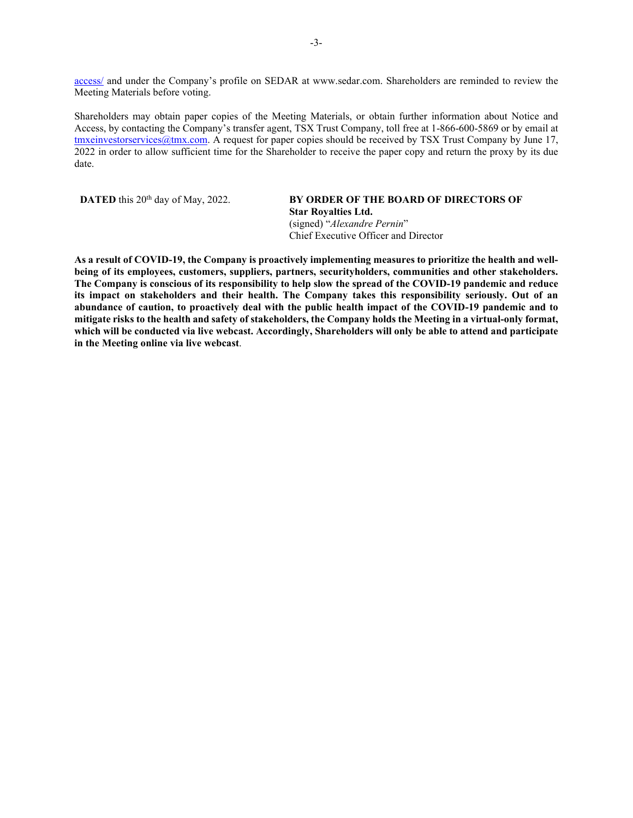[access/](http://www.starroyalties.com/notice-and-access/) and under the Company's profile on SEDAR at www.sedar.com. Shareholders are reminded to review the Meeting Materials before voting.

Shareholders may obtain paper copies of the Meeting Materials, or obtain further information about Notice and Access, by contacting the Company's transfer agent, TSX Trust Company, toll free at 1-866-600-5869 or by email at [tmxeinvestorservices@tmx.com.](mailto:tmxeinvestorservices@tmx.com) A request for paper copies should be received by TSX Trust Company by June 17, 2022 in order to allow sufficient time for the Shareholder to receive the paper copy and return the proxy by its due date.

# **DATED** this 20<sup>th</sup> day of May, 2022. **BY ORDER OF THE BOARD OF DIRECTORS OF**

**Star Royalties Ltd.** (signed) "*Alexandre Pernin*" Chief Executive Officer and Director

**As a result of COVID-19, the Company is proactively implementing measures to prioritize the health and wellbeing of its employees, customers, suppliers, partners, securityholders, communities and other stakeholders. The Company is conscious of its responsibility to help slow the spread of the COVID-19 pandemic and reduce its impact on stakeholders and their health. The Company takes this responsibility seriously. Out of an abundance of caution, to proactively deal with the public health impact of the COVID-19 pandemic and to mitigate risks to the health and safety of stakeholders, the Company holds the Meeting in a virtual-only format, which will be conducted via live webcast. Accordingly, Shareholders will only be able to attend and participate in the Meeting online via live webcast**.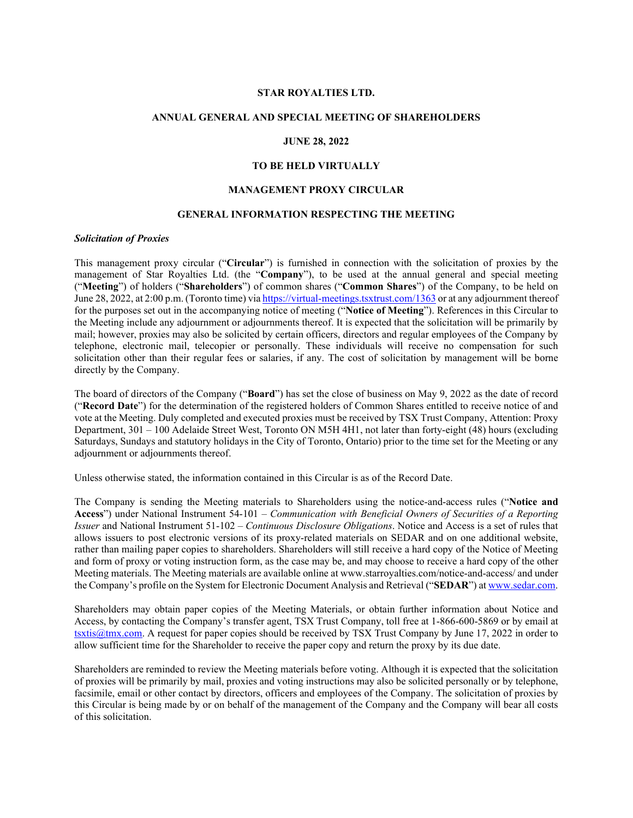#### **STAR ROYALTIES LTD.**

#### **ANNUAL GENERAL AND SPECIAL MEETING OF SHAREHOLDERS**

# **JUNE 28, 2022**

# **TO BE HELD VIRTUALLY**

## **MANAGEMENT PROXY CIRCULAR**

#### **GENERAL INFORMATION RESPECTING THE MEETING**

## *Solicitation of Proxies*

This management proxy circular ("**Circular**") is furnished in connection with the solicitation of proxies by the management of Star Royalties Ltd. (the "**Company**"), to be used at the annual general and special meeting ("**Meeting**") of holders ("**Shareholders**") of common shares ("**Common Shares**") of the Company, to be held on June 28, 2022, at 2:00 p.m. (Toronto time) via <https://virtual-meetings.tsxtrust.com/1363> or at any adjournment thereof for the purposes set out in the accompanying notice of meeting ("**Notice of Meeting**"). References in this Circular to the Meeting include any adjournment or adjournments thereof. It is expected that the solicitation will be primarily by mail; however, proxies may also be solicited by certain officers, directors and regular employees of the Company by telephone, electronic mail, telecopier or personally. These individuals will receive no compensation for such solicitation other than their regular fees or salaries, if any. The cost of solicitation by management will be borne directly by the Company.

The board of directors of the Company ("**Board**") has set the close of business on May 9, 2022 as the date of record ("**Record Date**") for the determination of the registered holders of Common Shares entitled to receive notice of and vote at the Meeting. Duly completed and executed proxies must be received by TSX Trust Company, Attention: Proxy Department, 301 – 100 Adelaide Street West, Toronto ON M5H 4H1, not later than forty-eight (48) hours (excluding Saturdays, Sundays and statutory holidays in the City of Toronto, Ontario) prior to the time set for the Meeting or any adjournment or adjournments thereof.

Unless otherwise stated, the information contained in this Circular is as of the Record Date.

The Company is sending the Meeting materials to Shareholders using the notice-and-access rules ("**Notice and Access**") under National Instrument 54-101 – *Communication with Beneficial Owners of Securities of a Reporting Issuer* and National Instrument 51-102 – *Continuous Disclosure Obligations*. Notice and Access is a set of rules that allows issuers to post electronic versions of its proxy-related materials on SEDAR and on one additional website, rather than mailing paper copies to shareholders. Shareholders will still receive a hard copy of the Notice of Meeting and form of proxy or voting instruction form, as the case may be, and may choose to receive a hard copy of the other Meeting materials. The Meeting materials are available online at www.starroyalties.com/notice-and-access/ and under the Company's profile on the System for Electronic Document Analysis and Retrieval ("**SEDAR**") a[t www.sedar.com.](http://www.sedar.com/) 

Shareholders may obtain paper copies of the Meeting Materials, or obtain further information about Notice and Access, by contacting the Company's transfer agent, TSX Trust Company, toll free at 1-866-600-5869 or by email at tsxtis@tmx.com. A request for paper copies should be received by TSX Trust Company by June 17, 2022 in order to allow sufficient time for the Shareholder to receive the paper copy and return the proxy by its due date.

Shareholders are reminded to review the Meeting materials before voting. Although it is expected that the solicitation of proxies will be primarily by mail, proxies and voting instructions may also be solicited personally or by telephone, facsimile, email or other contact by directors, officers and employees of the Company. The solicitation of proxies by this Circular is being made by or on behalf of the management of the Company and the Company will bear all costs of this solicitation.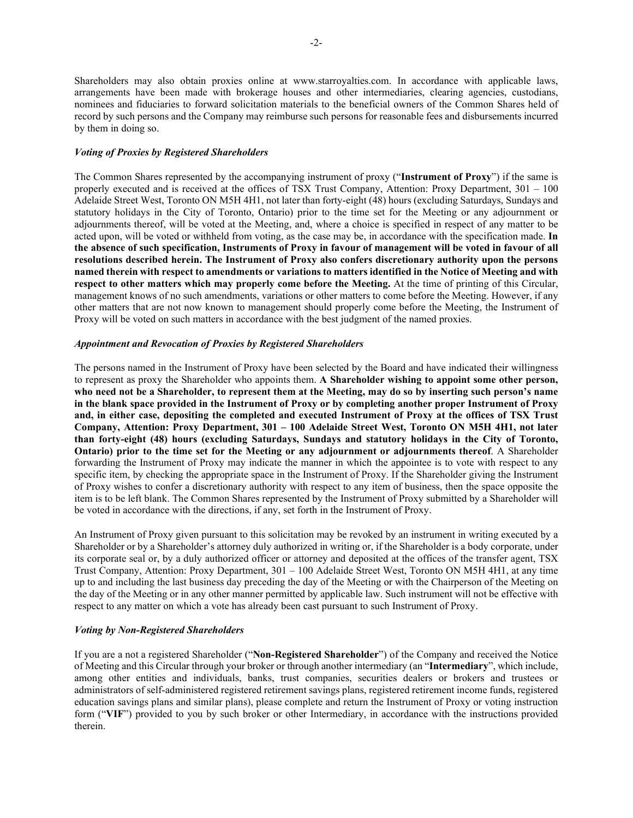Shareholders may also obtain proxies online at www.starroyalties.com. In accordance with applicable laws, arrangements have been made with brokerage houses and other intermediaries, clearing agencies, custodians, nominees and fiduciaries to forward solicitation materials to the beneficial owners of the Common Shares held of record by such persons and the Company may reimburse such persons for reasonable fees and disbursements incurred by them in doing so.

# *Voting of Proxies by Registered Shareholders*

The Common Shares represented by the accompanying instrument of proxy ("**Instrument of Proxy**") if the same is properly executed and is received at the offices of TSX Trust Company, Attention: Proxy Department, 301 – 100 Adelaide Street West, Toronto ON M5H 4H1, not later than forty-eight (48) hours (excluding Saturdays, Sundays and statutory holidays in the City of Toronto, Ontario) prior to the time set for the Meeting or any adjournment or adjournments thereof, will be voted at the Meeting, and, where a choice is specified in respect of any matter to be acted upon, will be voted or withheld from voting, as the case may be, in accordance with the specification made. **In the absence of such specification, Instruments of Proxy in favour of management will be voted in favour of all resolutions described herein. The Instrument of Proxy also confers discretionary authority upon the persons named therein with respect to amendments or variations to matters identified in the Notice of Meeting and with respect to other matters which may properly come before the Meeting.** At the time of printing of this Circular, management knows of no such amendments, variations or other matters to come before the Meeting. However, if any other matters that are not now known to management should properly come before the Meeting, the Instrument of Proxy will be voted on such matters in accordance with the best judgment of the named proxies.

# *Appointment and Revocation of Proxies by Registered Shareholders*

The persons named in the Instrument of Proxy have been selected by the Board and have indicated their willingness to represent as proxy the Shareholder who appoints them. **A Shareholder wishing to appoint some other person, who need not be a Shareholder, to represent them at the Meeting, may do so by inserting such person's name in the blank space provided in the Instrument of Proxy or by completing another proper Instrument of Proxy and, in either case, depositing the completed and executed Instrument of Proxy at the offices of TSX Trust Company, Attention: Proxy Department, 301 – 100 Adelaide Street West, Toronto ON M5H 4H1, not later than forty-eight (48) hours (excluding Saturdays, Sundays and statutory holidays in the City of Toronto, Ontario) prior to the time set for the Meeting or any adjournment or adjournments thereof**. A Shareholder forwarding the Instrument of Proxy may indicate the manner in which the appointee is to vote with respect to any specific item, by checking the appropriate space in the Instrument of Proxy. If the Shareholder giving the Instrument of Proxy wishes to confer a discretionary authority with respect to any item of business, then the space opposite the item is to be left blank. The Common Shares represented by the Instrument of Proxy submitted by a Shareholder will be voted in accordance with the directions, if any, set forth in the Instrument of Proxy.

An Instrument of Proxy given pursuant to this solicitation may be revoked by an instrument in writing executed by a Shareholder or by a Shareholder's attorney duly authorized in writing or, if the Shareholder is a body corporate, under its corporate seal or, by a duly authorized officer or attorney and deposited at the offices of the transfer agent, TSX Trust Company, Attention: Proxy Department, 301 – 100 Adelaide Street West, Toronto ON M5H 4H1, at any time up to and including the last business day preceding the day of the Meeting or with the Chairperson of the Meeting on the day of the Meeting or in any other manner permitted by applicable law. Such instrument will not be effective with respect to any matter on which a vote has already been cast pursuant to such Instrument of Proxy.

# *Voting by Non-Registered Shareholders*

If you are a not a registered Shareholder ("**Non-Registered Shareholder**") of the Company and received the Notice of Meeting and this Circular through your broker or through another intermediary (an "**Intermediary**", which include, among other entities and individuals, banks, trust companies, securities dealers or brokers and trustees or administrators of self-administered registered retirement savings plans, registered retirement income funds, registered education savings plans and similar plans), please complete and return the Instrument of Proxy or voting instruction form ("**VIF**") provided to you by such broker or other Intermediary, in accordance with the instructions provided therein.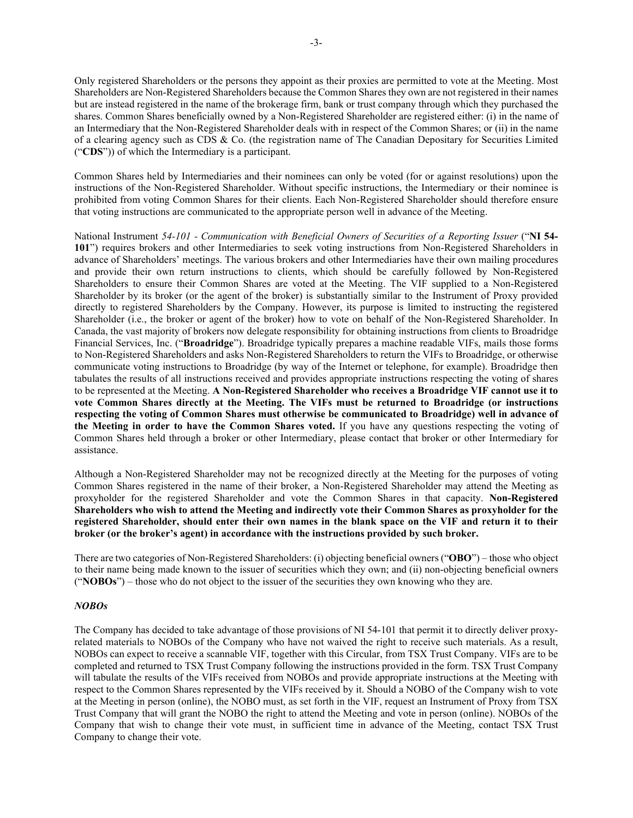Only registered Shareholders or the persons they appoint as their proxies are permitted to vote at the Meeting. Most Shareholders are Non-Registered Shareholders because the Common Shares they own are not registered in their names but are instead registered in the name of the brokerage firm, bank or trust company through which they purchased the shares. Common Shares beneficially owned by a Non-Registered Shareholder are registered either: (i) in the name of an Intermediary that the Non-Registered Shareholder deals with in respect of the Common Shares; or (ii) in the name of a clearing agency such as CDS & Co. (the registration name of The Canadian Depositary for Securities Limited ("**CDS**")) of which the Intermediary is a participant.

Common Shares held by Intermediaries and their nominees can only be voted (for or against resolutions) upon the instructions of the Non-Registered Shareholder. Without specific instructions, the Intermediary or their nominee is prohibited from voting Common Shares for their clients. Each Non-Registered Shareholder should therefore ensure that voting instructions are communicated to the appropriate person well in advance of the Meeting.

National Instrument *54-101 - Communication with Beneficial Owners of Securities of a Reporting Issuer* ("**NI 54- 101**") requires brokers and other Intermediaries to seek voting instructions from Non-Registered Shareholders in advance of Shareholders' meetings. The various brokers and other Intermediaries have their own mailing procedures and provide their own return instructions to clients, which should be carefully followed by Non-Registered Shareholders to ensure their Common Shares are voted at the Meeting. The VIF supplied to a Non-Registered Shareholder by its broker (or the agent of the broker) is substantially similar to the Instrument of Proxy provided directly to registered Shareholders by the Company. However, its purpose is limited to instructing the registered Shareholder (i.e., the broker or agent of the broker) how to vote on behalf of the Non-Registered Shareholder. In Canada, the vast majority of brokers now delegate responsibility for obtaining instructions from clients to Broadridge Financial Services, Inc. ("**Broadridge**"). Broadridge typically prepares a machine readable VIFs, mails those forms to Non-Registered Shareholders and asks Non-Registered Shareholders to return the VIFs to Broadridge, or otherwise communicate voting instructions to Broadridge (by way of the Internet or telephone, for example). Broadridge then tabulates the results of all instructions received and provides appropriate instructions respecting the voting of shares to be represented at the Meeting. **A Non-Registered Shareholder who receives a Broadridge VIF cannot use it to vote Common Shares directly at the Meeting. The VIFs must be returned to Broadridge (or instructions respecting the voting of Common Shares must otherwise be communicated to Broadridge) well in advance of the Meeting in order to have the Common Shares voted.** If you have any questions respecting the voting of Common Shares held through a broker or other Intermediary, please contact that broker or other Intermediary for assistance.

Although a Non-Registered Shareholder may not be recognized directly at the Meeting for the purposes of voting Common Shares registered in the name of their broker, a Non-Registered Shareholder may attend the Meeting as proxyholder for the registered Shareholder and vote the Common Shares in that capacity. **Non-Registered Shareholders who wish to attend the Meeting and indirectly vote their Common Shares as proxyholder for the registered Shareholder, should enter their own names in the blank space on the VIF and return it to their broker (or the broker's agent) in accordance with the instructions provided by such broker.**

There are two categories of Non-Registered Shareholders: (i) objecting beneficial owners ("**OBO**") – those who object to their name being made known to the issuer of securities which they own; and (ii) non-objecting beneficial owners ("**NOBOs**") – those who do not object to the issuer of the securities they own knowing who they are.

## *NOBOs*

The Company has decided to take advantage of those provisions of NI 54-101 that permit it to directly deliver proxyrelated materials to NOBOs of the Company who have not waived the right to receive such materials. As a result, NOBOs can expect to receive a scannable VIF, together with this Circular, from TSX Trust Company. VIFs are to be completed and returned to TSX Trust Company following the instructions provided in the form. TSX Trust Company will tabulate the results of the VIFs received from NOBOs and provide appropriate instructions at the Meeting with respect to the Common Shares represented by the VIFs received by it. Should a NOBO of the Company wish to vote at the Meeting in person (online), the NOBO must, as set forth in the VIF, request an Instrument of Proxy from TSX Trust Company that will grant the NOBO the right to attend the Meeting and vote in person (online). NOBOs of the Company that wish to change their vote must, in sufficient time in advance of the Meeting, contact TSX Trust Company to change their vote.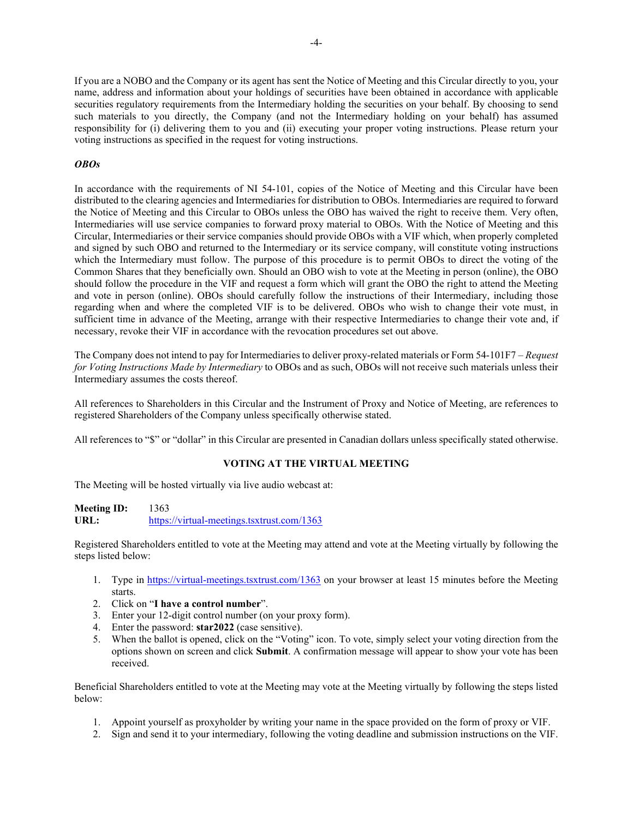If you are a NOBO and the Company or its agent has sent the Notice of Meeting and this Circular directly to you, your name, address and information about your holdings of securities have been obtained in accordance with applicable securities regulatory requirements from the Intermediary holding the securities on your behalf. By choosing to send such materials to you directly, the Company (and not the Intermediary holding on your behalf) has assumed responsibility for (i) delivering them to you and (ii) executing your proper voting instructions. Please return your voting instructions as specified in the request for voting instructions.

# *OBOs*

In accordance with the requirements of NI 54-101, copies of the Notice of Meeting and this Circular have been distributed to the clearing agencies and Intermediaries for distribution to OBOs. Intermediaries are required to forward the Notice of Meeting and this Circular to OBOs unless the OBO has waived the right to receive them. Very often, Intermediaries will use service companies to forward proxy material to OBOs. With the Notice of Meeting and this Circular, Intermediaries or their service companies should provide OBOs with a VIF which, when properly completed and signed by such OBO and returned to the Intermediary or its service company, will constitute voting instructions which the Intermediary must follow. The purpose of this procedure is to permit OBOs to direct the voting of the Common Shares that they beneficially own. Should an OBO wish to vote at the Meeting in person (online), the OBO should follow the procedure in the VIF and request a form which will grant the OBO the right to attend the Meeting and vote in person (online). OBOs should carefully follow the instructions of their Intermediary, including those regarding when and where the completed VIF is to be delivered. OBOs who wish to change their vote must, in sufficient time in advance of the Meeting, arrange with their respective Intermediaries to change their vote and, if necessary, revoke their VIF in accordance with the revocation procedures set out above.

The Company does not intend to pay for Intermediaries to deliver proxy-related materials or Form 54-101F7 – *Request for Voting Instructions Made by Intermediary* to OBOs and as such, OBOs will not receive such materials unless their Intermediary assumes the costs thereof.

All references to Shareholders in this Circular and the Instrument of Proxy and Notice of Meeting, are references to registered Shareholders of the Company unless specifically otherwise stated.

All references to "\$" or "dollar" in this Circular are presented in Canadian dollars unless specifically stated otherwise.

# **VOTING AT THE VIRTUAL MEETING**

The Meeting will be hosted virtually via live audio webcast at:

**Meeting ID:** 1363 URL: https://virtual-meetings.tsxtrust.com/1363

Registered Shareholders entitled to vote at the Meeting may attend and vote at the Meeting virtually by following the steps listed below:

- 1. Type in <https://virtual-meetings.tsxtrust.com/1363> on your browser at least 15 minutes before the Meeting starts.
- 2. Click on "**I have a control number**".
- 3. Enter your 12-digit control number (on your proxy form).
- 4. Enter the password: **star2022** (case sensitive).
- 5. When the ballot is opened, click on the "Voting" icon. To vote, simply select your voting direction from the options shown on screen and click **Submit**. A confirmation message will appear to show your vote has been received.

Beneficial Shareholders entitled to vote at the Meeting may vote at the Meeting virtually by following the steps listed below:

- 1. Appoint yourself as proxyholder by writing your name in the space provided on the form of proxy or VIF.
- 2. Sign and send it to your intermediary, following the voting deadline and submission instructions on the VIF.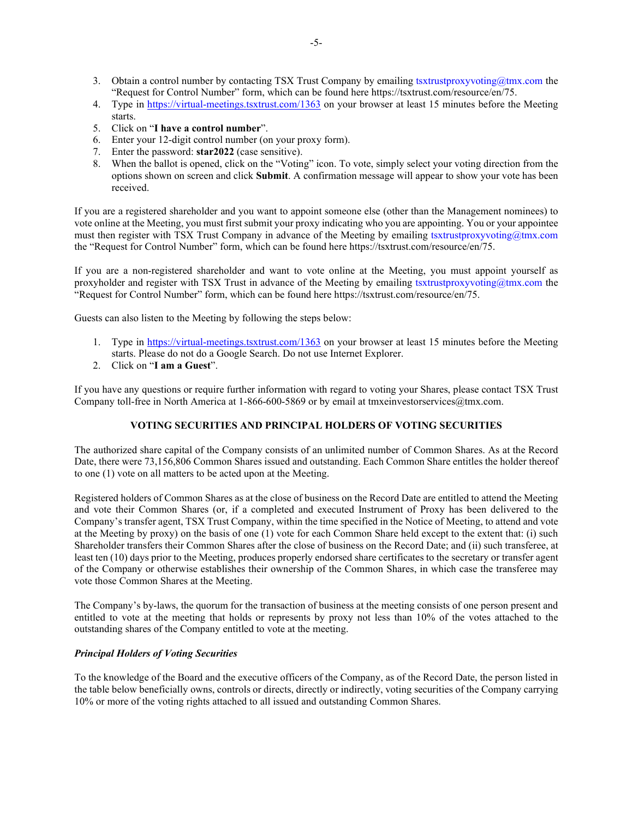- 3. Obtain a control number by contacting TSX Trust Company by emailing tsxtrustproxyvoting@tmx.com the "Request for Control Number" form, which can be found here https://tsxtrust.com/resource/en/75.
- 4. Type in <https://virtual-meetings.tsxtrust.com/1363> on your browser at least 15 minutes before the Meeting starts.
- 5. Click on "**I have a control number**".
- 6. Enter your 12-digit control number (on your proxy form).
- 7. Enter the password: **star2022** (case sensitive).
- 8. When the ballot is opened, click on the "Voting" icon. To vote, simply select your voting direction from the options shown on screen and click **Submit**. A confirmation message will appear to show your vote has been received.

If you are a registered shareholder and you want to appoint someone else (other than the Management nominees) to vote online at the Meeting, you must first submit your proxy indicating who you are appointing. You or your appointee must then register with TSX Trust Company in advance of the Meeting by emailing tsxtrustproxyvoting@tmx.com the "Request for Control Number" form, which can be found here https://tsxtrust.com/resource/en/75.

If you are a non-registered shareholder and want to vote online at the Meeting, you must appoint yourself as proxyholder and register with TSX Trust in advance of the Meeting by emailing tsxtrustproxyvoting@tmx.com the "Request for Control Number" form, which can be found here https://tsxtrust.com/resource/en/75.

Guests can also listen to the Meeting by following the steps below:

- 1. Type in <https://virtual-meetings.tsxtrust.com/1363> on your browser at least 15 minutes before the Meeting starts. Please do not do a Google Search. Do not use Internet Explorer.
- 2. Click on "**I am a Guest**".

If you have any questions or require further information with regard to voting your Shares, please contact TSX Trust Company toll-free in North America at 1-866-600-5869 or by email at tmxeinvestorservices@tmx.com.

# **VOTING SECURITIES AND PRINCIPAL HOLDERS OF VOTING SECURITIES**

The authorized share capital of the Company consists of an unlimited number of Common Shares. As at the Record Date, there were 73,156,806 Common Shares issued and outstanding. Each Common Share entitles the holder thereof to one (1) vote on all matters to be acted upon at the Meeting.

Registered holders of Common Shares as at the close of business on the Record Date are entitled to attend the Meeting and vote their Common Shares (or, if a completed and executed Instrument of Proxy has been delivered to the Company's transfer agent, TSX Trust Company, within the time specified in the Notice of Meeting, to attend and vote at the Meeting by proxy) on the basis of one (1) vote for each Common Share held except to the extent that: (i) such Shareholder transfers their Common Shares after the close of business on the Record Date; and (ii) such transferee, at least ten (10) days prior to the Meeting, produces properly endorsed share certificates to the secretary or transfer agent of the Company or otherwise establishes their ownership of the Common Shares, in which case the transferee may vote those Common Shares at the Meeting.

The Company's by-laws, the quorum for the transaction of business at the meeting consists of one person present and entitled to vote at the meeting that holds or represents by proxy not less than 10% of the votes attached to the outstanding shares of the Company entitled to vote at the meeting.

# *Principal Holders of Voting Securities*

To the knowledge of the Board and the executive officers of the Company, as of the Record Date, the person listed in the table below beneficially owns, controls or directs, directly or indirectly, voting securities of the Company carrying 10% or more of the voting rights attached to all issued and outstanding Common Shares.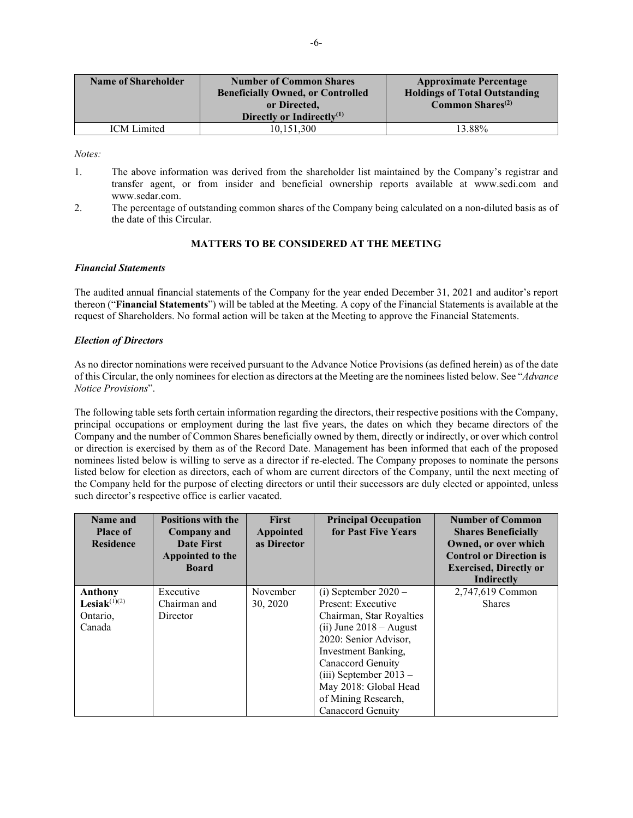| <b>Name of Shareholder</b> | <b>Number of Common Shares</b><br><b>Beneficially Owned, or Controlled</b><br>or Directed.<br>Directly or Indirectly $^{(1)}$ | <b>Approximate Percentage</b><br><b>Holdings of Total Outstanding</b><br><b>Common Shares</b> <sup>(2)</sup> |
|----------------------------|-------------------------------------------------------------------------------------------------------------------------------|--------------------------------------------------------------------------------------------------------------|
| <b>ICM</b> Limited         | 10.151.300                                                                                                                    | 13.88%                                                                                                       |

*Notes:*

- 1. The above information was derived from the shareholder list maintained by the Company's registrar and transfer agent, or from insider and beneficial ownership reports available at www.sedi.com and [www.sedar.com.](http://www.sedar.com/)
- 2. The percentage of outstanding common shares of the Company being calculated on a non-diluted basis as of the date of this Circular.

# **MATTERS TO BE CONSIDERED AT THE MEETING**

# *Financial Statements*

The audited annual financial statements of the Company for the year ended December 31, 2021 and auditor's report thereon ("**Financial Statements**") will be tabled at the Meeting. A copy of the Financial Statements is available at the request of Shareholders. No formal action will be taken at the Meeting to approve the Financial Statements.

# <span id="page-8-0"></span>*Election of Directors*

As no director nominations were received pursuant to the Advance Notice Provisions (as defined herein) as of the date of this Circular, the only nominees for election as directors at the Meeting are the nominees listed below. See "*[Advance](#page-28-0)  [Notice Provisions](#page-28-0)*".

The following table sets forth certain information regarding the directors, their respective positions with the Company, principal occupations or employment during the last five years, the dates on which they became directors of the Company and the number of Common Shares beneficially owned by them, directly or indirectly, or over which control or direction is exercised by them as of the Record Date. Management has been informed that each of the proposed nominees listed below is willing to serve as a director if re-elected. The Company proposes to nominate the persons listed below for election as directors, each of whom are current directors of the Company, until the next meeting of the Company held for the purpose of electing directors or until their successors are duly elected or appointed, unless such director's respective office is earlier vacated.

| Name and<br><b>Place of</b><br><b>Residence</b> | <b>Positions with the</b><br>Company and<br>Date First<br>Appointed to the<br><b>Board</b> | <b>First</b><br>Appointed<br>as Director | <b>Principal Occupation</b><br>for Past Five Years | <b>Number of Common</b><br><b>Shares Beneficially</b><br>Owned, or over which<br><b>Control or Direction is</b><br><b>Exercised, Directly or</b><br>Indirectly |
|-------------------------------------------------|--------------------------------------------------------------------------------------------|------------------------------------------|----------------------------------------------------|----------------------------------------------------------------------------------------------------------------------------------------------------------------|
| Anthony                                         | Executive                                                                                  | November                                 | (i) September $2020 -$                             | 2,747,619 Common                                                                                                                                               |
| Lesiak $(1)(2)$                                 | Chairman and                                                                               | 30, 2020                                 | Present: Executive                                 | <b>Shares</b>                                                                                                                                                  |
| Ontario,                                        | Director                                                                                   |                                          | Chairman, Star Royalties                           |                                                                                                                                                                |
| Canada                                          |                                                                                            |                                          | $(ii)$ June 2018 – August                          |                                                                                                                                                                |
|                                                 |                                                                                            |                                          | 2020: Senior Advisor,                              |                                                                                                                                                                |
|                                                 |                                                                                            |                                          | Investment Banking,                                |                                                                                                                                                                |
|                                                 |                                                                                            |                                          | Canaccord Genuity                                  |                                                                                                                                                                |
|                                                 |                                                                                            |                                          | $(iii)$ September 2013 –                           |                                                                                                                                                                |
|                                                 |                                                                                            |                                          | May 2018: Global Head                              |                                                                                                                                                                |
|                                                 |                                                                                            |                                          | of Mining Research,                                |                                                                                                                                                                |
|                                                 |                                                                                            |                                          | Canaccord Genuity                                  |                                                                                                                                                                |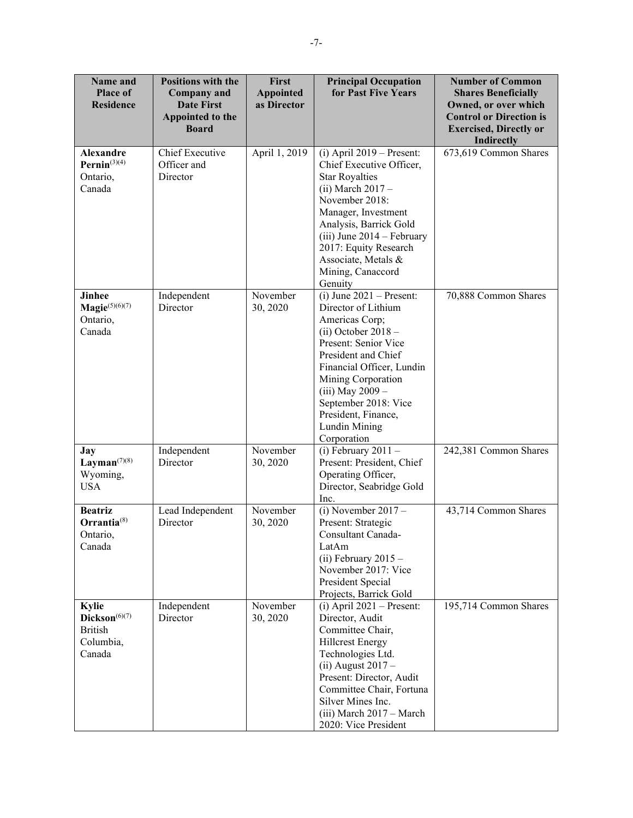| Name and<br><b>Place of</b><br><b>Residence</b>                               | <b>Positions with the</b><br><b>Company</b> and<br><b>Date First</b><br>Appointed to the<br><b>Board</b> | First<br><b>Principal Occupation</b><br>for Past Five Years<br><b>Appointed</b><br>as Director |                                                                                                                                                                                                                                                                                                   | <b>Number of Common</b><br><b>Shares Beneficially</b><br>Owned, or over which<br><b>Control or Direction is</b><br><b>Exercised, Directly or</b><br><b>Indirectly</b> |
|-------------------------------------------------------------------------------|----------------------------------------------------------------------------------------------------------|------------------------------------------------------------------------------------------------|---------------------------------------------------------------------------------------------------------------------------------------------------------------------------------------------------------------------------------------------------------------------------------------------------|-----------------------------------------------------------------------------------------------------------------------------------------------------------------------|
| <b>Alexandre</b><br>Pernin $(3)(4)$<br>Ontario,<br>Canada                     | <b>Chief Executive</b><br>Officer and<br>Director                                                        | April 1, 2019                                                                                  | $(i)$ April 2019 – Present:<br>Chief Executive Officer,<br><b>Star Royalties</b><br>$(ii) March 2017 -$<br>November 2018:<br>Manager, Investment<br>Analysis, Barrick Gold<br>$(iii)$ June 2014 – February<br>2017: Equity Research<br>Associate, Metals &<br>Mining, Canaccord<br>Genuity        | 673,619 Common Shares                                                                                                                                                 |
| <b>Jinhee</b><br>Magie $(5)(6)(7)$<br>Ontario,<br>Canada                      | Independent<br>Director                                                                                  | November<br>30, 2020                                                                           | $(i)$ June 2021 – Present:<br>Director of Lithium<br>Americas Corp;<br>$(ii) October 2018 -$<br>Present: Senior Vice<br>President and Chief<br>Financial Officer, Lundin<br>Mining Corporation<br>(iii) May 2009 -<br>September 2018: Vice<br>President, Finance,<br>Lundin Mining<br>Corporation | 70,888 Common Shares                                                                                                                                                  |
| <b>Jay</b><br>Layman $^{(7)(8)}$<br>Wyoming,<br><b>USA</b>                    | Independent<br>Director                                                                                  | November<br>30, 2020                                                                           | (i) February $2011 -$<br>Present: President, Chief<br>Operating Officer,<br>Director, Seabridge Gold<br>Inc.                                                                                                                                                                                      | 242,381 Common Shares                                                                                                                                                 |
| <b>Beatriz</b><br>$Orrantia^{(8)}$<br>Ontario,<br>Canada                      | Lead Independent<br>Director                                                                             | November<br>30, 2020                                                                           | (i) November $2017 -$<br>Present: Strategic<br>Consultant Canada-<br>LatAm<br>(ii) February $2015 -$<br>November 2017: Vice<br>President Special<br>Projects, Barrick Gold                                                                                                                        | 43,714 Common Shares                                                                                                                                                  |
| Kylie<br>$\mathbf{Dickson}^{(6)(7)}$<br><b>British</b><br>Columbia,<br>Canada | Independent<br>Director                                                                                  | November<br>30, 2020                                                                           | $(i)$ April 2021 – Present:<br>Director, Audit<br>Committee Chair,<br><b>Hillcrest Energy</b><br>Technologies Ltd.<br>$(ii)$ August 2017 -<br>Present: Director, Audit<br>Committee Chair, Fortuna<br>Silver Mines Inc.<br>(iii) March 2017 - March<br>2020: Vice President                       | 195,714 Common Shares                                                                                                                                                 |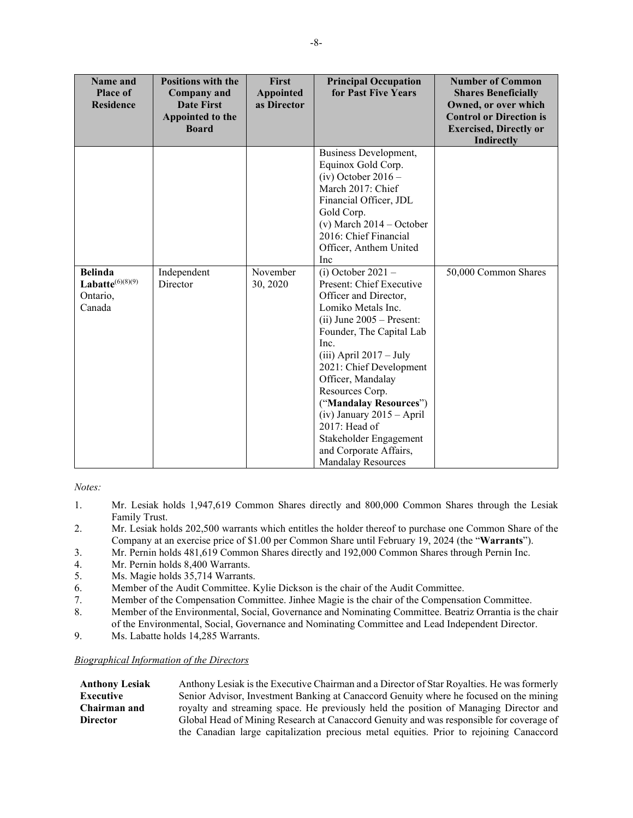| Name and<br><b>Place of</b><br><b>Residence</b>                | <b>Positions with the</b><br><b>Company</b> and<br><b>Date First</b><br>Appointed to the<br><b>Board</b> | First<br><b>Appointed</b><br>as Director | <b>Principal Occupation</b><br>for Past Five Years                                                                                                                                                                                                                                                                                                                                      | <b>Number of Common</b><br><b>Shares Beneficially</b><br>Owned, or over which<br><b>Control or Direction is</b><br><b>Exercised, Directly or</b><br><b>Indirectly</b> |
|----------------------------------------------------------------|----------------------------------------------------------------------------------------------------------|------------------------------------------|-----------------------------------------------------------------------------------------------------------------------------------------------------------------------------------------------------------------------------------------------------------------------------------------------------------------------------------------------------------------------------------------|-----------------------------------------------------------------------------------------------------------------------------------------------------------------------|
| <b>Belinda</b><br>Labatte $^{(6)(8)(9)}$<br>Ontario,<br>Canada | Independent<br>Director                                                                                  | November<br>30, 2020                     | Business Development,<br>Equinox Gold Corp.<br>$(iv)$ October 2016 –<br>March 2017: Chief<br>Financial Officer, JDL<br>Gold Corp.<br>(v) March $2014 - October$<br>2016: Chief Financial<br>Officer, Anthem United<br>Inc<br>(i) October $2021 -$<br>Present: Chief Executive<br>Officer and Director,<br>Lomiko Metals Inc.<br>$(ii)$ June 2005 – Present:<br>Founder, The Capital Lab | 50,000 Common Shares                                                                                                                                                  |
|                                                                |                                                                                                          |                                          | Inc.<br>$(iii)$ April 2017 – July<br>2021: Chief Development<br>Officer, Mandalay<br>Resources Corp.<br>("Mandalay Resources")<br>$(iv)$ January 2015 – April<br>2017: Head of<br>Stakeholder Engagement<br>and Corporate Affairs,<br><b>Mandalay Resources</b>                                                                                                                         |                                                                                                                                                                       |

*Notes:*

- 1. Mr. Lesiak holds 1,947,619 Common Shares directly and 800,000 Common Shares through the Lesiak Family Trust.
- 2. Mr. Lesiak holds 202,500 warrants which entitles the holder thereof to purchase one Common Share of the Company at an exercise price of \$1.00 per Common Share until February 19, 2024 (the "**Warrants**").
- 3. Mr. Pernin holds 481,619 Common Shares directly and 192,000 Common Shares through Pernin Inc.
- 4. Mr. Pernin holds 8,400 Warrants.<br>5. Ms. Magie holds 35,714 Warrants
- Ms. Magie holds 35,714 Warrants.
- 6. Member of the Audit Committee. Kylie Dickson is the chair of the Audit Committee.
- 7. Member of the Compensation Committee. Jinhee Magie is the chair of the Compensation Committee.
- 8. Member of the Environmental, Social, Governance and Nominating Committee. Beatriz Orrantia is the chair of the Environmental, Social, Governance and Nominating Committee and Lead Independent Director.
- <span id="page-10-0"></span>9. Ms. Labatte holds 14,285 Warrants.

#### *Biographical Information of the Directors*

**Anthony Lesiak Executive Chairman and Director** Anthony Lesiak is the Executive Chairman and a Director of Star Royalties. He was formerly Senior Advisor, Investment Banking at Canaccord Genuity where he focused on the mining royalty and streaming space. He previously held the position of Managing Director and Global Head of Mining Research at Canaccord Genuity and was responsible for coverage of the Canadian large capitalization precious metal equities. Prior to rejoining Canaccord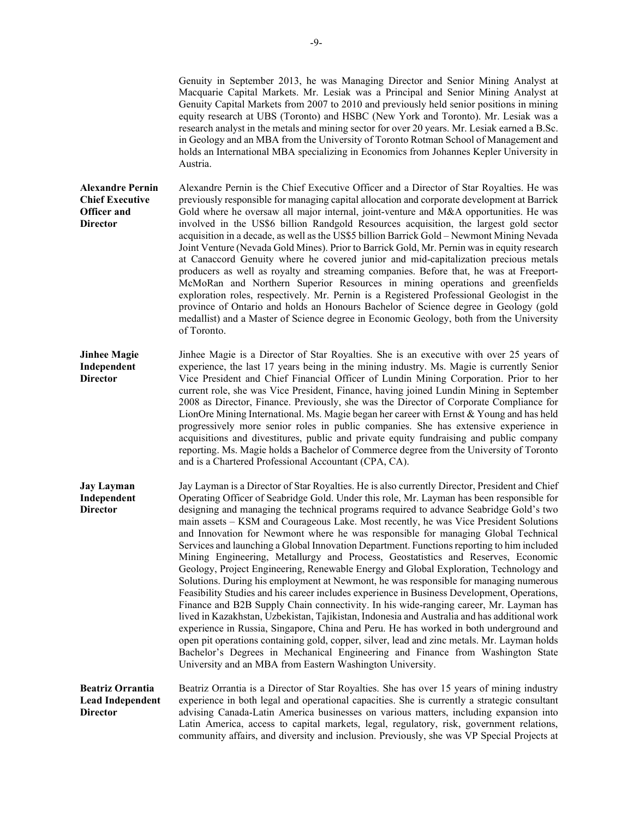Genuity in September 2013, he was Managing Director and Senior Mining Analyst at Macquarie Capital Markets. Mr. Lesiak was a Principal and Senior Mining Analyst at Genuity Capital Markets from 2007 to 2010 and previously held senior positions in mining equity research at UBS (Toronto) and HSBC (New York and Toronto). Mr. Lesiak was a research analyst in the metals and mining sector for over 20 years. Mr. Lesiak earned a B.Sc. in Geology and an MBA from the University of Toronto Rotman School of Management and holds an International MBA specializing in Economics from Johannes Kepler University in Austria.

**Alexandre Pernin Chief Executive Officer and Director** Alexandre Pernin is the Chief Executive Officer and a Director of Star Royalties. He was previously responsible for managing capital allocation and corporate development at Barrick Gold where he oversaw all major internal, joint-venture and M&A opportunities. He was involved in the US\$6 billion Randgold Resources acquisition, the largest gold sector acquisition in a decade, as well as the US\$5 billion Barrick Gold – Newmont Mining Nevada Joint Venture (Nevada Gold Mines). Prior to Barrick Gold, Mr. Pernin was in equity research at Canaccord Genuity where he covered junior and mid-capitalization precious metals producers as well as royalty and streaming companies. Before that, he was at Freeport-McMoRan and Northern Superior Resources in mining operations and greenfields exploration roles, respectively. Mr. Pernin is a Registered Professional Geologist in the province of Ontario and holds an Honours Bachelor of Science degree in Geology (gold medallist) and a Master of Science degree in Economic Geology, both from the University of Toronto.

**Jinhee Magie Independent Director** Jinhee Magie is a Director of Star Royalties. She is an executive with over 25 years of experience, the last 17 years being in the mining industry. Ms. Magie is currently Senior Vice President and Chief Financial Officer of Lundin Mining Corporation. Prior to her current role, she was Vice President, Finance, having joined Lundin Mining in September 2008 as Director, Finance. Previously, she was the Director of Corporate Compliance for LionOre Mining International. Ms. Magie began her career with Ernst & Young and has held progressively more senior roles in public companies. She has extensive experience in acquisitions and divestitures, public and private equity fundraising and public company reporting. Ms. Magie holds a Bachelor of Commerce degree from the University of Toronto and is a Chartered Professional Accountant (CPA, CA).

**Jay Layman Independent Director** Jay Layman is a Director of Star Royalties. He is also currently Director, President and Chief Operating Officer of Seabridge Gold. Under this role, Mr. Layman has been responsible for designing and managing the technical programs required to advance Seabridge Gold's two main assets – KSM and Courageous Lake. Most recently, he was Vice President Solutions and Innovation for Newmont where he was responsible for managing Global Technical Services and launching a Global Innovation Department. Functions reporting to him included Mining Engineering, Metallurgy and Process, Geostatistics and Reserves, Economic Geology, Project Engineering, Renewable Energy and Global Exploration, Technology and Solutions. During his employment at Newmont, he was responsible for managing numerous Feasibility Studies and his career includes experience in Business Development, Operations, Finance and B2B Supply Chain connectivity. In his wide-ranging career, Mr. Layman has lived in Kazakhstan, Uzbekistan, Tajikistan, Indonesia and Australia and has additional work experience in Russia, Singapore, China and Peru. He has worked in both underground and open pit operations containing gold, copper, silver, lead and zinc metals. Mr. Layman holds Bachelor's Degrees in Mechanical Engineering and Finance from Washington State University and an MBA from Eastern Washington University.

**Beatriz Orrantia Lead Independent Director** Beatriz Orrantia is a Director of Star Royalties. She has over 15 years of mining industry experience in both legal and operational capacities. She is currently a strategic consultant advising Canada-Latin America businesses on various matters, including expansion into Latin America, access to capital markets, legal, regulatory, risk, government relations, community affairs, and diversity and inclusion. Previously, she was VP Special Projects at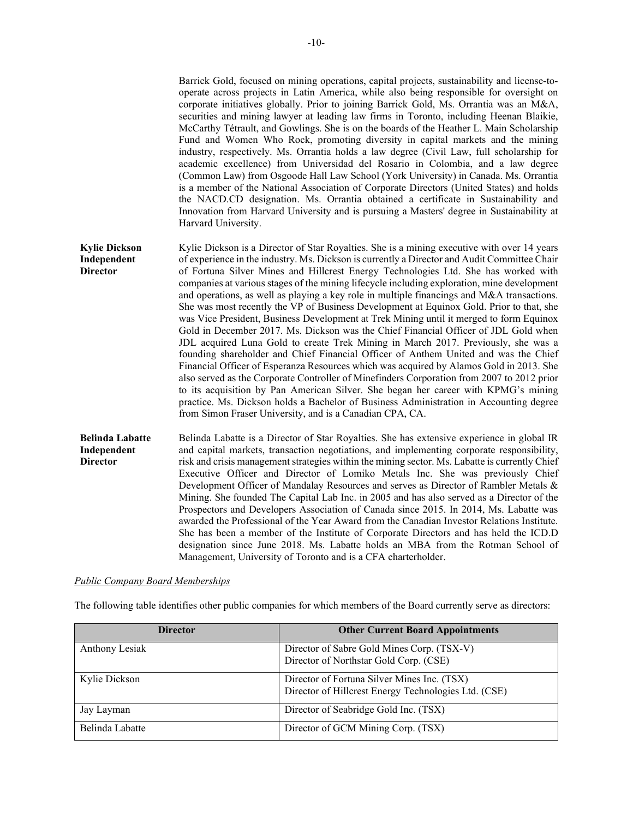|                                                          | Barrick Gold, focused on mining operations, capital projects, sustainability and license-to-<br>operate across projects in Latin America, while also being responsible for oversight on<br>corporate initiatives globally. Prior to joining Barrick Gold, Ms. Orrantia was an M&A,<br>securities and mining lawyer at leading law firms in Toronto, including Heenan Blaikie,<br>McCarthy Tétrault, and Gowlings. She is on the boards of the Heather L. Main Scholarship<br>Fund and Women Who Rock, promoting diversity in capital markets and the mining<br>industry, respectively. Ms. Orrantia holds a law degree (Civil Law, full scholarship for<br>academic excellence) from Universidad del Rosario in Colombia, and a law degree<br>(Common Law) from Osgoode Hall Law School (York University) in Canada. Ms. Orrantia<br>is a member of the National Association of Corporate Directors (United States) and holds<br>the NACD.CD designation. Ms. Orrantia obtained a certificate in Sustainability and<br>Innovation from Harvard University and is pursuing a Masters' degree in Sustainability at<br>Harvard University.                                                                                                                                                                                                                                       |
|----------------------------------------------------------|-------------------------------------------------------------------------------------------------------------------------------------------------------------------------------------------------------------------------------------------------------------------------------------------------------------------------------------------------------------------------------------------------------------------------------------------------------------------------------------------------------------------------------------------------------------------------------------------------------------------------------------------------------------------------------------------------------------------------------------------------------------------------------------------------------------------------------------------------------------------------------------------------------------------------------------------------------------------------------------------------------------------------------------------------------------------------------------------------------------------------------------------------------------------------------------------------------------------------------------------------------------------------------------------------------------------------------------------------------------------------------|
| <b>Kylie Dickson</b><br>Independent<br><b>Director</b>   | Kylie Dickson is a Director of Star Royalties. She is a mining executive with over 14 years<br>of experience in the industry. Ms. Dickson is currently a Director and Audit Committee Chair<br>of Fortuna Silver Mines and Hillcrest Energy Technologies Ltd. She has worked with<br>companies at various stages of the mining lifecycle including exploration, mine development<br>and operations, as well as playing a key role in multiple financings and M&A transactions.<br>She was most recently the VP of Business Development at Equinox Gold. Prior to that, she<br>was Vice President, Business Development at Trek Mining until it merged to form Equinox<br>Gold in December 2017. Ms. Dickson was the Chief Financial Officer of JDL Gold when<br>JDL acquired Luna Gold to create Trek Mining in March 2017. Previously, she was a<br>founding shareholder and Chief Financial Officer of Anthem United and was the Chief<br>Financial Officer of Esperanza Resources which was acquired by Alamos Gold in 2013. She<br>also served as the Corporate Controller of Minefinders Corporation from 2007 to 2012 prior<br>to its acquisition by Pan American Silver. She began her career with KPMG's mining<br>practice. Ms. Dickson holds a Bachelor of Business Administration in Accounting degree<br>from Simon Fraser University, and is a Canadian CPA, CA. |
| <b>Belinda Labatte</b><br>Independent<br><b>Director</b> | Belinda Labatte is a Director of Star Royalties. She has extensive experience in global IR<br>and capital markets, transaction negotiations, and implementing corporate responsibility,<br>risk and crisis management strategies within the mining sector. Ms. Labatte is currently Chief<br>Executive Officer and Director of Lomiko Metals Inc. She was previously Chief<br>Development Officer of Mandalay Resources and serves as Director of Rambler Metals &<br>Mining. She founded The Capital Lab Inc. in 2005 and has also served as a Director of the<br>Prospectors and Developers Association of Canada since 2015. In 2014, Ms. Labatte was<br>awarded the Professional of the Year Award from the Canadian Investor Relations Institute.<br>She has been a member of the Institute of Corporate Directors and has held the ICD.D<br>designation since June 2018. Ms. Labatte holds an MBA from the Rotman School of<br>Management, University of Toronto and is a CFA charterholder.                                                                                                                                                                                                                                                                                                                                                                            |

# *Public Company Board Memberships*

The following table identifies other public companies for which members of the Board currently serve as directors:

| <b>Director</b> | <b>Other Current Board Appointments</b>                                                             |
|-----------------|-----------------------------------------------------------------------------------------------------|
| Anthony Lesiak  | Director of Sabre Gold Mines Corp. (TSX-V)<br>Director of Northstar Gold Corp. (CSE)                |
| Kylie Dickson   | Director of Fortuna Silver Mines Inc. (TSX)<br>Director of Hillcrest Energy Technologies Ltd. (CSE) |
| Jay Layman      | Director of Seabridge Gold Inc. (TSX)                                                               |
| Belinda Labatte | Director of GCM Mining Corp. (TSX)                                                                  |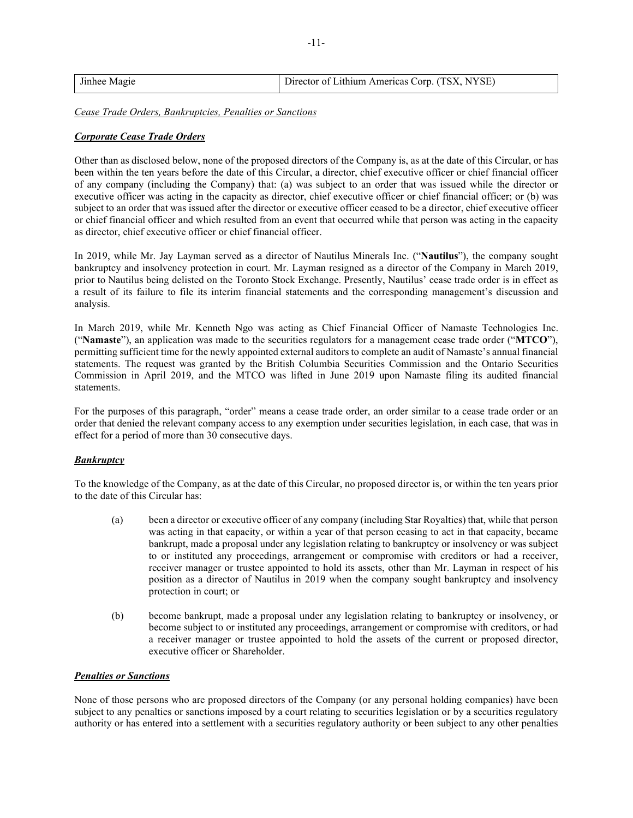| Jinhee Magie | Director of Lithium Americas Corp. (TSX, NYSE) |
|--------------|------------------------------------------------|
|              |                                                |

*Cease Trade Orders, Bankruptcies, Penalties or Sanctions*

# *Corporate Cease Trade Orders*

Other than as disclosed below, none of the proposed directors of the Company is, as at the date of this Circular, or has been within the ten years before the date of this Circular, a director, chief executive officer or chief financial officer of any company (including the Company) that: (a) was subject to an order that was issued while the director or executive officer was acting in the capacity as director, chief executive officer or chief financial officer; or (b) was subject to an order that was issued after the director or executive officer ceased to be a director, chief executive officer or chief financial officer and which resulted from an event that occurred while that person was acting in the capacity as director, chief executive officer or chief financial officer.

In 2019, while Mr. Jay Layman served as a director of Nautilus Minerals Inc. ("**Nautilus**"), the company sought bankruptcy and insolvency protection in court. Mr. Layman resigned as a director of the Company in March 2019, prior to Nautilus being delisted on the Toronto Stock Exchange. Presently, Nautilus' cease trade order is in effect as a result of its failure to file its interim financial statements and the corresponding management's discussion and analysis.

In March 2019, while Mr. Kenneth Ngo was acting as Chief Financial Officer of Namaste Technologies Inc. ("**Namaste**"), an application was made to the securities regulators for a management cease trade order ("**MTCO**"), permitting sufficient time for the newly appointed external auditors to complete an audit of Namaste's annual financial statements. The request was granted by the British Columbia Securities Commission and the Ontario Securities Commission in April 2019, and the MTCO was lifted in June 2019 upon Namaste filing its audited financial statements.

For the purposes of this paragraph, "order" means a cease trade order, an order similar to a cease trade order or an order that denied the relevant company access to any exemption under securities legislation, in each case, that was in effect for a period of more than 30 consecutive days.

# *Bankruptcy*

To the knowledge of the Company, as at the date of this Circular, no proposed director is, or within the ten years prior to the date of this Circular has:

- (a) been a director or executive officer of any company (including Star Royalties) that, while that person was acting in that capacity, or within a year of that person ceasing to act in that capacity, became bankrupt, made a proposal under any legislation relating to bankruptcy or insolvency or was subject to or instituted any proceedings, arrangement or compromise with creditors or had a receiver, receiver manager or trustee appointed to hold its assets, other than Mr. Layman in respect of his position as a director of Nautilus in 2019 when the company sought bankruptcy and insolvency protection in court; or
- (b) become bankrupt, made a proposal under any legislation relating to bankruptcy or insolvency, or become subject to or instituted any proceedings, arrangement or compromise with creditors, or had a receiver manager or trustee appointed to hold the assets of the current or proposed director, executive officer or Shareholder.

## *Penalties or Sanctions*

None of those persons who are proposed directors of the Company (or any personal holding companies) have been subject to any penalties or sanctions imposed by a court relating to securities legislation or by a securities regulatory authority or has entered into a settlement with a securities regulatory authority or been subject to any other penalties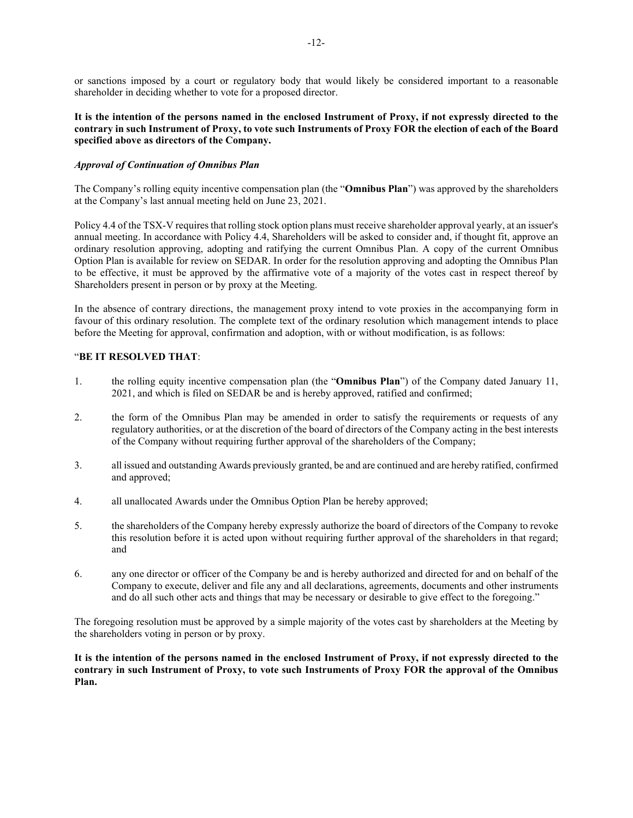or sanctions imposed by a court or regulatory body that would likely be considered important to a reasonable shareholder in deciding whether to vote for a proposed director.

# **It is the intention of the persons named in the enclosed Instrument of Proxy, if not expressly directed to the contrary in such Instrument of Proxy, to vote such Instruments of Proxy FOR the election of each of the Board specified above as directors of the Company.**

# *Approval of Continuation of Omnibus Plan*

The Company's rolling equity incentive compensation plan (the "**Omnibus Plan**") was approved by the shareholders at the Company's last annual meeting held on June 23, 2021.

Policy 4.4 of the TSX-V requires that rolling stock option plans must receive shareholder approval yearly, at an issuer's annual meeting. In accordance with Policy 4.4, Shareholders will be asked to consider and, if thought fit, approve an ordinary resolution approving, adopting and ratifying the current Omnibus Plan. A copy of the current Omnibus Option Plan is available for review on SEDAR. In order for the resolution approving and adopting the Omnibus Plan to be effective, it must be approved by the affirmative vote of a majority of the votes cast in respect thereof by Shareholders present in person or by proxy at the Meeting.

In the absence of contrary directions, the management proxy intend to vote proxies in the accompanying form in favour of this ordinary resolution. The complete text of the ordinary resolution which management intends to place before the Meeting for approval, confirmation and adoption, with or without modification, is as follows:

## "**BE IT RESOLVED THAT**:

- 1. the rolling equity incentive compensation plan (the "**Omnibus Plan**") of the Company dated January 11, 2021, and which is filed on SEDAR be and is hereby approved, ratified and confirmed;
- 2. the form of the Omnibus Plan may be amended in order to satisfy the requirements or requests of any regulatory authorities, or at the discretion of the board of directors of the Company acting in the best interests of the Company without requiring further approval of the shareholders of the Company;
- 3. all issued and outstanding Awards previously granted, be and are continued and are hereby ratified, confirmed and approved;
- 4. all unallocated Awards under the Omnibus Option Plan be hereby approved;
- 5. the shareholders of the Company hereby expressly authorize the board of directors of the Company to revoke this resolution before it is acted upon without requiring further approval of the shareholders in that regard; and
- 6. any one director or officer of the Company be and is hereby authorized and directed for and on behalf of the Company to execute, deliver and file any and all declarations, agreements, documents and other instruments and do all such other acts and things that may be necessary or desirable to give effect to the foregoing."

The foregoing resolution must be approved by a simple majority of the votes cast by shareholders at the Meeting by the shareholders voting in person or by proxy.

**It is the intention of the persons named in the enclosed Instrument of Proxy, if not expressly directed to the contrary in such Instrument of Proxy, to vote such Instruments of Proxy FOR the approval of the Omnibus Plan.**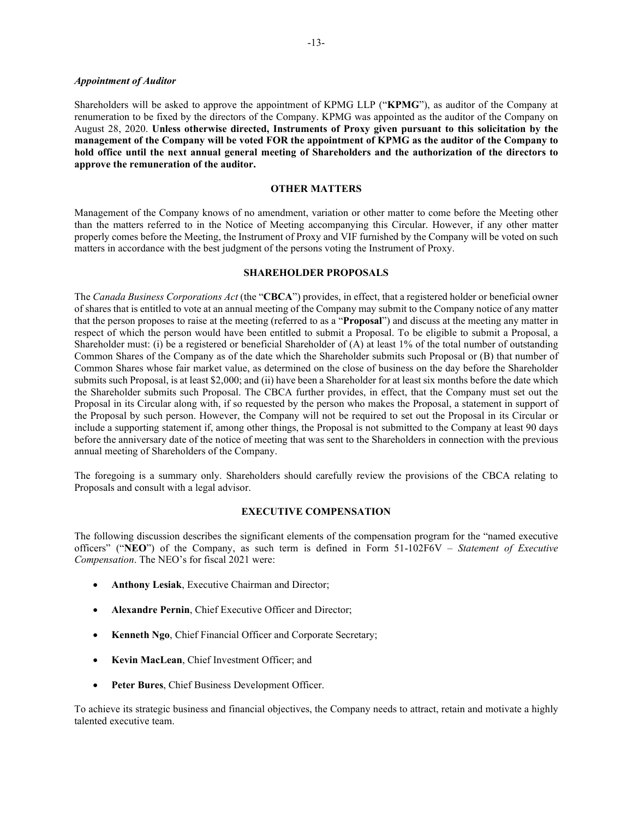#### *Appointment of Auditor*

Shareholders will be asked to approve the appointment of KPMG LLP ("**KPMG**"), as auditor of the Company at renumeration to be fixed by the directors of the Company. KPMG was appointed as the auditor of the Company on August 28, 2020. **Unless otherwise directed, Instruments of Proxy given pursuant to this solicitation by the management of the Company will be voted FOR the appointment of KPMG as the auditor of the Company to hold office until the next annual general meeting of Shareholders and the authorization of the directors to approve the remuneration of the auditor.**

## **OTHER MATTERS**

Management of the Company knows of no amendment, variation or other matter to come before the Meeting other than the matters referred to in the Notice of Meeting accompanying this Circular. However, if any other matter properly comes before the Meeting, the Instrument of Proxy and VIF furnished by the Company will be voted on such matters in accordance with the best judgment of the persons voting the Instrument of Proxy.

## **SHAREHOLDER PROPOSALS**

The *Canada Business Corporations Act* (the "**CBCA**") provides, in effect, that a registered holder or beneficial owner of shares that is entitled to vote at an annual meeting of the Company may submit to the Company notice of any matter that the person proposes to raise at the meeting (referred to as a "**Proposal**") and discuss at the meeting any matter in respect of which the person would have been entitled to submit a Proposal. To be eligible to submit a Proposal, a Shareholder must: (i) be a registered or beneficial Shareholder of (A) at least 1% of the total number of outstanding Common Shares of the Company as of the date which the Shareholder submits such Proposal or (B) that number of Common Shares whose fair market value, as determined on the close of business on the day before the Shareholder submits such Proposal, is at least \$2,000; and (ii) have been a Shareholder for at least six months before the date which the Shareholder submits such Proposal. The CBCA further provides, in effect, that the Company must set out the Proposal in its Circular along with, if so requested by the person who makes the Proposal, a statement in support of the Proposal by such person. However, the Company will not be required to set out the Proposal in its Circular or include a supporting statement if, among other things, the Proposal is not submitted to the Company at least 90 days before the anniversary date of the notice of meeting that was sent to the Shareholders in connection with the previous annual meeting of Shareholders of the Company.

The foregoing is a summary only. Shareholders should carefully review the provisions of the CBCA relating to Proposals and consult with a legal advisor.

# **EXECUTIVE COMPENSATION**

The following discussion describes the significant elements of the compensation program for the "named executive officers" ("**NEO**") of the Company, as such term is defined in Form 51-102F6V – *Statement of Executive Compensation*. The NEO's for fiscal 2021 were:

- **Anthony Lesiak**, Executive Chairman and Director;
- **Alexandre Pernin**, Chief Executive Officer and Director;
- **Kenneth Ngo, Chief Financial Officer and Corporate Secretary;**
- **Kevin MacLean**, Chief Investment Officer; and
- **Peter Bures**, Chief Business Development Officer.

To achieve its strategic business and financial objectives, the Company needs to attract, retain and motivate a highly talented executive team.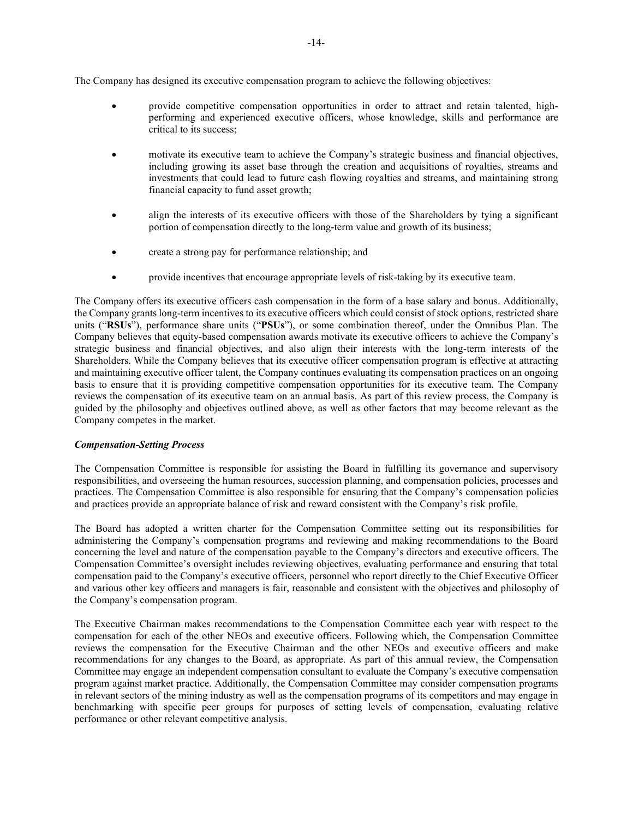The Company has designed its executive compensation program to achieve the following objectives:

- provide competitive compensation opportunities in order to attract and retain talented, highperforming and experienced executive officers, whose knowledge, skills and performance are critical to its success;
- motivate its executive team to achieve the Company's strategic business and financial objectives, including growing its asset base through the creation and acquisitions of royalties, streams and investments that could lead to future cash flowing royalties and streams, and maintaining strong financial capacity to fund asset growth;
- align the interests of its executive officers with those of the Shareholders by tying a significant portion of compensation directly to the long-term value and growth of its business;
- create a strong pay for performance relationship; and
- provide incentives that encourage appropriate levels of risk-taking by its executive team.

The Company offers its executive officers cash compensation in the form of a base salary and bonus. Additionally, the Company grants long-term incentives to its executive officers which could consist of stock options, restricted share units ("**RSUs**"), performance share units ("**PSUs**"), or some combination thereof, under the Omnibus Plan. The Company believes that equity-based compensation awards motivate its executive officers to achieve the Company's strategic business and financial objectives, and also align their interests with the long-term interests of the Shareholders. While the Company believes that its executive officer compensation program is effective at attracting and maintaining executive officer talent, the Company continues evaluating its compensation practices on an ongoing basis to ensure that it is providing competitive compensation opportunities for its executive team. The Company reviews the compensation of its executive team on an annual basis. As part of this review process, the Company is guided by the philosophy and objectives outlined above, as well as other factors that may become relevant as the Company competes in the market.

# *Compensation-Setting Process*

The Compensation Committee is responsible for assisting the Board in fulfilling its governance and supervisory responsibilities, and overseeing the human resources, succession planning, and compensation policies, processes and practices. The Compensation Committee is also responsible for ensuring that the Company's compensation policies and practices provide an appropriate balance of risk and reward consistent with the Company's risk profile.

The Board has adopted a written charter for the Compensation Committee setting out its responsibilities for administering the Company's compensation programs and reviewing and making recommendations to the Board concerning the level and nature of the compensation payable to the Company's directors and executive officers. The Compensation Committee's oversight includes reviewing objectives, evaluating performance and ensuring that total compensation paid to the Company's executive officers, personnel who report directly to the Chief Executive Officer and various other key officers and managers is fair, reasonable and consistent with the objectives and philosophy of the Company's compensation program.

The Executive Chairman makes recommendations to the Compensation Committee each year with respect to the compensation for each of the other NEOs and executive officers. Following which, the Compensation Committee reviews the compensation for the Executive Chairman and the other NEOs and executive officers and make recommendations for any changes to the Board, as appropriate. As part of this annual review, the Compensation Committee may engage an independent compensation consultant to evaluate the Company's executive compensation program against market practice. Additionally, the Compensation Committee may consider compensation programs in relevant sectors of the mining industry as well as the compensation programs of its competitors and may engage in benchmarking with specific peer groups for purposes of setting levels of compensation, evaluating relative performance or other relevant competitive analysis.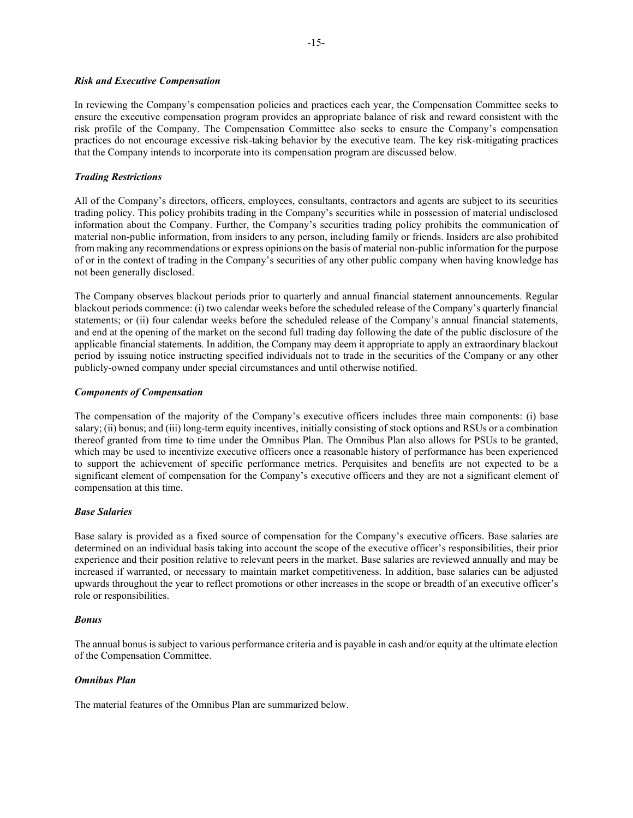### *Risk and Executive Compensation*

In reviewing the Company's compensation policies and practices each year, the Compensation Committee seeks to ensure the executive compensation program provides an appropriate balance of risk and reward consistent with the risk profile of the Company. The Compensation Committee also seeks to ensure the Company's compensation practices do not encourage excessive risk-taking behavior by the executive team. The key risk-mitigating practices that the Company intends to incorporate into its compensation program are discussed below.

# *Trading Restrictions*

All of the Company's directors, officers, employees, consultants, contractors and agents are subject to its securities trading policy. This policy prohibits trading in the Company's securities while in possession of material undisclosed information about the Company. Further, the Company's securities trading policy prohibits the communication of material non-public information, from insiders to any person, including family or friends. Insiders are also prohibited from making any recommendations or express opinions on the basis of material non-public information for the purpose of or in the context of trading in the Company's securities of any other public company when having knowledge has not been generally disclosed.

The Company observes blackout periods prior to quarterly and annual financial statement announcements. Regular blackout periods commence: (i) two calendar weeks before the scheduled release of the Company's quarterly financial statements; or (ii) four calendar weeks before the scheduled release of the Company's annual financial statements, and end at the opening of the market on the second full trading day following the date of the public disclosure of the applicable financial statements. In addition, the Company may deem it appropriate to apply an extraordinary blackout period by issuing notice instructing specified individuals not to trade in the securities of the Company or any other publicly-owned company under special circumstances and until otherwise notified.

## *Components of Compensation*

The compensation of the majority of the Company's executive officers includes three main components: (i) base salary; (ii) bonus; and (iii) long-term equity incentives, initially consisting of stock options and RSUs or a combination thereof granted from time to time under the Omnibus Plan. The Omnibus Plan also allows for PSUs to be granted, which may be used to incentivize executive officers once a reasonable history of performance has been experienced to support the achievement of specific performance metrics. Perquisites and benefits are not expected to be a significant element of compensation for the Company's executive officers and they are not a significant element of compensation at this time.

## *Base Salaries*

Base salary is provided as a fixed source of compensation for the Company's executive officers. Base salaries are determined on an individual basis taking into account the scope of the executive officer's responsibilities, their prior experience and their position relative to relevant peers in the market. Base salaries are reviewed annually and may be increased if warranted, or necessary to maintain market competitiveness. In addition, base salaries can be adjusted upwards throughout the year to reflect promotions or other increases in the scope or breadth of an executive officer's role or responsibilities.

## *Bonus*

The annual bonus is subject to various performance criteria and is payable in cash and/or equity at the ultimate election of the Compensation Committee.

## *Omnibus Plan*

The material features of the Omnibus Plan are summarized below.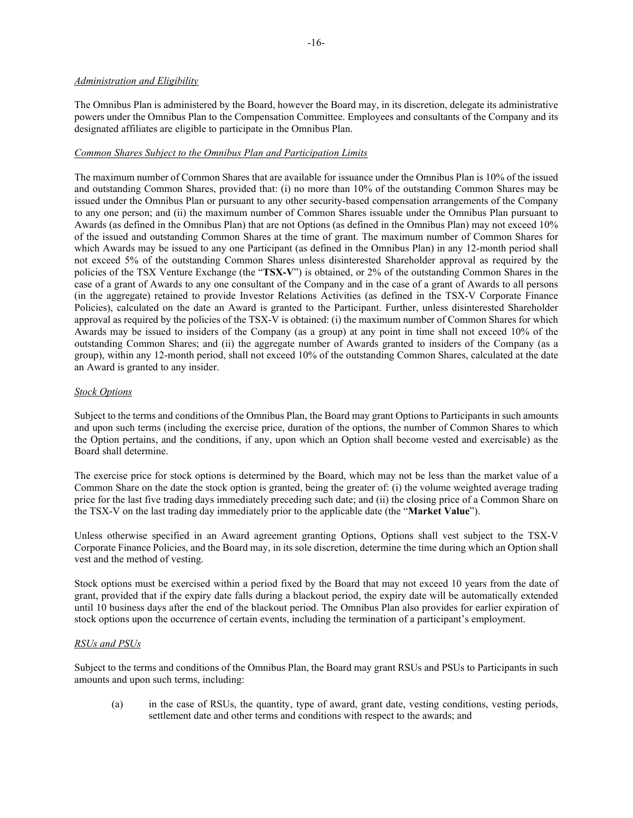### *Administration and Eligibility*

The Omnibus Plan is administered by the Board, however the Board may, in its discretion, delegate its administrative powers under the Omnibus Plan to the Compensation Committee. Employees and consultants of the Company and its designated affiliates are eligible to participate in the Omnibus Plan.

# *Common Shares Subject to the Omnibus Plan and Participation Limits*

The maximum number of Common Shares that are available for issuance under the Omnibus Plan is 10% of the issued and outstanding Common Shares, provided that: (i) no more than 10% of the outstanding Common Shares may be issued under the Omnibus Plan or pursuant to any other security-based compensation arrangements of the Company to any one person; and (ii) the maximum number of Common Shares issuable under the Omnibus Plan pursuant to Awards (as defined in the Omnibus Plan) that are not Options (as defined in the Omnibus Plan) may not exceed 10% of the issued and outstanding Common Shares at the time of grant. The maximum number of Common Shares for which Awards may be issued to any one Participant (as defined in the Omnibus Plan) in any 12-month period shall not exceed 5% of the outstanding Common Shares unless disinterested Shareholder approval as required by the policies of the TSX Venture Exchange (the "**TSX-V**") is obtained, or 2% of the outstanding Common Shares in the case of a grant of Awards to any one consultant of the Company and in the case of a grant of Awards to all persons (in the aggregate) retained to provide Investor Relations Activities (as defined in the TSX-V Corporate Finance Policies), calculated on the date an Award is granted to the Participant. Further, unless disinterested Shareholder approval as required by the policies of the TSX-V is obtained: (i) the maximum number of Common Shares for which Awards may be issued to insiders of the Company (as a group) at any point in time shall not exceed 10% of the outstanding Common Shares; and (ii) the aggregate number of Awards granted to insiders of the Company (as a group), within any 12-month period, shall not exceed 10% of the outstanding Common Shares, calculated at the date an Award is granted to any insider.

## *Stock Options*

Subject to the terms and conditions of the Omnibus Plan, the Board may grant Options to Participants in such amounts and upon such terms (including the exercise price, duration of the options, the number of Common Shares to which the Option pertains, and the conditions, if any, upon which an Option shall become vested and exercisable) as the Board shall determine.

The exercise price for stock options is determined by the Board, which may not be less than the market value of a Common Share on the date the stock option is granted, being the greater of: (i) the volume weighted average trading price for the last five trading days immediately preceding such date; and (ii) the closing price of a Common Share on the TSX-V on the last trading day immediately prior to the applicable date (the "**Market Value**").

Unless otherwise specified in an Award agreement granting Options, Options shall vest subject to the TSX-V Corporate Finance Policies, and the Board may, in its sole discretion, determine the time during which an Option shall vest and the method of vesting.

Stock options must be exercised within a period fixed by the Board that may not exceed 10 years from the date of grant, provided that if the expiry date falls during a blackout period, the expiry date will be automatically extended until 10 business days after the end of the blackout period. The Omnibus Plan also provides for earlier expiration of stock options upon the occurrence of certain events, including the termination of a participant's employment.

## *RSUs and PSUs*

Subject to the terms and conditions of the Omnibus Plan, the Board may grant RSUs and PSUs to Participants in such amounts and upon such terms, including:

(a) in the case of RSUs, the quantity, type of award, grant date, vesting conditions, vesting periods, settlement date and other terms and conditions with respect to the awards; and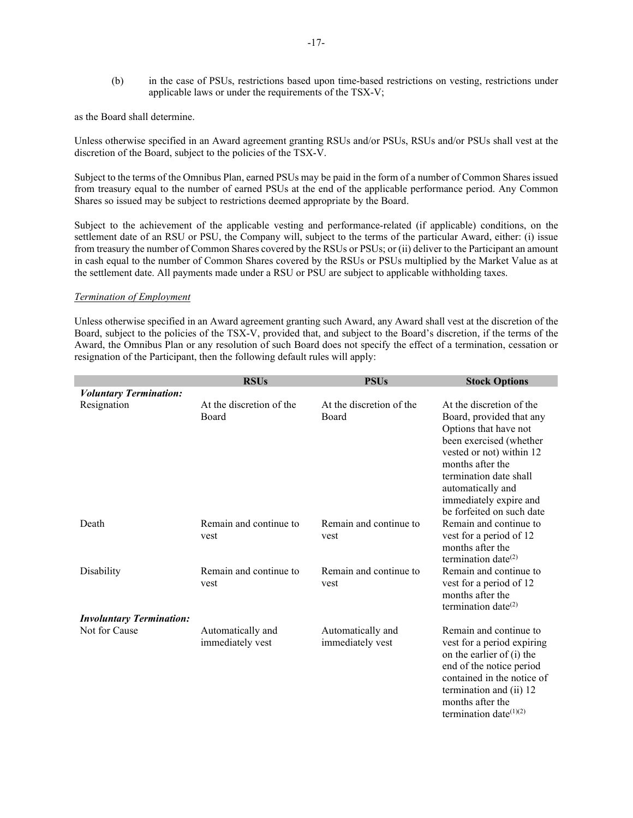(b) in the case of PSUs, restrictions based upon time-based restrictions on vesting, restrictions under applicable laws or under the requirements of the TSX-V;

as the Board shall determine.

Unless otherwise specified in an Award agreement granting RSUs and/or PSUs, RSUs and/or PSUs shall vest at the discretion of the Board, subject to the policies of the TSX-V.

Subject to the terms of the Omnibus Plan, earned PSUs may be paid in the form of a number of Common Shares issued from treasury equal to the number of earned PSUs at the end of the applicable performance period. Any Common Shares so issued may be subject to restrictions deemed appropriate by the Board.

Subject to the achievement of the applicable vesting and performance-related (if applicable) conditions, on the settlement date of an RSU or PSU, the Company will, subject to the terms of the particular Award, either: (i) issue from treasury the number of Common Shares covered by the RSUs or PSUs; or (ii) deliver to the Participant an amount in cash equal to the number of Common Shares covered by the RSUs or PSUs multiplied by the Market Value as at the settlement date. All payments made under a RSU or PSU are subject to applicable withholding taxes.

#### *Termination of Employment*

Unless otherwise specified in an Award agreement granting such Award, any Award shall vest at the discretion of the Board, subject to the policies of the TSX-V, provided that, and subject to the Board's discretion, if the terms of the Award, the Omnibus Plan or any resolution of such Board does not specify the effect of a termination, cessation or resignation of the Participant, then the following default rules will apply:

|                                 | <b>RSUs</b>                           | <b>PSUs</b>                           | <b>Stock Options</b>                                                                                                                                                                                                                                           |
|---------------------------------|---------------------------------------|---------------------------------------|----------------------------------------------------------------------------------------------------------------------------------------------------------------------------------------------------------------------------------------------------------------|
| <b>Voluntary Termination:</b>   |                                       |                                       |                                                                                                                                                                                                                                                                |
| Resignation                     | At the discretion of the<br>Board     | At the discretion of the<br>Board     | At the discretion of the<br>Board, provided that any<br>Options that have not<br>been exercised (whether<br>vested or not) within 12<br>months after the<br>termination date shall<br>automatically and<br>immediately expire and<br>be forfeited on such date |
| Death                           | Remain and continue to<br>vest        | Remain and continue to<br>vest        | Remain and continue to<br>vest for a period of 12<br>months after the<br>termination date <sup>(2)</sup>                                                                                                                                                       |
| Disability                      | Remain and continue to<br>vest        | Remain and continue to<br>vest        | Remain and continue to<br>vest for a period of 12<br>months after the<br>termination date <sup>(2)</sup>                                                                                                                                                       |
| <b>Involuntary Termination:</b> |                                       |                                       |                                                                                                                                                                                                                                                                |
| Not for Cause                   | Automatically and<br>immediately vest | Automatically and<br>immediately vest | Remain and continue to<br>vest for a period expiring<br>on the earlier of (i) the<br>end of the notice period<br>contained in the notice of<br>termination and (ii) 12<br>months after the<br>termination date $(1)(2)$                                        |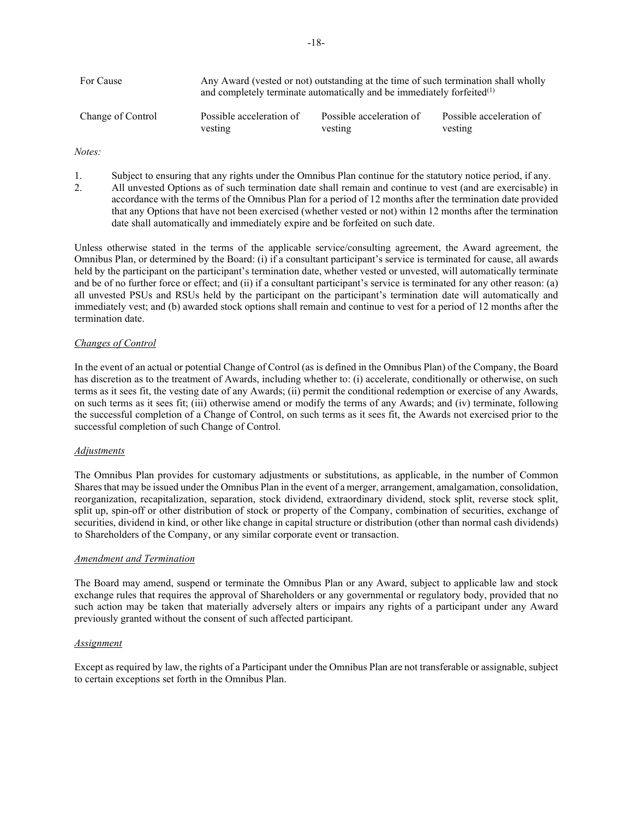| For Cause         | Any Award (vested or not) outstanding at the time of such termination shall wholly<br>and completely terminate automatically and be immediately forfeited $(1)$ |                          |                          |  |  |  |
|-------------------|-----------------------------------------------------------------------------------------------------------------------------------------------------------------|--------------------------|--------------------------|--|--|--|
| Change of Control | Possible acceleration of                                                                                                                                        | Possible acceleration of | Possible acceleration of |  |  |  |
|                   | vesting                                                                                                                                                         | vesting                  | vesting                  |  |  |  |

*Notes:*

1. Subject to ensuring that any rights under the Omnibus Plan continue for the statutory notice period, if any.<br>2. All unvested Options as of such termination date shall remain and continue to vest (and are exercisable) i 2. All unvested Options as of such termination date shall remain and continue to vest (and are exercisable) in accordance with the terms of the Omnibus Plan for a period of 12 months after the termination date provided that any Options that have not been exercised (whether vested or not) within 12 months after the termination date shall automatically and immediately expire and be forfeited on such date.

Unless otherwise stated in the terms of the applicable service/consulting agreement, the Award agreement, the Omnibus Plan, or determined by the Board: (i) if a consultant participant's service is terminated for cause, all awards held by the participant on the participant's termination date, whether vested or unvested, will automatically terminate and be of no further force or effect; and (ii) if a consultant participant's service is terminated for any other reason: (a) all unvested PSUs and RSUs held by the participant on the participant's termination date will automatically and immediately vest; and (b) awarded stock options shall remain and continue to vest for a period of 12 months after the termination date.

# *Changes of Control*

In the event of an actual or potential Change of Control (as is defined in the Omnibus Plan) of the Company, the Board has discretion as to the treatment of Awards, including whether to: (i) accelerate, conditionally or otherwise, on such terms as it sees fit, the vesting date of any Awards; (ii) permit the conditional redemption or exercise of any Awards, on such terms as it sees fit; (iii) otherwise amend or modify the terms of any Awards; and (iv) terminate, following the successful completion of a Change of Control, on such terms as it sees fit, the Awards not exercised prior to the successful completion of such Change of Control.

## *Adjustments*

The Omnibus Plan provides for customary adjustments or substitutions, as applicable, in the number of Common Shares that may be issued under the Omnibus Plan in the event of a merger, arrangement, amalgamation, consolidation, reorganization, recapitalization, separation, stock dividend, extraordinary dividend, stock split, reverse stock split, split up, spin-off or other distribution of stock or property of the Company, combination of securities, exchange of securities, dividend in kind, or other like change in capital structure or distribution (other than normal cash dividends) to Shareholders of the Company, or any similar corporate event or transaction.

# *Amendment and Termination*

The Board may amend, suspend or terminate the Omnibus Plan or any Award, subject to applicable law and stock exchange rules that requires the approval of Shareholders or any governmental or regulatory body, provided that no such action may be taken that materially adversely alters or impairs any rights of a participant under any Award previously granted without the consent of such affected participant.

# *Assignment*

Except as required by law, the rights of a Participant under the Omnibus Plan are not transferable or assignable, subject to certain exceptions set forth in the Omnibus Plan.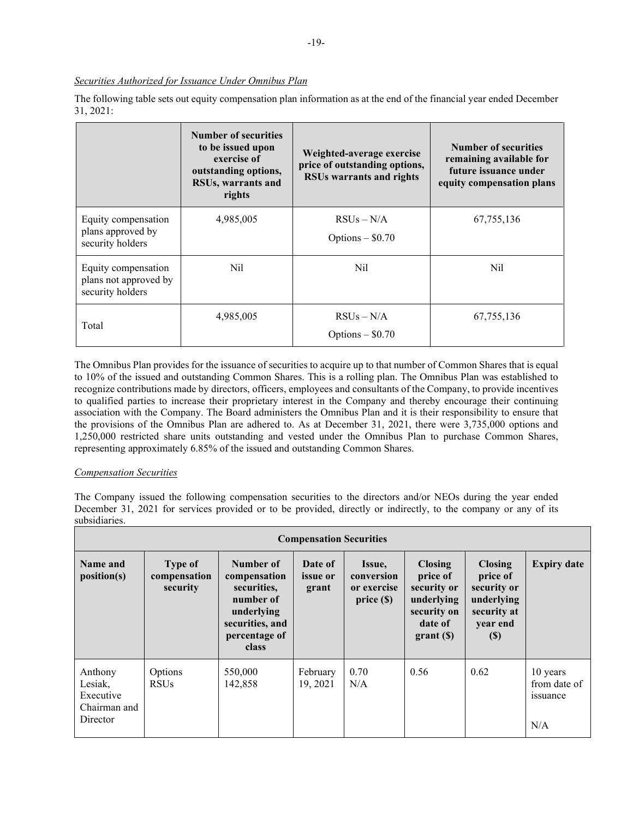# *Securities Authorized for Issuance Under Omnibus Plan*

The following table sets out equity compensation plan information as at the end of the financial year ended December 31, 2021:

|                                                                  | <b>Number of securities</b><br>to be issued upon<br>exercise of<br>outstanding options,<br>RSUs, warrants and<br>rights | Weighted-average exercise<br>price of outstanding options,<br><b>RSUs warrants and rights</b> | <b>Number of securities</b><br>remaining available for<br>future issuance under<br>equity compensation plans |
|------------------------------------------------------------------|-------------------------------------------------------------------------------------------------------------------------|-----------------------------------------------------------------------------------------------|--------------------------------------------------------------------------------------------------------------|
| Equity compensation<br>plans approved by<br>security holders     | 4,985,005                                                                                                               | $RSUs - N/A$<br>Options $-$ \$0.70                                                            | 67, 755, 136                                                                                                 |
| Equity compensation<br>plans not approved by<br>security holders | Nil                                                                                                                     | Nil                                                                                           | Nil                                                                                                          |
| Total                                                            | 4,985,005                                                                                                               | $RSUs - N/A$<br>Options $-$ \$0.70                                                            | 67,755,136                                                                                                   |

The Omnibus Plan provides for the issuance of securities to acquire up to that number of Common Shares that is equal to 10% of the issued and outstanding Common Shares. This is a rolling plan. The Omnibus Plan was established to recognize contributions made by directors, officers, employees and consultants of the Company, to provide incentives to qualified parties to increase their proprietary interest in the Company and thereby encourage their continuing association with the Company. The Board administers the Omnibus Plan and it is their responsibility to ensure that the provisions of the Omnibus Plan are adhered to. As at December 31, 2021, there were 3,735,000 options and 1,250,000 restricted share units outstanding and vested under the Omnibus Plan to purchase Common Shares, representing approximately 6.85% of the issued and outstanding Common Shares.

## *Compensation Securities*

The Company issued the following compensation securities to the directors and/or NEOs during the year ended December 31, 2021 for services provided or to be provided, directly or indirectly, to the company or any of its subsidiaries.

| <b>Compensation Securities</b>                              |                                     |                                                                                                                  |                                     |                                                 |                                                                                                 |                                                                                                                  |                                             |
|-------------------------------------------------------------|-------------------------------------|------------------------------------------------------------------------------------------------------------------|-------------------------------------|-------------------------------------------------|-------------------------------------------------------------------------------------------------|------------------------------------------------------------------------------------------------------------------|---------------------------------------------|
| <b>Name and</b><br>position(s)                              | Type of<br>compensation<br>security | Number of<br>compensation<br>securities.<br>number of<br>underlying<br>securities, and<br>percentage of<br>class | Date of<br><i>issue</i> or<br>grant | Issue,<br>conversion<br>or exercise<br>price(S) | <b>Closing</b><br>price of<br>security or<br>underlying<br>security on<br>date of<br>$grant(s)$ | <b>Closing</b><br>price of<br>security or<br>underlying<br>security at<br>year end<br>$\left( \mathbb{S}\right)$ | <b>Expiry date</b>                          |
| Anthony<br>Lesiak,<br>Executive<br>Chairman and<br>Director | Options<br><b>RSUs</b>              | 550,000<br>142,858                                                                                               | February<br>19, 2021                | 0.70<br>N/A                                     | 0.56                                                                                            | 0.62                                                                                                             | 10 years<br>from date of<br>issuance<br>N/A |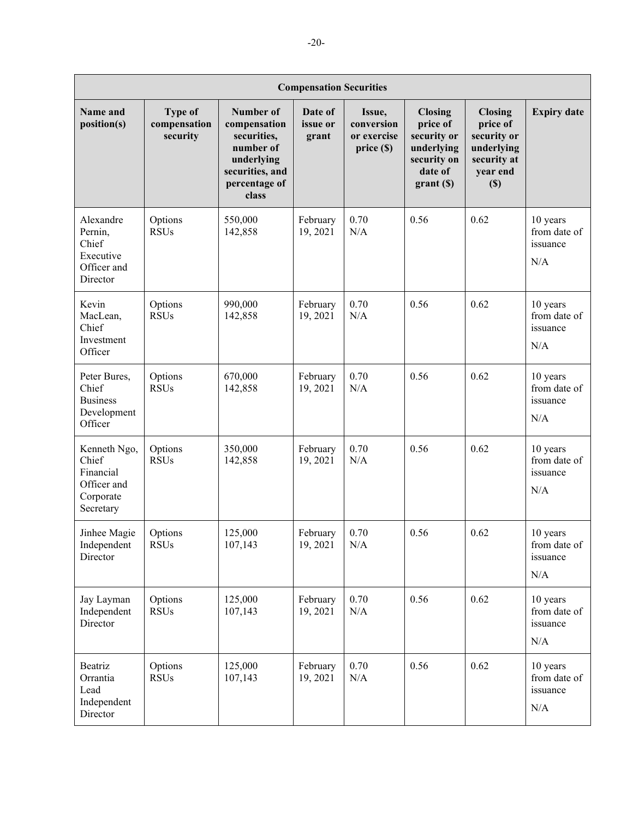| <b>Compensation Securities</b>                                              |                                     |                                                                                                                  |                                   |                                                 |                                                                                               |                                                                                           |                                                         |
|-----------------------------------------------------------------------------|-------------------------------------|------------------------------------------------------------------------------------------------------------------|-----------------------------------|-------------------------------------------------|-----------------------------------------------------------------------------------------------|-------------------------------------------------------------------------------------------|---------------------------------------------------------|
| Name and<br>position(s)                                                     | Type of<br>compensation<br>security | Number of<br>compensation<br>securities,<br>number of<br>underlying<br>securities, and<br>percentage of<br>class | Date of<br>issue or<br>grant      | Issue,<br>conversion<br>or exercise<br>price(S) | <b>Closing</b><br>price of<br>security or<br>underlying<br>security on<br>date of<br>grant(S) | <b>Closing</b><br>price of<br>security or<br>underlying<br>security at<br>year end<br>(S) | <b>Expiry date</b>                                      |
| Alexandre<br>Pernin,<br>Chief<br>Executive<br>Officer and<br>Director       | Options<br><b>RSUs</b>              | 550,000<br>142,858                                                                                               | February<br>19, 2021              | 0.70<br>N/A                                     | 0.56                                                                                          | 0.62                                                                                      | 10 years<br>from date of<br>issuance<br>N/A             |
| Kevin<br>MacLean,<br>Chief<br>Investment<br>Officer                         | Options<br><b>RSUs</b>              | 990,000<br>142,858                                                                                               | February<br>19, 2021              | 0.70<br>N/A                                     | 0.56                                                                                          | 0.62                                                                                      | 10 years<br>from date of<br>issuance<br>N/A             |
| Peter Bures,<br>Chief<br><b>Business</b><br>Development<br>Officer          | Options<br><b>RSUs</b>              | 670,000<br>142,858                                                                                               | February<br>19, 2021              | 0.70<br>N/A                                     | 0.56                                                                                          | 0.62                                                                                      | 10 years<br>from date of<br>issuance<br>N/A             |
| Kenneth Ngo,<br>Chief<br>Financial<br>Officer and<br>Corporate<br>Secretary | Options<br><b>RSUs</b>              | 350,000<br>142,858                                                                                               | February<br>19, 2021              | 0.70<br>N/A                                     | 0.56                                                                                          | 0.62                                                                                      | 10 years<br>from date of<br>issuance<br>N/A             |
| Jinhee Magie<br>Independent<br>Director                                     | Options<br><b>RSUs</b>              | 125,000<br>107,143                                                                                               | February $\Big  0.70$<br>19, 2021 | N/A                                             | 0.56                                                                                          | 0.62                                                                                      | $10\ \mathrm{years}$<br>from date of<br>issuance<br>N/A |
| Jay Layman<br>Independent<br>Director                                       | Options<br><b>RSUs</b>              | 125,000<br>107,143                                                                                               | February<br>19, 2021              | 0.70<br>$\rm N/A$                               | 0.56                                                                                          | 0.62                                                                                      | 10 years<br>from date of<br>issuance<br>N/A             |
| Beatriz<br>Orrantia<br>Lead<br>Independent<br>Director                      | Options<br><b>RSUs</b>              | 125,000<br>107,143                                                                                               | February<br>19, 2021              | 0.70<br>N/A                                     | 0.56                                                                                          | 0.62                                                                                      | 10 years<br>from date of<br>issuance<br>N/A             |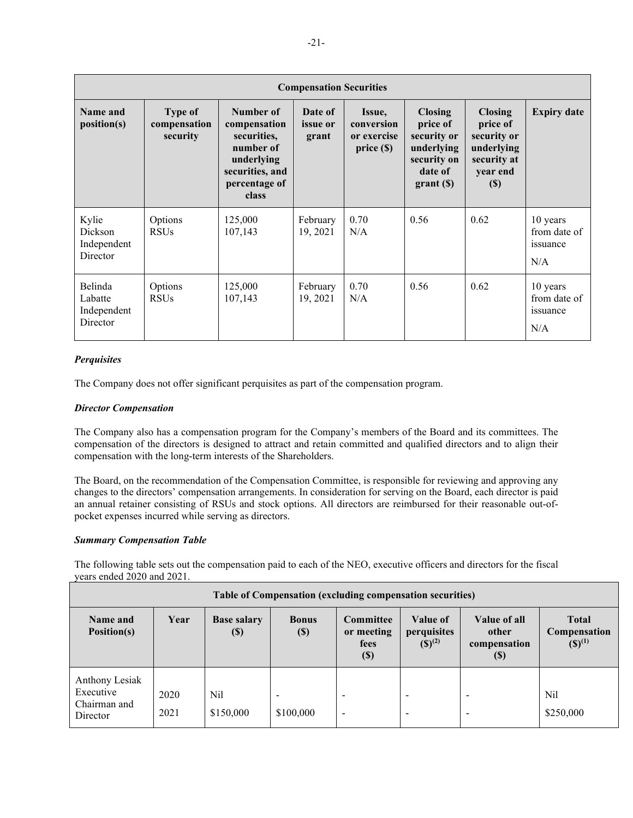| <b>Compensation Securities</b>                     |                                            |                                                                                                                  |                                     |                                                     |                                                                                               |                                                                                           |                                             |
|----------------------------------------------------|--------------------------------------------|------------------------------------------------------------------------------------------------------------------|-------------------------------------|-----------------------------------------------------|-----------------------------------------------------------------------------------------------|-------------------------------------------------------------------------------------------|---------------------------------------------|
| Name and<br>position(s)                            | <b>Type of</b><br>compensation<br>security | Number of<br>compensation<br>securities.<br>number of<br>underlying<br>securities, and<br>percentage of<br>class | Date of<br><i>issue</i> or<br>grant | Issue,<br>conversion<br>or exercise<br>price $(\$)$ | <b>Closing</b><br>price of<br>security or<br>underlying<br>security on<br>date of<br>grant(S) | <b>Closing</b><br>price of<br>security or<br>underlying<br>security at<br>year end<br>(S) | <b>Expiry date</b>                          |
| Kylie<br><b>Dickson</b><br>Independent<br>Director | Options<br><b>RSUs</b>                     | 125,000<br>107,143                                                                                               | February<br>19, 2021                | 0.70<br>N/A                                         | 0.56                                                                                          | 0.62                                                                                      | 10 years<br>from date of<br>issuance<br>N/A |
| Belinda<br>Labatte<br>Independent<br>Director      | Options<br><b>RSUs</b>                     | 125,000<br>107,143                                                                                               | February<br>19, 2021                | 0.70<br>N/A                                         | 0.56                                                                                          | 0.62                                                                                      | 10 years<br>from date of<br>issuance<br>N/A |

# *Perquisites*

The Company does not offer significant perquisites as part of the compensation program.

# *Director Compensation*

The Company also has a compensation program for the Company's members of the Board and its committees. The compensation of the directors is designed to attract and retain committed and qualified directors and to align their compensation with the long-term interests of the Shareholders.

The Board, on the recommendation of the Compensation Committee, is responsible for reviewing and approving any changes to the directors' compensation arrangements. In consideration for serving on the Board, each director is paid an annual retainer consisting of RSUs and stock options. All directors are reimbursed for their reasonable out-ofpocket expenses incurred while serving as directors.

## *Summary Compensation Table*

The following table sets out the compensation paid to each of the NEO, executive officers and directors for the fiscal years ended 2020 and 2021.

| Table of Compensation (excluding compensation securities) |              |                                                 |                                       |                                                      |                                        |                                                      |                                                              |
|-----------------------------------------------------------|--------------|-------------------------------------------------|---------------------------------------|------------------------------------------------------|----------------------------------------|------------------------------------------------------|--------------------------------------------------------------|
| Name and<br>Position(s)                                   | Year         | <b>Base salary</b><br>$\left( \text{\$}\right)$ | <b>Bonus</b><br>$(\$)$                | Committee<br>or meeting<br>fees<br>$(\$)$            | Value of<br>perquisites<br>$(S)^{(2)}$ | Value of all<br>other<br>compensation<br>(S)         | <b>Total</b><br><b>Compensation</b><br>$({\mathbb S})^{(1)}$ |
| Anthony Lesiak<br>Executive<br>Chairman and<br>Director   | 2020<br>2021 | Nil<br>\$150,000                                | $\overline{\phantom{a}}$<br>\$100,000 | $\overline{\phantom{0}}$<br>$\overline{\phantom{a}}$ |                                        | $\overline{\phantom{a}}$<br>$\overline{\phantom{0}}$ | Nil<br>\$250,000                                             |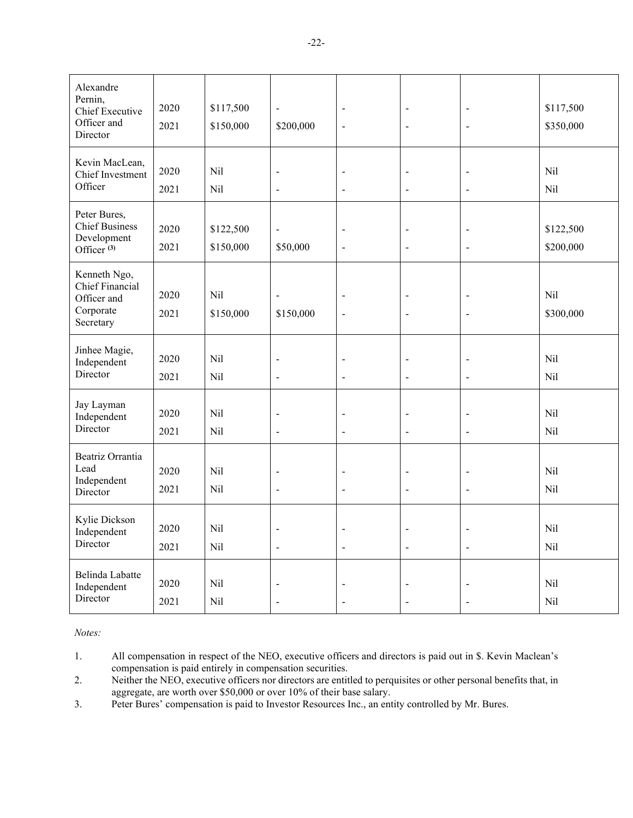| Alexandre<br>Pernin,<br>Chief Executive<br>Officer and<br>Director             | 2020<br>2021 | \$117,500<br>\$150,000 | $\blacksquare$<br>\$200,000                | $\blacksquare$<br>$\blacksquare$           | $\blacksquare$<br>$\overline{\phantom{a}}$               | $\blacksquare$<br>$\blacksquare$                    | \$117,500<br>\$350,000 |
|--------------------------------------------------------------------------------|--------------|------------------------|--------------------------------------------|--------------------------------------------|----------------------------------------------------------|-----------------------------------------------------|------------------------|
| Kevin MacLean,<br>Chief Investment<br>Officer                                  | 2020<br>2021 | Nil<br>Nil             | $\overline{a}$<br>$\blacksquare$           | $\overline{a}$<br>$\overline{a}$           | $\blacksquare$<br>$\overline{a}$                         | $\blacksquare$<br>$\blacksquare$                    | Nil<br>Nil             |
| Peter Bures,<br><b>Chief Business</b><br>Development<br>Officer <sup>(3)</sup> | 2020<br>2021 | \$122,500<br>\$150,000 | $\overline{a}$<br>\$50,000                 | $\overline{a}$<br>$\overline{a}$           | $\blacksquare$<br>$\overline{\phantom{a}}$               | $\blacksquare$<br>$\overline{a}$                    | \$122,500<br>\$200,000 |
| Kenneth Ngo,<br>Chief Financial<br>Officer and<br>Corporate<br>Secretary       | 2020<br>2021 | Nil<br>\$150,000       | $\blacksquare$<br>\$150,000                | $\blacksquare$<br>$\overline{\phantom{a}}$ | $\qquad \qquad \blacksquare$<br>$\overline{\phantom{a}}$ | $\blacksquare$<br>$\blacksquare$                    | Nil<br>\$300,000       |
| Jinhee Magie,<br>Independent<br>Director                                       | 2020<br>2021 | Nil<br>Nil             | $\blacksquare$<br>$\overline{a}$           | $\blacksquare$<br>$\overline{a}$           | $\qquad \qquad \blacksquare$<br>$\overline{a}$           | $\qquad \qquad -$<br>$\qquad \qquad -$              | Nil<br>Nil             |
| Jay Layman<br>Independent<br>Director                                          | 2020<br>2021 | Nil<br>Nil             | $\blacksquare$<br>$\overline{\phantom{a}}$ | $\blacksquare$<br>$\ddot{\phantom{1}}$     | $\blacksquare$<br>$\overline{a}$                         | $\blacksquare$<br>$\Box$                            | Nil<br>Nil             |
| Beatriz Orrantia<br>Lead<br>Independent<br>Director                            | 2020<br>2021 | Nil<br>Nil             | $\blacksquare$<br>$\blacksquare$           | $\blacksquare$<br>$\blacksquare$           | $\qquad \qquad \blacksquare$<br>$\frac{1}{2}$            | $\qquad \qquad \blacksquare$<br>$\blacksquare$      | Nil<br>Nil             |
| Kylie Dickson<br>Independent<br>Director                                       | 2020<br>2021 | Nil<br>Nil             | $\blacksquare$<br>$\overline{a}$           | $\blacksquare$<br>$\overline{a}$           | $\qquad \qquad \blacksquare$<br>$\bar{\phantom{a}}$      | $\qquad \qquad \blacksquare$<br>$\bar{\phantom{a}}$ | Nil<br>Nil             |
| Belinda Labatte<br>Independent<br>Director                                     | 2020<br>2021 | Nil<br>Nil             | L,                                         | $\blacksquare$                             | $\overline{a}$                                           | L,                                                  | Nil<br>Nil             |

*Notes:*

1. All compensation in respect of the NEO, executive officers and directors is paid out in \$. Kevin Maclean's compensation is paid entirely in compensation securities.

2. Neither the NEO, executive officers nor directors are entitled to perquisites or other personal benefits that, in aggregate, are worth over \$50,000 or over 10% of their base salary.

3. Peter Bures' compensation is paid to Investor Resources Inc., an entity controlled by Mr. Bures.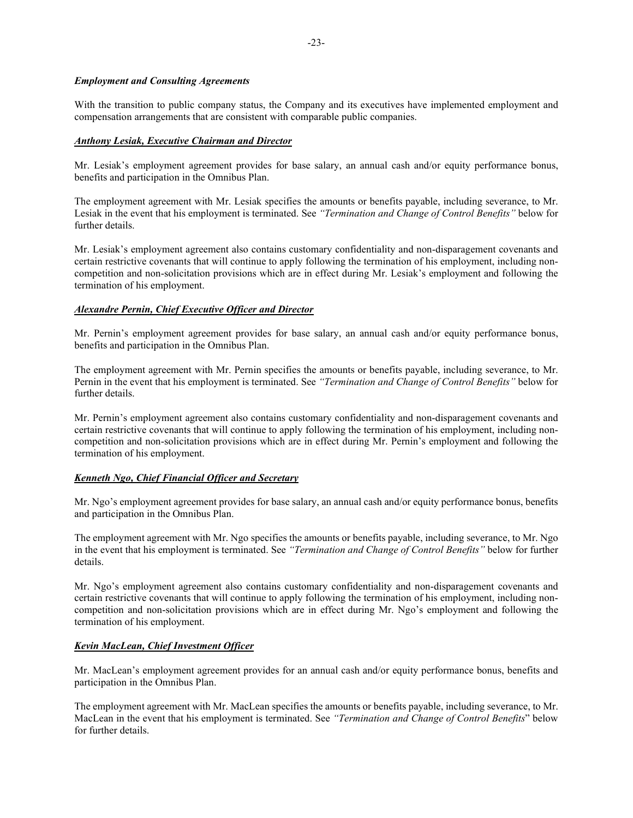# *Employment and Consulting Agreements*

With the transition to public company status, the Company and its executives have implemented employment and compensation arrangements that are consistent with comparable public companies.

# *Anthony Lesiak, Executive Chairman and Director*

Mr. Lesiak's employment agreement provides for base salary, an annual cash and/or equity performance bonus, benefits and participation in the Omnibus Plan.

The employment agreement with Mr. Lesiak specifies the amounts or benefits payable, including severance, to Mr. Lesiak in the event that his employment is terminated. See *"Termination and Change of Control Benefits"* below for further details.

Mr. Lesiak's employment agreement also contains customary confidentiality and non-disparagement covenants and certain restrictive covenants that will continue to apply following the termination of his employment, including noncompetition and non-solicitation provisions which are in effect during Mr. Lesiak's employment and following the termination of his employment.

# *Alexandre Pernin, Chief Executive Officer and Director*

Mr. Pernin's employment agreement provides for base salary, an annual cash and/or equity performance bonus, benefits and participation in the Omnibus Plan.

The employment agreement with Mr. Pernin specifies the amounts or benefits payable, including severance, to Mr. Pernin in the event that his employment is terminated. See *"Termination and Change of Control Benefits"* below for further details.

Mr. Pernin's employment agreement also contains customary confidentiality and non-disparagement covenants and certain restrictive covenants that will continue to apply following the termination of his employment, including noncompetition and non-solicitation provisions which are in effect during Mr. Pernin's employment and following the termination of his employment.

# *Kenneth Ngo, Chief Financial Officer and Secretary*

Mr. Ngo's employment agreement provides for base salary, an annual cash and/or equity performance bonus, benefits and participation in the Omnibus Plan.

The employment agreement with Mr. Ngo specifies the amounts or benefits payable, including severance, to Mr. Ngo in the event that his employment is terminated. See *"Termination and Change of Control Benefits"* below for further details.

Mr. Ngo's employment agreement also contains customary confidentiality and non-disparagement covenants and certain restrictive covenants that will continue to apply following the termination of his employment, including noncompetition and non-solicitation provisions which are in effect during Mr. Ngo's employment and following the termination of his employment.

# *Kevin MacLean, Chief Investment Officer*

Mr. MacLean's employment agreement provides for an annual cash and/or equity performance bonus, benefits and participation in the Omnibus Plan.

The employment agreement with Mr. MacLean specifies the amounts or benefits payable, including severance, to Mr. MacLean in the event that his employment is terminated. See *"Termination and Change of Control Benefits*" below for further details.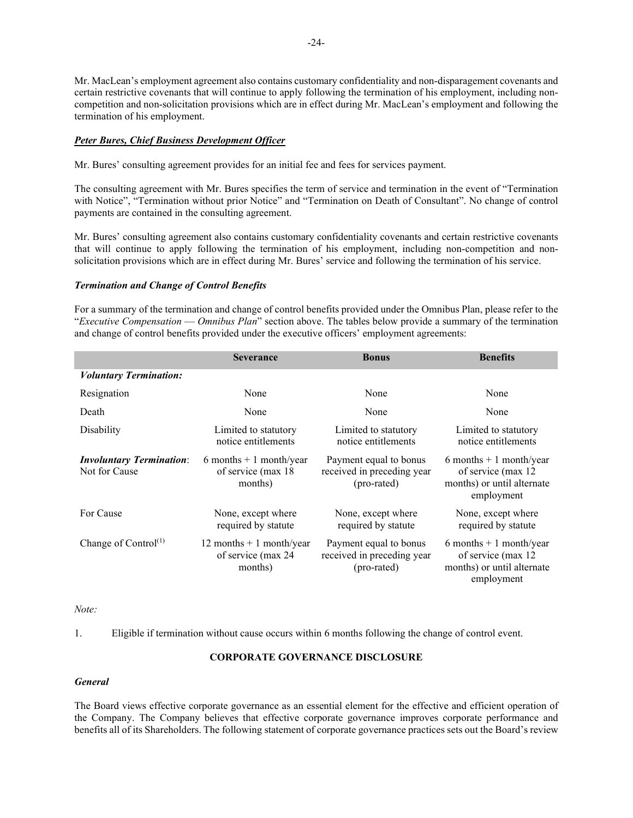Mr. MacLean's employment agreement also contains customary confidentiality and non-disparagement covenants and certain restrictive covenants that will continue to apply following the termination of his employment, including noncompetition and non-solicitation provisions which are in effect during Mr. MacLean's employment and following the termination of his employment.

# *Peter Bures, Chief Business Development Officer*

Mr. Bures' consulting agreement provides for an initial fee and fees for services payment.

The consulting agreement with Mr. Bures specifies the term of service and termination in the event of "Termination with Notice", "Termination without prior Notice" and "Termination on Death of Consultant". No change of control payments are contained in the consulting agreement.

Mr. Bures' consulting agreement also contains customary confidentiality covenants and certain restrictive covenants that will continue to apply following the termination of his employment, including non-competition and nonsolicitation provisions which are in effect during Mr. Bures' service and following the termination of his service.

## *Termination and Change of Control Benefits*

For a summary of the termination and change of control benefits provided under the Omnibus Plan, please refer to the "*Executive Compensation* — *Omnibus Plan*" section above. The tables below provide a summary of the termination and change of control benefits provided under the executive officers' employment agreements:

|                                                  | <b>Severance</b>                                           | <b>Bonus</b>                                                        | <b>Benefits</b>                                                                             |
|--------------------------------------------------|------------------------------------------------------------|---------------------------------------------------------------------|---------------------------------------------------------------------------------------------|
| <b>Voluntary Termination:</b>                    |                                                            |                                                                     |                                                                                             |
| Resignation                                      | None                                                       | None                                                                | None                                                                                        |
| Death                                            | None                                                       | None                                                                | None                                                                                        |
| Disability                                       | Limited to statutory<br>notice entitlements                | Limited to statutory<br>notice entitlements                         | Limited to statutory<br>notice entitlements                                                 |
| <b>Involuntary Termination:</b><br>Not for Cause | 6 months $+1$ month/year<br>of service (max 18)<br>months) | Payment equal to bonus<br>received in preceding year<br>(pro-rated) | 6 months $+1$ month/year<br>of service (max 12<br>months) or until alternate<br>employment  |
| For Cause                                        | None, except where<br>required by statute                  | None, except where<br>required by statute                           | None, except where<br>required by statute                                                   |
| Change of Control <sup>(1)</sup>                 | 12 months $+1$ month/year<br>of service (max 24<br>months) | Payment equal to bonus<br>received in preceding year<br>(pro-rated) | $6$ months + 1 month/year<br>of service (max 12<br>months) or until alternate<br>employment |

## *Note:*

1. Eligible if termination without cause occurs within 6 months following the change of control event.

## **CORPORATE GOVERNANCE DISCLOSURE**

# *General*

The Board views effective corporate governance as an essential element for the effective and efficient operation of the Company. The Company believes that effective corporate governance improves corporate performance and benefits all of its Shareholders. The following statement of corporate governance practices sets out the Board's review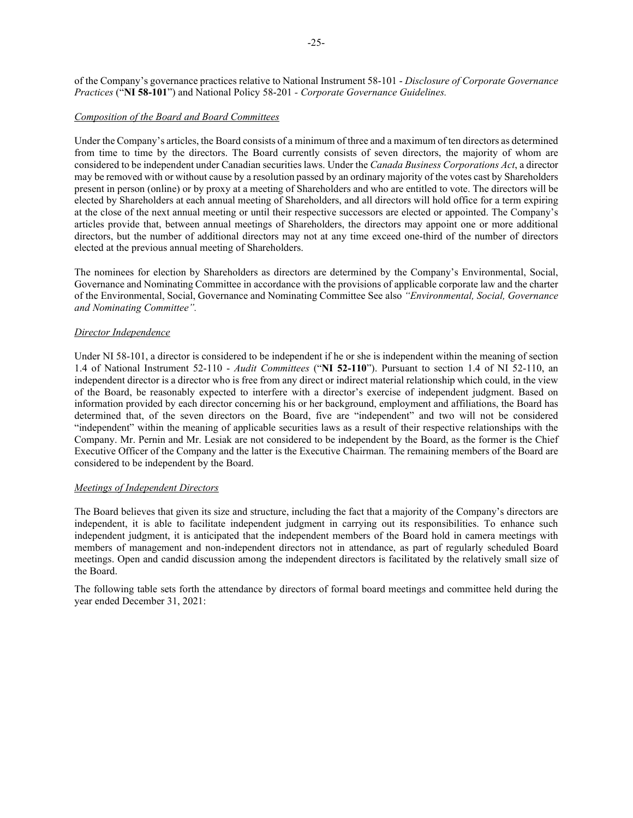of the Company's governance practices relative to National Instrument 58-101 - *Disclosure of Corporate Governance Practices* ("**NI 58-101**") and National Policy 58-201 *- Corporate Governance Guidelines.*

## *Composition of the Board and Board Committees*

Under the Company's articles, the Board consists of a minimum of three and a maximum of ten directors as determined from time to time by the directors. The Board currently consists of seven directors, the majority of whom are considered to be independent under Canadian securities laws. Under the *Canada Business Corporations Act*, a director may be removed with or without cause by a resolution passed by an ordinary majority of the votes cast by Shareholders present in person (online) or by proxy at a meeting of Shareholders and who are entitled to vote. The directors will be elected by Shareholders at each annual meeting of Shareholders, and all directors will hold office for a term expiring at the close of the next annual meeting or until their respective successors are elected or appointed. The Company's articles provide that, between annual meetings of Shareholders, the directors may appoint one or more additional directors, but the number of additional directors may not at any time exceed one-third of the number of directors elected at the previous annual meeting of Shareholders.

The nominees for election by Shareholders as directors are determined by the Company's Environmental, Social, Governance and Nominating Committee in accordance with the provisions of applicable corporate law and the charter of the Environmental, Social, Governance and Nominating Committee See also *"Environmental, Social, Governance and Nominating Committee".*

# *Director Independence*

Under NI 58-101, a director is considered to be independent if he or she is independent within the meaning of section 1.4 of National Instrument 52-110 - *Audit Committees* ("**NI 52-110**"). Pursuant to section 1.4 of NI 52-110, an independent director is a director who is free from any direct or indirect material relationship which could, in the view of the Board, be reasonably expected to interfere with a director's exercise of independent judgment. Based on information provided by each director concerning his or her background, employment and affiliations, the Board has determined that, of the seven directors on the Board, five are "independent" and two will not be considered "independent" within the meaning of applicable securities laws as a result of their respective relationships with the Company. Mr. Pernin and Mr. Lesiak are not considered to be independent by the Board, as the former is the Chief Executive Officer of the Company and the latter is the Executive Chairman. The remaining members of the Board are considered to be independent by the Board.

## *Meetings of Independent Directors*

The Board believes that given its size and structure, including the fact that a majority of the Company's directors are independent, it is able to facilitate independent judgment in carrying out its responsibilities. To enhance such independent judgment, it is anticipated that the independent members of the Board hold in camera meetings with members of management and non-independent directors not in attendance, as part of regularly scheduled Board meetings. Open and candid discussion among the independent directors is facilitated by the relatively small size of the Board.

The following table sets forth the attendance by directors of formal board meetings and committee held during the year ended December 31, 2021: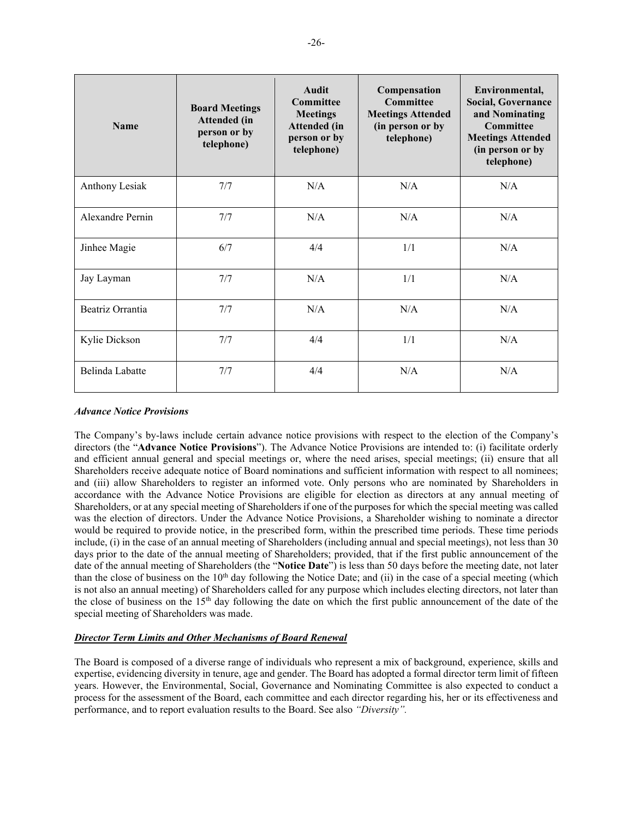| <b>Name</b>      | <b>Board Meetings</b><br>Attended (in<br>person or by<br>telephone) | <b>Audit</b><br>Committee<br><b>Meetings</b><br>Attended (in<br>person or by<br>telephone) | Compensation<br><b>Committee</b><br><b>Meetings Attended</b><br>(in person or by<br>telephone) | Environmental,<br><b>Social, Governance</b><br>and Nominating<br>Committee<br><b>Meetings Attended</b><br>(in person or by<br>telephone) |
|------------------|---------------------------------------------------------------------|--------------------------------------------------------------------------------------------|------------------------------------------------------------------------------------------------|------------------------------------------------------------------------------------------------------------------------------------------|
| Anthony Lesiak   | 7/7                                                                 | N/A                                                                                        | N/A                                                                                            | N/A                                                                                                                                      |
| Alexandre Pernin | 7/7                                                                 | N/A                                                                                        | N/A                                                                                            | N/A                                                                                                                                      |
| Jinhee Magie     | 6/7                                                                 | 4/4                                                                                        | 1/1                                                                                            | N/A                                                                                                                                      |
| Jay Layman       | 7/7                                                                 | N/A                                                                                        | 1/1                                                                                            | N/A                                                                                                                                      |
| Beatriz Orrantia | 7/7                                                                 | N/A                                                                                        | N/A                                                                                            | N/A                                                                                                                                      |
| Kylie Dickson    | 7/7                                                                 | 4/4                                                                                        | 1/1                                                                                            | N/A                                                                                                                                      |
| Belinda Labatte  | 7/7                                                                 | 4/4                                                                                        | N/A                                                                                            | N/A                                                                                                                                      |

## <span id="page-28-0"></span>*Advance Notice Provisions*

The Company's by-laws include certain advance notice provisions with respect to the election of the Company's directors (the "**Advance Notice Provisions**"). The Advance Notice Provisions are intended to: (i) facilitate orderly and efficient annual general and special meetings or, where the need arises, special meetings; (ii) ensure that all Shareholders receive adequate notice of Board nominations and sufficient information with respect to all nominees; and (iii) allow Shareholders to register an informed vote. Only persons who are nominated by Shareholders in accordance with the Advance Notice Provisions are eligible for election as directors at any annual meeting of Shareholders, or at any special meeting of Shareholders if one of the purposes for which the special meeting was called was the election of directors. Under the Advance Notice Provisions, a Shareholder wishing to nominate a director would be required to provide notice, in the prescribed form, within the prescribed time periods. These time periods include, (i) in the case of an annual meeting of Shareholders (including annual and special meetings), not less than 30 days prior to the date of the annual meeting of Shareholders; provided, that if the first public announcement of the date of the annual meeting of Shareholders (the "**Notice Date**") is less than 50 days before the meeting date, not later than the close of business on the  $10<sup>th</sup>$  day following the Notice Date; and (ii) in the case of a special meeting (which is not also an annual meeting) of Shareholders called for any purpose which includes electing directors, not later than the close of business on the 15th day following the date on which the first public announcement of the date of the special meeting of Shareholders was made.

# *Director Term Limits and Other Mechanisms of Board Renewal*

The Board is composed of a diverse range of individuals who represent a mix of background, experience, skills and expertise, evidencing diversity in tenure, age and gender. The Board has adopted a formal director term limit of fifteen years. However, the Environmental, Social, Governance and Nominating Committee is also expected to conduct a process for the assessment of the Board, each committee and each director regarding his, her or its effectiveness and performance, and to report evaluation results to the Board. See also *["Diversity"](#page-33-0).*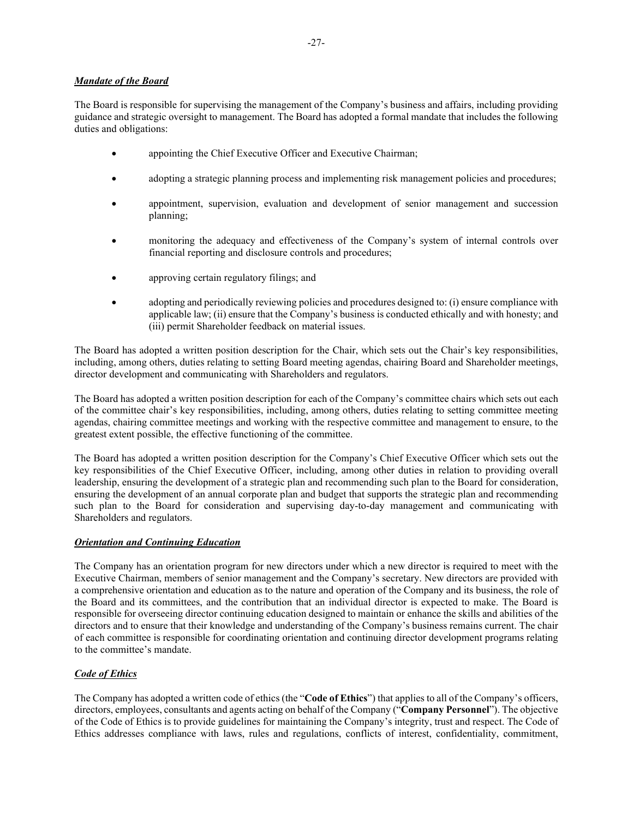# *Mandate of the Board*

The Board is responsible for supervising the management of the Company's business and affairs, including providing guidance and strategic oversight to management. The Board has adopted a formal mandate that includes the following duties and obligations:

- appointing the Chief Executive Officer and Executive Chairman;
- adopting a strategic planning process and implementing risk management policies and procedures;
- appointment, supervision, evaluation and development of senior management and succession planning;
- monitoring the adequacy and effectiveness of the Company's system of internal controls over financial reporting and disclosure controls and procedures;
- approving certain regulatory filings; and
- adopting and periodically reviewing policies and procedures designed to: (i) ensure compliance with applicable law; (ii) ensure that the Company's business is conducted ethically and with honesty; and (iii) permit Shareholder feedback on material issues.

The Board has adopted a written position description for the Chair, which sets out the Chair's key responsibilities, including, among others, duties relating to setting Board meeting agendas, chairing Board and Shareholder meetings, director development and communicating with Shareholders and regulators.

The Board has adopted a written position description for each of the Company's committee chairs which sets out each of the committee chair's key responsibilities, including, among others, duties relating to setting committee meeting agendas, chairing committee meetings and working with the respective committee and management to ensure, to the greatest extent possible, the effective functioning of the committee.

The Board has adopted a written position description for the Company's Chief Executive Officer which sets out the key responsibilities of the Chief Executive Officer, including, among other duties in relation to providing overall leadership, ensuring the development of a strategic plan and recommending such plan to the Board for consideration, ensuring the development of an annual corporate plan and budget that supports the strategic plan and recommending such plan to the Board for consideration and supervising day-to-day management and communicating with Shareholders and regulators.

# *Orientation and Continuing Education*

The Company has an orientation program for new directors under which a new director is required to meet with the Executive Chairman, members of senior management and the Company's secretary. New directors are provided with a comprehensive orientation and education as to the nature and operation of the Company and its business, the role of the Board and its committees, and the contribution that an individual director is expected to make. The Board is responsible for overseeing director continuing education designed to maintain or enhance the skills and abilities of the directors and to ensure that their knowledge and understanding of the Company's business remains current. The chair of each committee is responsible for coordinating orientation and continuing director development programs relating to the committee's mandate.

# *Code of Ethics*

The Company has adopted a written code of ethics (the "**Code of Ethics**") that applies to all of the Company's officers, directors, employees, consultants and agents acting on behalf of the Company ("**Company Personnel**"). The objective of the Code of Ethics is to provide guidelines for maintaining the Company's integrity, trust and respect. The Code of Ethics addresses compliance with laws, rules and regulations, conflicts of interest, confidentiality, commitment,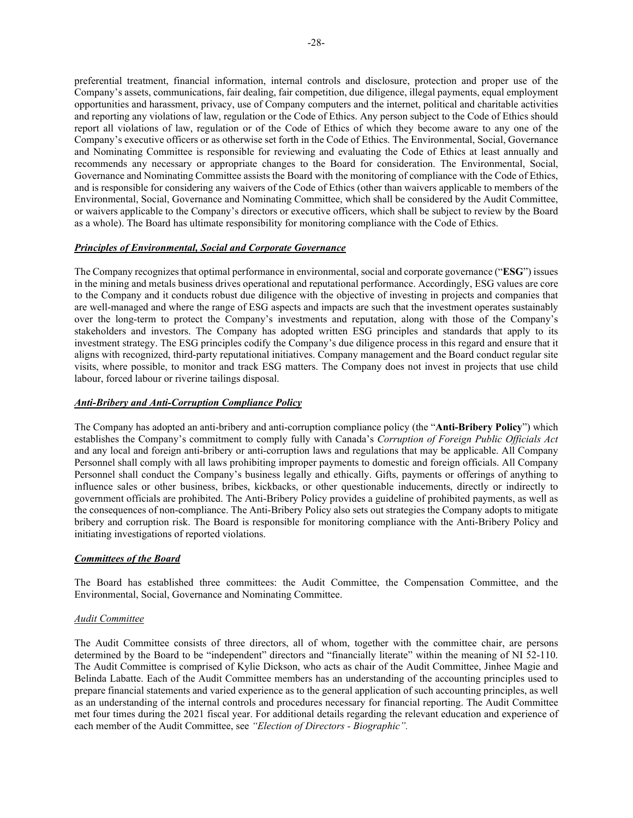preferential treatment, financial information, internal controls and disclosure, protection and proper use of the Company's assets, communications, fair dealing, fair competition, due diligence, illegal payments, equal employment opportunities and harassment, privacy, use of Company computers and the internet, political and charitable activities and reporting any violations of law, regulation or the Code of Ethics. Any person subject to the Code of Ethics should report all violations of law, regulation or of the Code of Ethics of which they become aware to any one of the Company's executive officers or as otherwise set forth in the Code of Ethics. The Environmental, Social, Governance and Nominating Committee is responsible for reviewing and evaluating the Code of Ethics at least annually and recommends any necessary or appropriate changes to the Board for consideration. The Environmental, Social, Governance and Nominating Committee assists the Board with the monitoring of compliance with the Code of Ethics, and is responsible for considering any waivers of the Code of Ethics (other than waivers applicable to members of the Environmental, Social, Governance and Nominating Committee, which shall be considered by the Audit Committee, or waivers applicable to the Company's directors or executive officers, which shall be subject to review by the Board as a whole). The Board has ultimate responsibility for monitoring compliance with the Code of Ethics.

# *Principles of Environmental, Social and Corporate Governance*

The Company recognizes that optimal performance in environmental, social and corporate governance ("**ESG**") issues in the mining and metals business drives operational and reputational performance. Accordingly, ESG values are core to the Company and it conducts robust due diligence with the objective of investing in projects and companies that are well-managed and where the range of ESG aspects and impacts are such that the investment operates sustainably over the long-term to protect the Company's investments and reputation, along with those of the Company's stakeholders and investors. The Company has adopted written ESG principles and standards that apply to its investment strategy. The ESG principles codify the Company's due diligence process in this regard and ensure that it aligns with recognized, third-party reputational initiatives. Company management and the Board conduct regular site visits, where possible, to monitor and track ESG matters. The Company does not invest in projects that use child labour, forced labour or riverine tailings disposal.

## *Anti-Bribery and Anti-Corruption Compliance Policy*

The Company has adopted an anti-bribery and anti-corruption compliance policy (the "**Anti-Bribery Policy**") which establishes the Company's commitment to comply fully with Canada's *Corruption of Foreign Public Officials Act*  and any local and foreign anti-bribery or anti-corruption laws and regulations that may be applicable. All Company Personnel shall comply with all laws prohibiting improper payments to domestic and foreign officials. All Company Personnel shall conduct the Company's business legally and ethically. Gifts, payments or offerings of anything to influence sales or other business, bribes, kickbacks, or other questionable inducements, directly or indirectly to government officials are prohibited. The Anti-Bribery Policy provides a guideline of prohibited payments, as well as the consequences of non-compliance. The Anti-Bribery Policy also sets out strategies the Company adopts to mitigate bribery and corruption risk. The Board is responsible for monitoring compliance with the Anti-Bribery Policy and initiating investigations of reported violations.

## *Committees of the Board*

The Board has established three committees: the Audit Committee, the Compensation Committee, and the Environmental, Social, Governance and Nominating Committee.

## *Audit Committee*

The Audit Committee consists of three directors, all of whom, together with the committee chair, are persons determined by the Board to be "independent" directors and "financially literate" within the meaning of NI 52-110. The Audit Committee is comprised of Kylie Dickson, who acts as chair of the Audit Committee, Jinhee Magie and Belinda Labatte. Each of the Audit Committee members has an understanding of the accounting principles used to prepare financial statements and varied experience as to the general application of such accounting principles, as well as an understanding of the internal controls and procedures necessary for financial reporting. The Audit Committee met four times during the 2021 fiscal year. For additional details regarding the relevant education and experience of each member of the Audit Committee, see *["Election of Directors -](#page-8-0) [Biographic"](#page-10-0).*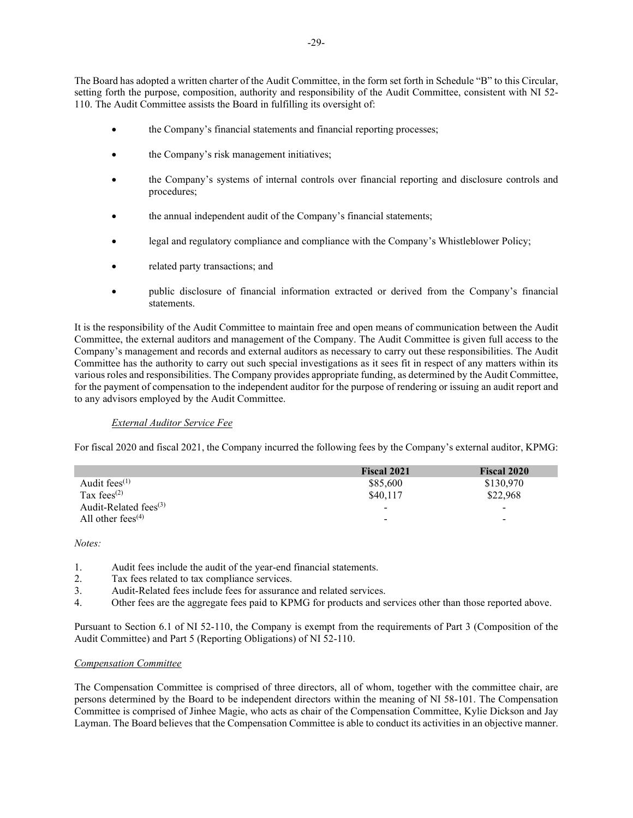The Board has adopted a written charter of the Audit Committee, in the form set forth in Schedule "B" to this Circular, setting forth the purpose, composition, authority and responsibility of the Audit Committee, consistent with NI 52- 110. The Audit Committee assists the Board in fulfilling its oversight of:

- the Company's financial statements and financial reporting processes;
- the Company's risk management initiatives;
- the Company's systems of internal controls over financial reporting and disclosure controls and procedures;
- the annual independent audit of the Company's financial statements;
- legal and regulatory compliance and compliance with the Company's Whistleblower Policy;
- related party transactions; and
- public disclosure of financial information extracted or derived from the Company's financial statements.

It is the responsibility of the Audit Committee to maintain free and open means of communication between the Audit Committee, the external auditors and management of the Company. The Audit Committee is given full access to the Company's management and records and external auditors as necessary to carry out these responsibilities. The Audit Committee has the authority to carry out such special investigations as it sees fit in respect of any matters within its various roles and responsibilities. The Company provides appropriate funding, as determined by the Audit Committee, for the payment of compensation to the independent auditor for the purpose of rendering or issuing an audit report and to any advisors employed by the Audit Committee.

# *External Auditor Service Fee*

For fiscal 2020 and fiscal 2021, the Company incurred the following fees by the Company's external auditor, KPMG:

|                                            | <b>Fiscal 2021</b>       | <b>Fiscal 2020</b> |
|--------------------------------------------|--------------------------|--------------------|
| Audit fees $(1)$                           | \$85,600                 | \$130,970          |
| Tax fees <sup><math>(2)</math></sup>       | \$40,117                 | \$22,968           |
| Audit-Related fees $(3)$                   | $\overline{\phantom{a}}$ | -                  |
| All other fees <sup><math>(4)</math></sup> | $\overline{\phantom{a}}$ | -                  |

*Notes:*

- 1. Audit fees include the audit of the year-end financial statements.
- 2. Tax fees related to tax compliance services.
- 3. Audit-Related fees include fees for assurance and related services.
- 4. Other fees are the aggregate fees paid to KPMG for products and services other than those reported above.

Pursuant to Section 6.1 of NI 52-110, the Company is exempt from the requirements of Part 3 (Composition of the Audit Committee) and Part 5 (Reporting Obligations) of NI 52-110.

# *Compensation Committee*

The Compensation Committee is comprised of three directors, all of whom, together with the committee chair, are persons determined by the Board to be independent directors within the meaning of NI 58-101. The Compensation Committee is comprised of Jinhee Magie, who acts as chair of the Compensation Committee, Kylie Dickson and Jay Layman. The Board believes that the Compensation Committee is able to conduct its activities in an objective manner.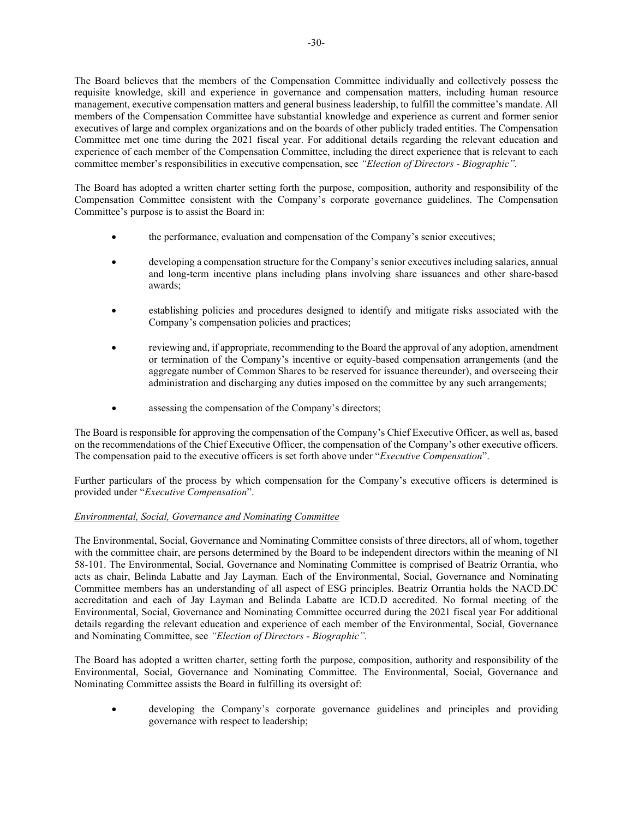The Board believes that the members of the Compensation Committee individually and collectively possess the requisite knowledge, skill and experience in governance and compensation matters, including human resource management, executive compensation matters and general business leadership, to fulfill the committee's mandate. All members of the Compensation Committee have substantial knowledge and experience as current and former senior executives of large and complex organizations and on the boards of other publicly traded entities. The Compensation Committee met one time during the 2021 fiscal year. For additional details regarding the relevant education and experience of each member of the Compensation Committee, including the direct experience that is relevant to each committee member's responsibilities in executive compensation, see *["Election of Directors](#page-8-0) - [Biographic"](#page-10-0).*

The Board has adopted a written charter setting forth the purpose, composition, authority and responsibility of the Compensation Committee consistent with the Company's corporate governance guidelines. The Compensation Committee's purpose is to assist the Board in:

- the performance, evaluation and compensation of the Company's senior executives;
- developing a compensation structure for the Company's senior executives including salaries, annual and long-term incentive plans including plans involving share issuances and other share-based awards;
- establishing policies and procedures designed to identify and mitigate risks associated with the Company's compensation policies and practices;
- reviewing and, if appropriate, recommending to the Board the approval of any adoption, amendment or termination of the Company's incentive or equity-based compensation arrangements (and the aggregate number of Common Shares to be reserved for issuance thereunder), and overseeing their administration and discharging any duties imposed on the committee by any such arrangements;
- assessing the compensation of the Company's directors;

The Board is responsible for approving the compensation of the Company's Chief Executive Officer, as well as, based on the recommendations of the Chief Executive Officer, the compensation of the Company's other executive officers. The compensation paid to the executive officers is set forth above under "*Executive Compensation*".

Further particulars of the process by which compensation for the Company's executive officers is determined is provided under "*Executive Compensation*".

# *Environmental, Social, Governance and Nominating Committee*

The Environmental, Social, Governance and Nominating Committee consists of three directors, all of whom, together with the committee chair, are persons determined by the Board to be independent directors within the meaning of NI 58-101. The Environmental, Social, Governance and Nominating Committee is comprised of Beatriz Orrantia, who acts as chair, Belinda Labatte and Jay Layman. Each of the Environmental, Social, Governance and Nominating Committee members has an understanding of all aspect of ESG principles. Beatriz Orrantia holds the NACD.DC accreditation and each of Jay Layman and Belinda Labatte are ICD.D accredited. No formal meeting of the Environmental, Social, Governance and Nominating Committee occurred during the 2021 fiscal year For additional details regarding the relevant education and experience of each member of the Environmental, Social, Governance and Nominating Committee, see *["Election of Directors](#page-8-0) - [Biographic"](#page-10-0).*

The Board has adopted a written charter, setting forth the purpose, composition, authority and responsibility of the Environmental, Social, Governance and Nominating Committee. The Environmental, Social, Governance and Nominating Committee assists the Board in fulfilling its oversight of:

• developing the Company's corporate governance guidelines and principles and providing governance with respect to leadership;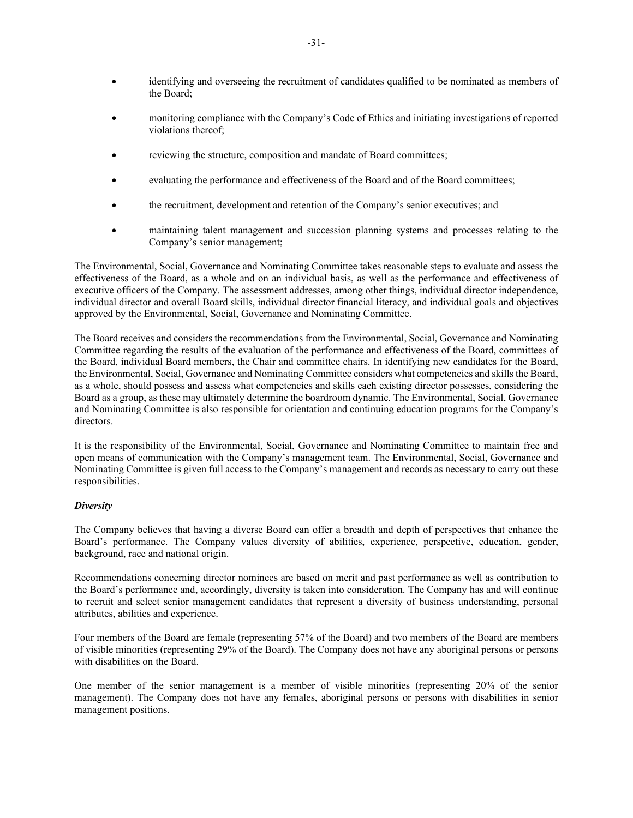- identifying and overseeing the recruitment of candidates qualified to be nominated as members of the Board;
- monitoring compliance with the Company's Code of Ethics and initiating investigations of reported violations thereof;
- reviewing the structure, composition and mandate of Board committees;
- evaluating the performance and effectiveness of the Board and of the Board committees;
- the recruitment, development and retention of the Company's senior executives; and
- maintaining talent management and succession planning systems and processes relating to the Company's senior management;

The Environmental, Social, Governance and Nominating Committee takes reasonable steps to evaluate and assess the effectiveness of the Board, as a whole and on an individual basis, as well as the performance and effectiveness of executive officers of the Company. The assessment addresses, among other things, individual director independence, individual director and overall Board skills, individual director financial literacy, and individual goals and objectives approved by the Environmental, Social, Governance and Nominating Committee.

The Board receives and considers the recommendations from the Environmental, Social, Governance and Nominating Committee regarding the results of the evaluation of the performance and effectiveness of the Board, committees of the Board, individual Board members, the Chair and committee chairs. In identifying new candidates for the Board, the Environmental, Social, Governance and Nominating Committee considers what competencies and skills the Board, as a whole, should possess and assess what competencies and skills each existing director possesses, considering the Board as a group, as these may ultimately determine the boardroom dynamic. The Environmental, Social, Governance and Nominating Committee is also responsible for orientation and continuing education programs for the Company's directors.

It is the responsibility of the Environmental, Social, Governance and Nominating Committee to maintain free and open means of communication with the Company's management team. The Environmental, Social, Governance and Nominating Committee is given full access to the Company's management and records as necessary to carry out these responsibilities.

## <span id="page-33-0"></span>*Diversity*

The Company believes that having a diverse Board can offer a breadth and depth of perspectives that enhance the Board's performance. The Company values diversity of abilities, experience, perspective, education, gender, background, race and national origin.

Recommendations concerning director nominees are based on merit and past performance as well as contribution to the Board's performance and, accordingly, diversity is taken into consideration. The Company has and will continue to recruit and select senior management candidates that represent a diversity of business understanding, personal attributes, abilities and experience.

Four members of the Board are female (representing 57% of the Board) and two members of the Board are members of visible minorities (representing 29% of the Board). The Company does not have any aboriginal persons or persons with disabilities on the Board.

One member of the senior management is a member of visible minorities (representing 20% of the senior management). The Company does not have any females, aboriginal persons or persons with disabilities in senior management positions.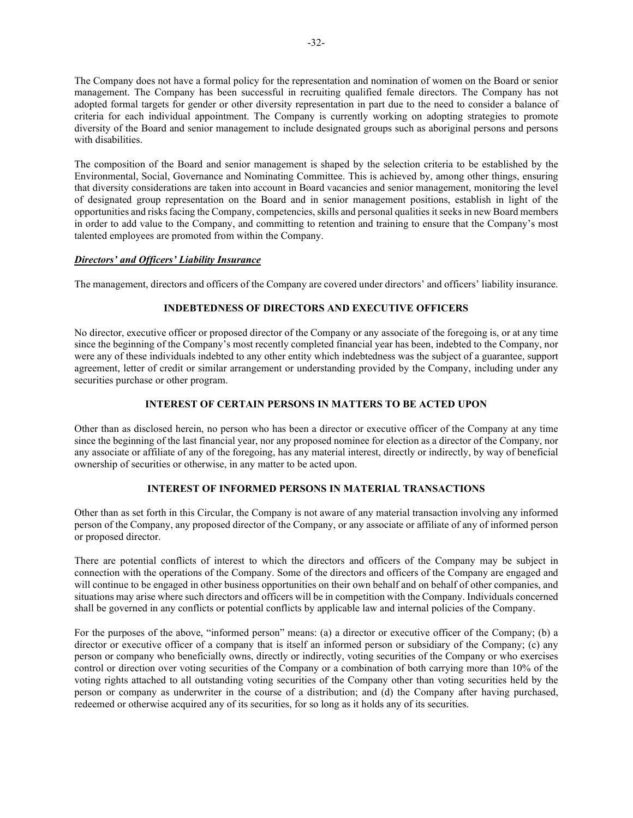The Company does not have a formal policy for the representation and nomination of women on the Board or senior management. The Company has been successful in recruiting qualified female directors. The Company has not adopted formal targets for gender or other diversity representation in part due to the need to consider a balance of criteria for each individual appointment. The Company is currently working on adopting strategies to promote diversity of the Board and senior management to include designated groups such as aboriginal persons and persons with disabilities.

The composition of the Board and senior management is shaped by the selection criteria to be established by the Environmental, Social, Governance and Nominating Committee. This is achieved by, among other things, ensuring that diversity considerations are taken into account in Board vacancies and senior management, monitoring the level of designated group representation on the Board and in senior management positions, establish in light of the opportunities and risks facing the Company, competencies, skills and personal qualities it seeks in new Board members in order to add value to the Company, and committing to retention and training to ensure that the Company's most talented employees are promoted from within the Company.

# *Directors' and Officers' Liability Insurance*

The management, directors and officers of the Company are covered under directors' and officers' liability insurance.

# **INDEBTEDNESS OF DIRECTORS AND EXECUTIVE OFFICERS**

No director, executive officer or proposed director of the Company or any associate of the foregoing is, or at any time since the beginning of the Company's most recently completed financial year has been, indebted to the Company, nor were any of these individuals indebted to any other entity which indebtedness was the subject of a guarantee, support agreement, letter of credit or similar arrangement or understanding provided by the Company, including under any securities purchase or other program.

# **INTEREST OF CERTAIN PERSONS IN MATTERS TO BE ACTED UPON**

Other than as disclosed herein, no person who has been a director or executive officer of the Company at any time since the beginning of the last financial year, nor any proposed nominee for election as a director of the Company, nor any associate or affiliate of any of the foregoing, has any material interest, directly or indirectly, by way of beneficial ownership of securities or otherwise, in any matter to be acted upon.

# **INTEREST OF INFORMED PERSONS IN MATERIAL TRANSACTIONS**

Other than as set forth in this Circular, the Company is not aware of any material transaction involving any informed person of the Company, any proposed director of the Company, or any associate or affiliate of any of informed person or proposed director.

There are potential conflicts of interest to which the directors and officers of the Company may be subject in connection with the operations of the Company. Some of the directors and officers of the Company are engaged and will continue to be engaged in other business opportunities on their own behalf and on behalf of other companies, and situations may arise where such directors and officers will be in competition with the Company. Individuals concerned shall be governed in any conflicts or potential conflicts by applicable law and internal policies of the Company.

For the purposes of the above, "informed person" means: (a) a director or executive officer of the Company; (b) a director or executive officer of a company that is itself an informed person or subsidiary of the Company; (c) any person or company who beneficially owns, directly or indirectly, voting securities of the Company or who exercises control or direction over voting securities of the Company or a combination of both carrying more than 10% of the voting rights attached to all outstanding voting securities of the Company other than voting securities held by the person or company as underwriter in the course of a distribution; and (d) the Company after having purchased, redeemed or otherwise acquired any of its securities, for so long as it holds any of its securities.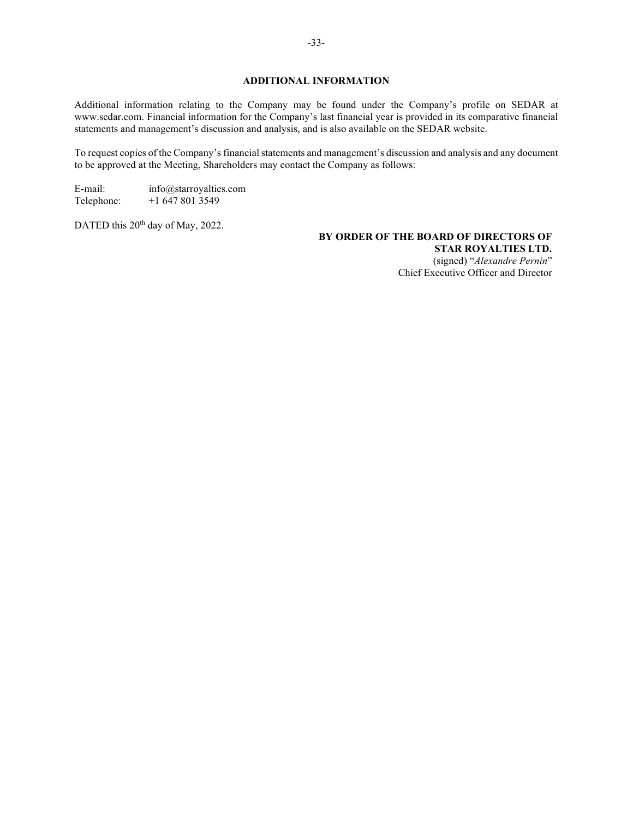# **ADDITIONAL INFORMATION**

Additional information relating to the Company may be found under the Company's profile on SEDAR at www.sedar.com. Financial information for the Company's last financial year is provided in its comparative financial statements and management's discussion and analysis, and is also available on the SEDAR website.

To request copies of the Company's financial statements and management's discussion and analysis and any document to be approved at the Meeting, Shareholders may contact the Company as follows:

E-mail: info@starroyalties.com<br>Telephone: +1 647 801 3549  $+1$  647 801 3549

DATED this 20<sup>th</sup> day of May, 2022.

**BY ORDER OF THE BOARD OF DIRECTORS OF STAR ROYALTIES LTD.** (signed) "*Alexandre Pernin*" Chief Executive Officer and Director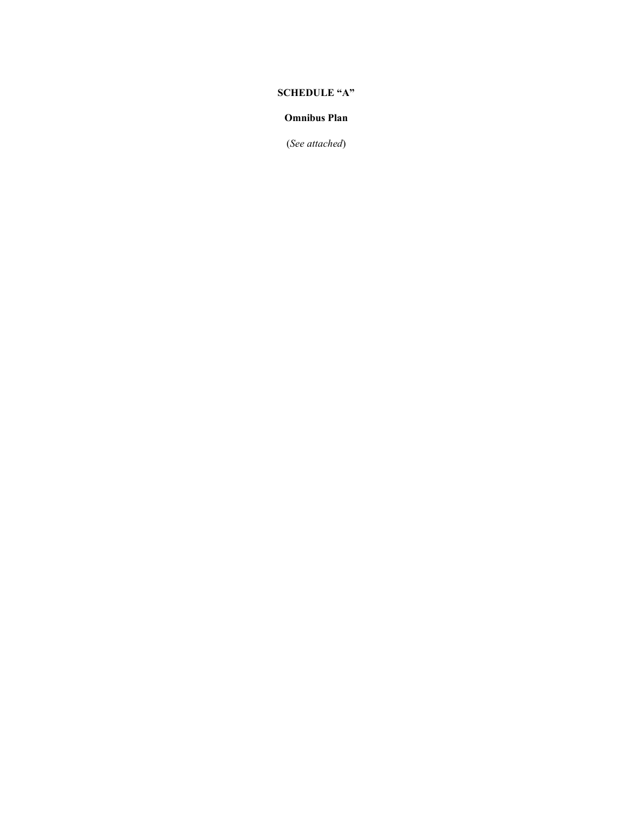# **SCHEDULE "A"**

# **Omnibus Plan**

(*See attached*)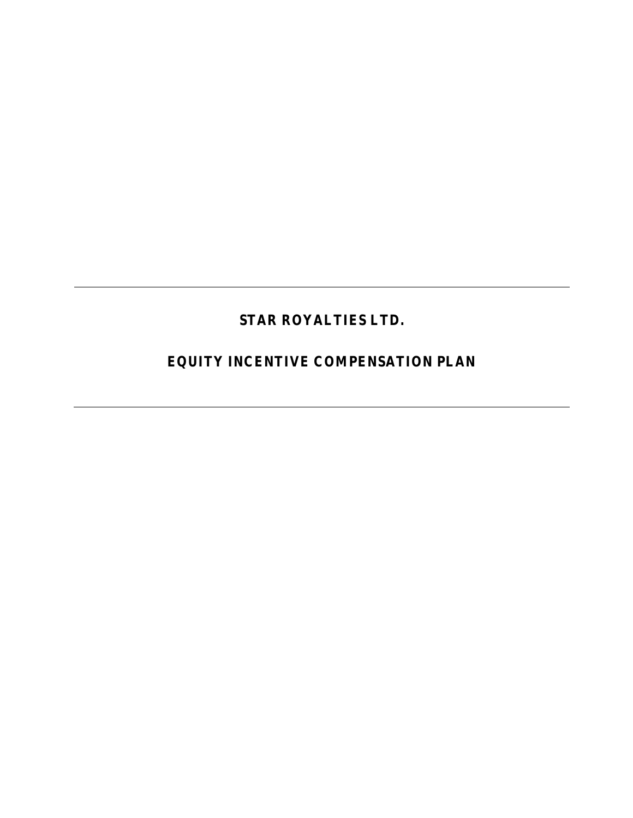# **STAR ROYALTIES LTD.**

**EQUITY INCENTIVE COMPENSATION PLAN**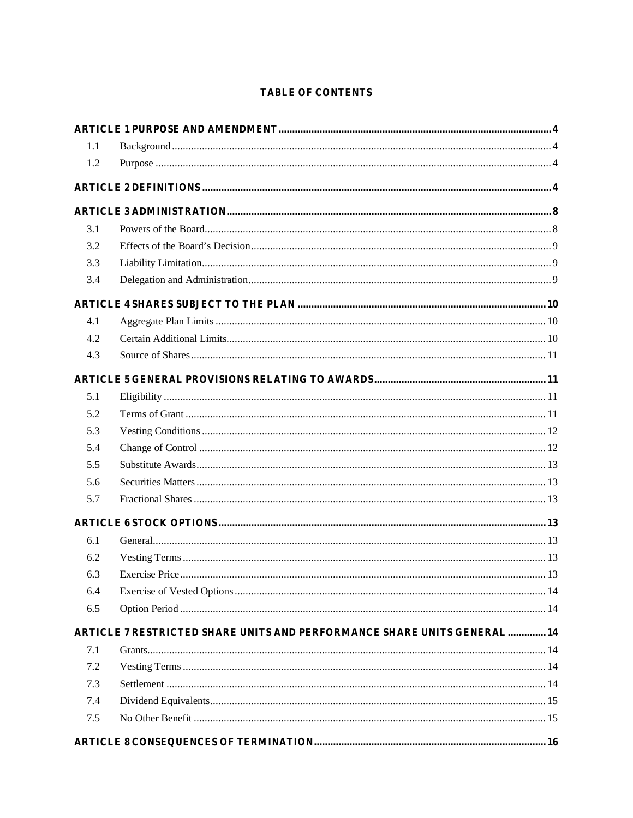# **TABLE OF CONTENTS**

| 1.1 |                                                                         |  |
|-----|-------------------------------------------------------------------------|--|
| 1.2 |                                                                         |  |
|     |                                                                         |  |
|     |                                                                         |  |
| 3.1 |                                                                         |  |
| 3.2 |                                                                         |  |
| 3.3 |                                                                         |  |
| 3.4 |                                                                         |  |
|     |                                                                         |  |
| 4.1 |                                                                         |  |
| 4.2 |                                                                         |  |
| 4.3 |                                                                         |  |
|     |                                                                         |  |
| 5.1 |                                                                         |  |
| 5.2 |                                                                         |  |
| 5.3 |                                                                         |  |
| 5.4 |                                                                         |  |
| 5.5 |                                                                         |  |
| 5.6 |                                                                         |  |
| 5.7 |                                                                         |  |
|     |                                                                         |  |
| 6.1 |                                                                         |  |
| 6.2 |                                                                         |  |
| 6.3 |                                                                         |  |
| 6.4 |                                                                         |  |
| 6.5 |                                                                         |  |
|     | ARTICLE 7 RESTRICTED SHARE UNITS AND PERFORMANCE SHARE UNITS GENERAL 14 |  |
| 7.1 |                                                                         |  |
| 7.2 |                                                                         |  |
| 7.3 |                                                                         |  |
| 7.4 |                                                                         |  |
| 7.5 |                                                                         |  |
|     |                                                                         |  |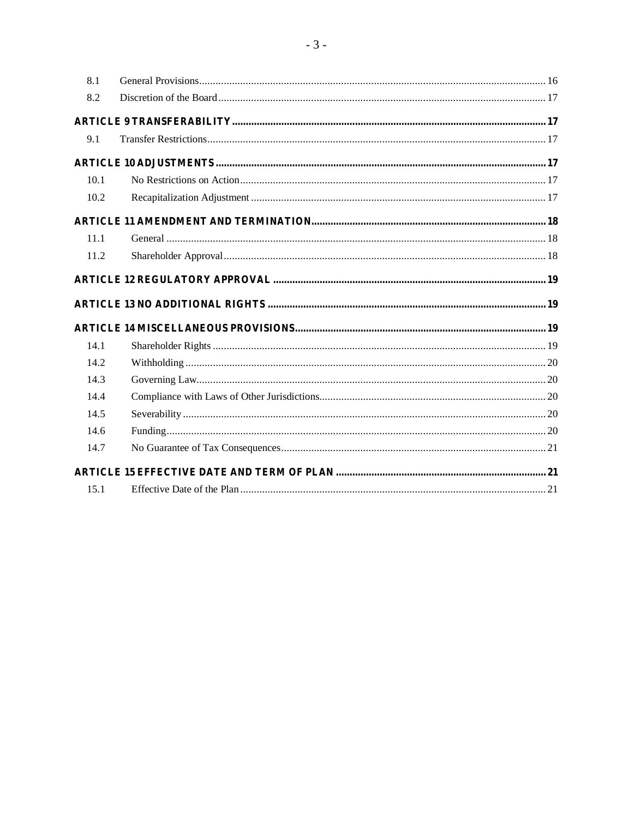| 8.1  |  |
|------|--|
| 8.2  |  |
|      |  |
| 9.1  |  |
|      |  |
| 10.1 |  |
| 10.2 |  |
|      |  |
| 11.1 |  |
| 11.2 |  |
|      |  |
|      |  |
|      |  |
| 14.1 |  |
| 14.2 |  |
| 14.3 |  |
| 14.4 |  |
| 14.5 |  |
| 14.6 |  |
| 14.7 |  |
|      |  |
| 15.1 |  |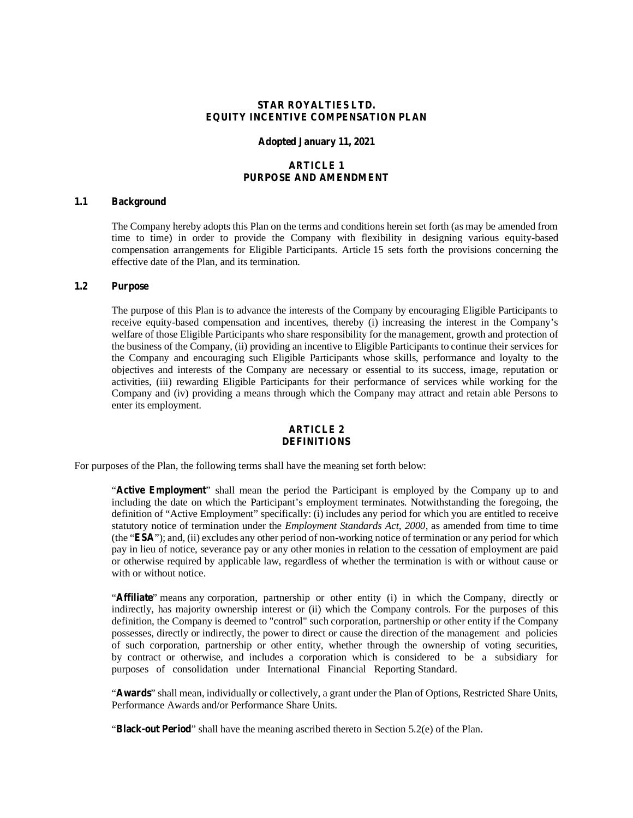## **STAR ROYALTIES LTD. EQUITY INCENTIVE COMPENSATION PLAN**

#### **Adopted January 11, 2021**

## **ARTICLE 1 PURPOSE AND AMENDMENT**

## **1.1 Background**

The Company hereby adopts this Plan on the terms and conditions herein set forth (as may be amended from time to time) in order to provide the Company with flexibility in designing various equity-based compensation arrangements for Eligible Participants. Article 15 sets forth the provisions concerning the effective date of the Plan, and its termination.

#### **1.2 Purpose**

The purpose of this Plan is to advance the interests of the Company by encouraging Eligible Participants to receive equity-based compensation and incentives, thereby (i) increasing the interest in the Company's welfare of those Eligible Participants who share responsibility for the management, growth and protection of the business of the Company, (ii) providing an incentive to Eligible Participants to continue their services for the Company and encouraging such Eligible Participants whose skills, performance and loyalty to the objectives and interests of the Company are necessary or essential to its success, image, reputation or activities, (iii) rewarding Eligible Participants for their performance of services while working for the Company and (iv) providing a means through which the Company may attract and retain able Persons to enter its employment.

#### **ARTICLE 2 DEFINITIONS**

For purposes of the Plan, the following terms shall have the meaning set forth below:

"**Active Employment**" shall mean the period the Participant is employed by the Company up to and including the date on which the Participant's employment terminates. Notwithstanding the foregoing, the definition of "Active Employment" specifically: (i) includes any period for which you are entitled to receive statutory notice of termination under the *Employment Standards Act, 2000*, as amended from time to time (the "**ESA**"); and, (ii) excludes any other period of non-working notice of termination or any period for which pay in lieu of notice, severance pay or any other monies in relation to the cessation of employment are paid or otherwise required by applicable law, regardless of whether the termination is with or without cause or with or without notice.

"**Affiliate**" means any corporation, partnership or other entity (i) in which the Company, directly or indirectly, has majority ownership interest or (ii) which the Company controls. For the purposes of this definition, the Company is deemed to "control" such corporation, partnership or other entity if the Company possesses, directly or indirectly, the power to direct or cause the direction of the management and policies of such corporation, partnership or other entity, whether through the ownership of voting securities, by contract or otherwise, and includes a corporation which is considered to be a subsidiary for purposes of consolidation under International Financial Reporting Standard.

"**Awards**" shall mean, individually or collectively, a grant under the Plan of Options, Restricted Share Units, Performance Awards and/or Performance Share Units.

"**Black-out Period**" shall have the meaning ascribed thereto in Section 5.2(e) of the Plan.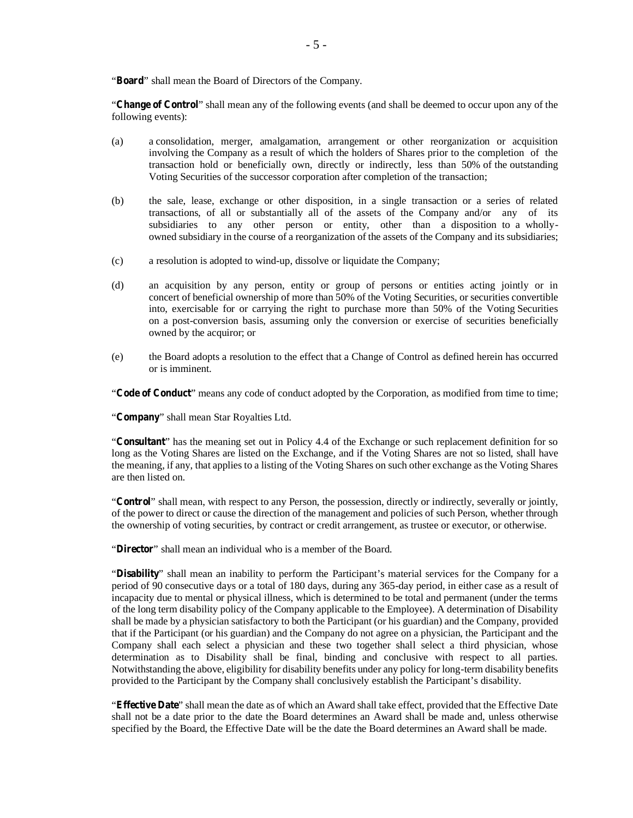"**Board**" shall mean the Board of Directors of the Company.

"**Change of Control**" shall mean any of the following events (and shall be deemed to occur upon any of the following events):

- (a) a consolidation, merger, amalgamation, arrangement or other reorganization or acquisition involving the Company as a result of which the holders of Shares prior to the completion of the transaction hold or beneficially own, directly or indirectly, less than 50% of the outstanding Voting Securities of the successor corporation after completion of the transaction;
- (b) the sale, lease, exchange or other disposition, in a single transaction or a series of related transactions, of all or substantially all of the assets of the Company and/or any of its subsidiaries to any other person or entity, other than a disposition to a whollyowned subsidiary in the course of a reorganization of the assets of the Company and its subsidiaries;
- (c) a resolution is adopted to wind-up, dissolve or liquidate the Company;
- (d) an acquisition by any person, entity or group of persons or entities acting jointly or in concert of beneficial ownership of more than 50% of the Voting Securities, or securities convertible into, exercisable for or carrying the right to purchase more than 50% of the Voting Securities on a post-conversion basis, assuming only the conversion or exercise of securities beneficially owned by the acquiror; or
- (e) the Board adopts a resolution to the effect that a Change of Control as defined herein has occurred or is imminent.

"**Code of Conduct**" means any code of conduct adopted by the Corporation, as modified from time to time;

"**Company**" shall mean Star Royalties Ltd.

"**Consultant**" has the meaning set out in Policy 4.4 of the Exchange or such replacement definition for so long as the Voting Shares are listed on the Exchange, and if the Voting Shares are not so listed, shall have the meaning, if any, that applies to a listing of the Voting Shares on such other exchange as the Voting Shares are then listed on.

"**Control**" shall mean, with respect to any Person, the possession, directly or indirectly, severally or jointly, of the power to direct or cause the direction of the management and policies of such Person, whether through the ownership of voting securities, by contract or credit arrangement, as trustee or executor, or otherwise.

"**Director**" shall mean an individual who is a member of the Board.

"**Disability**" shall mean an inability to perform the Participant's material services for the Company for a period of 90 consecutive days or a total of 180 days, during any 365-day period, in either case as a result of incapacity due to mental or physical illness, which is determined to be total and permanent (under the terms of the long term disability policy of the Company applicable to the Employee). A determination of Disability shall be made by a physician satisfactory to both the Participant (or his guardian) and the Company, provided that if the Participant (or his guardian) and the Company do not agree on a physician, the Participant and the Company shall each select a physician and these two together shall select a third physician, whose determination as to Disability shall be final, binding and conclusive with respect to all parties. Notwithstanding the above, eligibility for disability benefits under any policy for long-term disability benefits provided to the Participant by the Company shall conclusively establish the Participant's disability.

"**Effective Date**" shall mean the date as of which an Award shall take effect, provided that the Effective Date shall not be a date prior to the date the Board determines an Award shall be made and, unless otherwise specified by the Board, the Effective Date will be the date the Board determines an Award shall be made.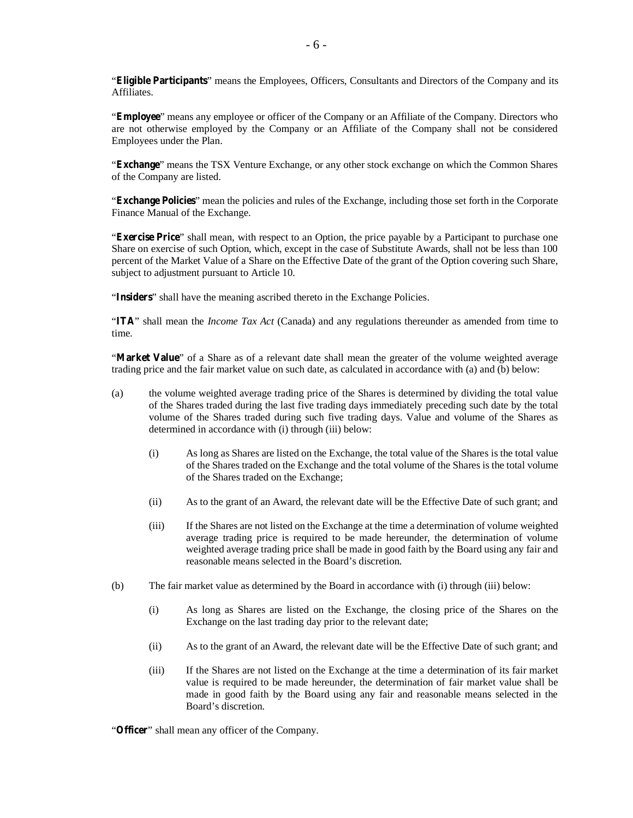"**Eligible Participants**" means the Employees, Officers, Consultants and Directors of the Company and its Affiliates.

"**Employee**" means any employee or officer of the Company or an Affiliate of the Company. Directors who are not otherwise employed by the Company or an Affiliate of the Company shall not be considered Employees under the Plan.

"**Exchange**" means the TSX Venture Exchange, or any other stock exchange on which the Common Shares of the Company are listed.

"**Exchange Policies**" mean the policies and rules of the Exchange, including those set forth in the Corporate Finance Manual of the Exchange.

"**Exercise Price**" shall mean, with respect to an Option, the price payable by a Participant to purchase one Share on exercise of such Option, which, except in the case of Substitute Awards, shall not be less than 100 percent of the Market Value of a Share on the Effective Date of the grant of the Option covering such Share, subject to adjustment pursuant to Article 10.

"**Insiders**" shall have the meaning ascribed thereto in the Exchange Policies.

"**ITA**" shall mean the *Income Tax Act* (Canada) and any regulations thereunder as amended from time to time.

"**Market Value**" of a Share as of a relevant date shall mean the greater of the volume weighted average trading price and the fair market value on such date, as calculated in accordance with (a) and (b) below:

- (a) the volume weighted average trading price of the Shares is determined by dividing the total value of the Shares traded during the last five trading days immediately preceding such date by the total volume of the Shares traded during such five trading days. Value and volume of the Shares as determined in accordance with (i) through (iii) below:
	- (i) As long as Shares are listed on the Exchange, the total value of the Shares is the total value of the Shares traded on the Exchange and the total volume of the Shares is the total volume of the Shares traded on the Exchange;
	- (ii) As to the grant of an Award, the relevant date will be the Effective Date of such grant; and
	- (iii) If the Shares are not listed on the Exchange at the time a determination of volume weighted average trading price is required to be made hereunder, the determination of volume weighted average trading price shall be made in good faith by the Board using any fair and reasonable means selected in the Board's discretion.
- (b) The fair market value as determined by the Board in accordance with (i) through (iii) below:
	- (i) As long as Shares are listed on the Exchange, the closing price of the Shares on the Exchange on the last trading day prior to the relevant date;
	- (ii) As to the grant of an Award, the relevant date will be the Effective Date of such grant; and
	- (iii) If the Shares are not listed on the Exchange at the time a determination of its fair market value is required to be made hereunder, the determination of fair market value shall be made in good faith by the Board using any fair and reasonable means selected in the Board's discretion.

"**Officer**" shall mean any officer of the Company.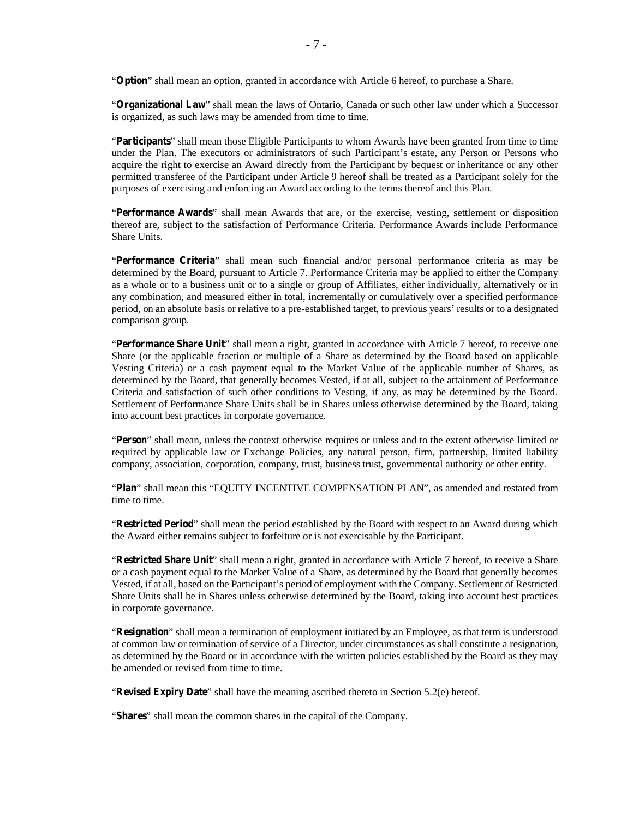"**Option**" shall mean an option, granted in accordance with Article 6 hereof, to purchase a Share.

"**Organizational Law**" shall mean the laws of Ontario, Canada or such other law under which a Successor is organized, as such laws may be amended from time to time.

"**Participants**" shall mean those Eligible Participants to whom Awards have been granted from time to time under the Plan. The executors or administrators of such Participant's estate, any Person or Persons who acquire the right to exercise an Award directly from the Participant by bequest or inheritance or any other permitted transferee of the Participant under Article 9 hereof shall be treated as a Participant solely for the purposes of exercising and enforcing an Award according to the terms thereof and this Plan.

"**Performance Awards**" shall mean Awards that are, or the exercise, vesting, settlement or disposition thereof are, subject to the satisfaction of Performance Criteria. Performance Awards include Performance Share Units.

"**Performance Criteria**" shall mean such financial and/or personal performance criteria as may be determined by the Board, pursuant to Article 7. Performance Criteria may be applied to either the Company as a whole or to a business unit or to a single or group of Affiliates, either individually, alternatively or in any combination, and measured either in total, incrementally or cumulatively over a specified performance period, on an absolute basis or relative to a pre-established target, to previous years' results or to a designated comparison group.

"**Performance Share Unit**" shall mean a right, granted in accordance with Article 7 hereof, to receive one Share (or the applicable fraction or multiple of a Share as determined by the Board based on applicable Vesting Criteria) or a cash payment equal to the Market Value of the applicable number of Shares, as determined by the Board, that generally becomes Vested, if at all, subject to the attainment of Performance Criteria and satisfaction of such other conditions to Vesting, if any, as may be determined by the Board. Settlement of Performance Share Units shall be in Shares unless otherwise determined by the Board, taking into account best practices in corporate governance.

"**Person**" shall mean, unless the context otherwise requires or unless and to the extent otherwise limited or required by applicable law or Exchange Policies, any natural person, firm, partnership, limited liability company, association, corporation, company, trust, business trust, governmental authority or other entity.

"**Plan**" shall mean this "EQUITY INCENTIVE COMPENSATION PLAN", as amended and restated from time to time.

"**Restricted Period**" shall mean the period established by the Board with respect to an Award during which the Award either remains subject to forfeiture or is not exercisable by the Participant.

"**Restricted Share Unit**" shall mean a right, granted in accordance with Article 7 hereof, to receive a Share or a cash payment equal to the Market Value of a Share, as determined by the Board that generally becomes Vested, if at all, based on the Participant's period of employment with the Company. Settlement of Restricted Share Units shall be in Shares unless otherwise determined by the Board, taking into account best practices in corporate governance.

"**Resignation**" shall mean a termination of employment initiated by an Employee, as that term is understood at common law or termination of service of a Director, under circumstances as shall constitute a resignation, as determined by the Board or in accordance with the written policies established by the Board as they may be amended or revised from time to time.

"**Revised Expiry Date**" shall have the meaning ascribed thereto in Section 5.2(e) hereof.

"**Shares**" shall mean the common shares in the capital of the Company.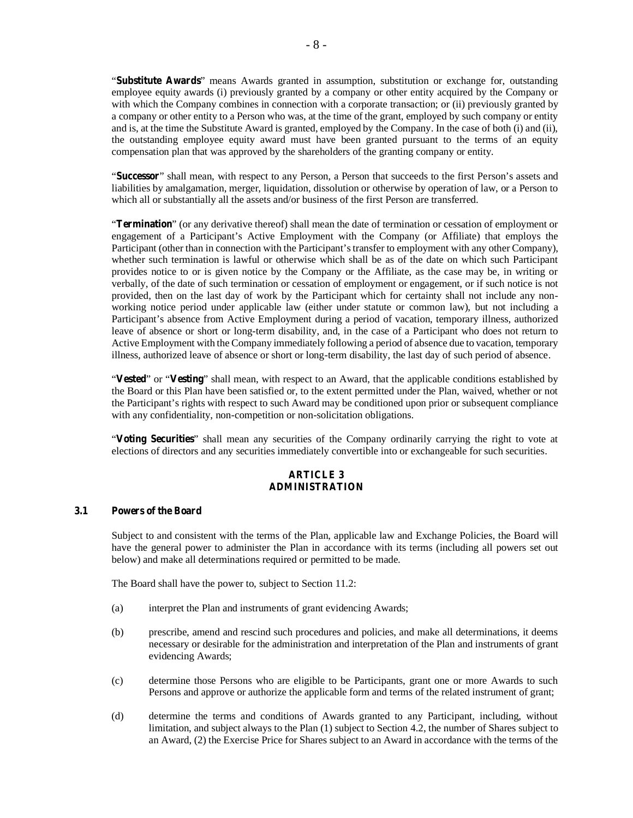"**Substitute Awards**" means Awards granted in assumption, substitution or exchange for, outstanding employee equity awards (i) previously granted by a company or other entity acquired by the Company or with which the Company combines in connection with a corporate transaction; or (ii) previously granted by a company or other entity to a Person who was, at the time of the grant, employed by such company or entity and is, at the time the Substitute Award is granted, employed by the Company. In the case of both (i) and (ii), the outstanding employee equity award must have been granted pursuant to the terms of an equity compensation plan that was approved by the shareholders of the granting company or entity.

"**Successor**" shall mean, with respect to any Person, a Person that succeeds to the first Person's assets and liabilities by amalgamation, merger, liquidation, dissolution or otherwise by operation of law, or a Person to which all or substantially all the assets and/or business of the first Person are transferred.

"**Termination**" (or any derivative thereof) shall mean the date of termination or cessation of employment or engagement of a Participant's Active Employment with the Company (or Affiliate) that employs the Participant (other than in connection with the Participant's transfer to employment with any other Company), whether such termination is lawful or otherwise which shall be as of the date on which such Participant provides notice to or is given notice by the Company or the Affiliate, as the case may be, in writing or verbally, of the date of such termination or cessation of employment or engagement, or if such notice is not provided, then on the last day of work by the Participant which for certainty shall not include any nonworking notice period under applicable law (either under statute or common law), but not including a Participant's absence from Active Employment during a period of vacation, temporary illness, authorized leave of absence or short or long-term disability, and, in the case of a Participant who does not return to Active Employment with the Company immediately following a period of absence due to vacation, temporary illness, authorized leave of absence or short or long-term disability, the last day of such period of absence.

"**Vested**" or "**Vesting**" shall mean, with respect to an Award, that the applicable conditions established by the Board or this Plan have been satisfied or, to the extent permitted under the Plan, waived, whether or not the Participant's rights with respect to such Award may be conditioned upon prior or subsequent compliance with any confidentiality, non-competition or non-solicitation obligations.

"**Voting Securities**" shall mean any securities of the Company ordinarily carrying the right to vote at elections of directors and any securities immediately convertible into or exchangeable for such securities.

## **ARTICLE 3 ADMINISTRATION**

# **3.1 Powers of the Board**

Subject to and consistent with the terms of the Plan, applicable law and Exchange Policies, the Board will have the general power to administer the Plan in accordance with its terms (including all powers set out below) and make all determinations required or permitted to be made.

The Board shall have the power to, subject to Section 11.2:

- (a) interpret the Plan and instruments of grant evidencing Awards;
- (b) prescribe, amend and rescind such procedures and policies, and make all determinations, it deems necessary or desirable for the administration and interpretation of the Plan and instruments of grant evidencing Awards;
- (c) determine those Persons who are eligible to be Participants, grant one or more Awards to such Persons and approve or authorize the applicable form and terms of the related instrument of grant;
- (d) determine the terms and conditions of Awards granted to any Participant, including, without limitation, and subject always to the Plan (1) subject to Section 4.2, the number of Shares subject to an Award, (2) the Exercise Price for Shares subject to an Award in accordance with the terms of the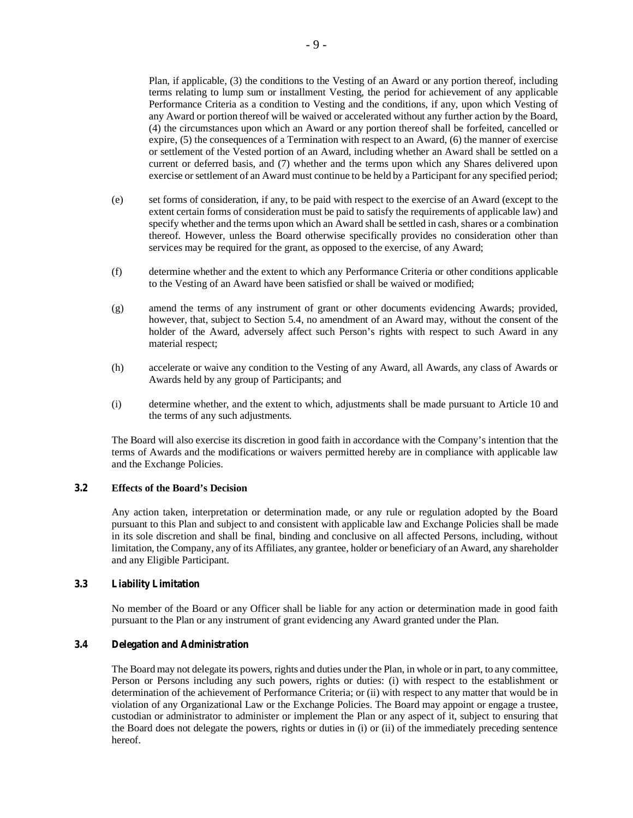Plan, if applicable, (3) the conditions to the Vesting of an Award or any portion thereof, including terms relating to lump sum or installment Vesting, the period for achievement of any applicable Performance Criteria as a condition to Vesting and the conditions, if any, upon which Vesting of any Award or portion thereof will be waived or accelerated without any further action by the Board, (4) the circumstances upon which an Award or any portion thereof shall be forfeited, cancelled or expire, (5) the consequences of a Termination with respect to an Award, (6) the manner of exercise or settlement of the Vested portion of an Award, including whether an Award shall be settled on a current or deferred basis, and (7) whether and the terms upon which any Shares delivered upon exercise or settlement of an Award must continue to be held by a Participant for any specified period;

- (e) set forms of consideration, if any, to be paid with respect to the exercise of an Award (except to the extent certain forms of consideration must be paid to satisfy the requirements of applicable law) and specify whether and the terms upon which an Award shall be settled in cash, shares or a combination thereof. However, unless the Board otherwise specifically provides no consideration other than services may be required for the grant, as opposed to the exercise, of any Award;
- (f) determine whether and the extent to which any Performance Criteria or other conditions applicable to the Vesting of an Award have been satisfied or shall be waived or modified;
- (g) amend the terms of any instrument of grant or other documents evidencing Awards; provided, however, that, subject to Section 5.4, no amendment of an Award may, without the consent of the holder of the Award, adversely affect such Person's rights with respect to such Award in any material respect;
- (h) accelerate or waive any condition to the Vesting of any Award, all Awards, any class of Awards or Awards held by any group of Participants; and
- (i) determine whether, and the extent to which, adjustments shall be made pursuant to Article 10 and the terms of any such adjustments.

The Board will also exercise its discretion in good faith in accordance with the Company's intention that the terms of Awards and the modifications or waivers permitted hereby are in compliance with applicable law and the Exchange Policies.

# **3.2 Effects of the Board's Decision**

Any action taken, interpretation or determination made, or any rule or regulation adopted by the Board pursuant to this Plan and subject to and consistent with applicable law and Exchange Policies shall be made in its sole discretion and shall be final, binding and conclusive on all affected Persons, including, without limitation, the Company, any of its Affiliates, any grantee, holder or beneficiary of an Award, any shareholder and any Eligible Participant.

## **3.3 Liability Limitation**

No member of the Board or any Officer shall be liable for any action or determination made in good faith pursuant to the Plan or any instrument of grant evidencing any Award granted under the Plan.

# **3.4 Delegation and Administration**

The Board may not delegate its powers, rights and duties under the Plan, in whole or in part, to any committee, Person or Persons including any such powers, rights or duties: (i) with respect to the establishment or determination of the achievement of Performance Criteria; or (ii) with respect to any matter that would be in violation of any Organizational Law or the Exchange Policies. The Board may appoint or engage a trustee, custodian or administrator to administer or implement the Plan or any aspect of it, subject to ensuring that the Board does not delegate the powers, rights or duties in (i) or (ii) of the immediately preceding sentence hereof.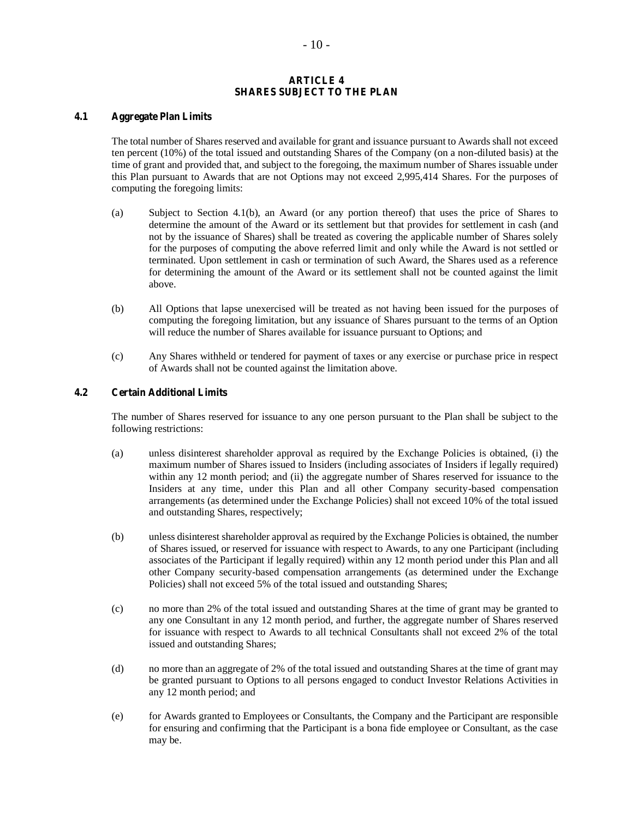## **ARTICLE 4 SHARES SUBJECT TO THE PLAN**

# **4.1 Aggregate Plan Limits**

The total number of Shares reserved and available for grant and issuance pursuant to Awards shall not exceed ten percent (10%) of the total issued and outstanding Shares of the Company (on a non-diluted basis) at the time of grant and provided that, and subject to the foregoing, the maximum number of Shares issuable under this Plan pursuant to Awards that are not Options may not exceed 2,995,414 Shares. For the purposes of computing the foregoing limits:

- (a) Subject to Section 4.1(b), an Award (or any portion thereof) that uses the price of Shares to determine the amount of the Award or its settlement but that provides for settlement in cash (and not by the issuance of Shares) shall be treated as covering the applicable number of Shares solely for the purposes of computing the above referred limit and only while the Award is not settled or terminated. Upon settlement in cash or termination of such Award, the Shares used as a reference for determining the amount of the Award or its settlement shall not be counted against the limit above.
- (b) All Options that lapse unexercised will be treated as not having been issued for the purposes of computing the foregoing limitation, but any issuance of Shares pursuant to the terms of an Option will reduce the number of Shares available for issuance pursuant to Options; and
- (c) Any Shares withheld or tendered for payment of taxes or any exercise or purchase price in respect of Awards shall not be counted against the limitation above.

# **4.2 Certain Additional Limits**

The number of Shares reserved for issuance to any one person pursuant to the Plan shall be subject to the following restrictions:

- (a) unless disinterest shareholder approval as required by the Exchange Policies is obtained, (i) the maximum number of Shares issued to Insiders (including associates of Insiders if legally required) within any 12 month period; and (ii) the aggregate number of Shares reserved for issuance to the Insiders at any time, under this Plan and all other Company security-based compensation arrangements (as determined under the Exchange Policies) shall not exceed 10% of the total issued and outstanding Shares, respectively;
- (b) unless disinterest shareholder approval as required by the Exchange Policies is obtained, the number of Shares issued, or reserved for issuance with respect to Awards, to any one Participant (including associates of the Participant if legally required) within any 12 month period under this Plan and all other Company security-based compensation arrangements (as determined under the Exchange Policies) shall not exceed 5% of the total issued and outstanding Shares;
- (c) no more than 2% of the total issued and outstanding Shares at the time of grant may be granted to any one Consultant in any 12 month period, and further, the aggregate number of Shares reserved for issuance with respect to Awards to all technical Consultants shall not exceed 2% of the total issued and outstanding Shares;
- (d) no more than an aggregate of 2% of the total issued and outstanding Shares at the time of grant may be granted pursuant to Options to all persons engaged to conduct Investor Relations Activities in any 12 month period; and
- (e) for Awards granted to Employees or Consultants, the Company and the Participant are responsible for ensuring and confirming that the Participant is a bona fide employee or Consultant, as the case may be.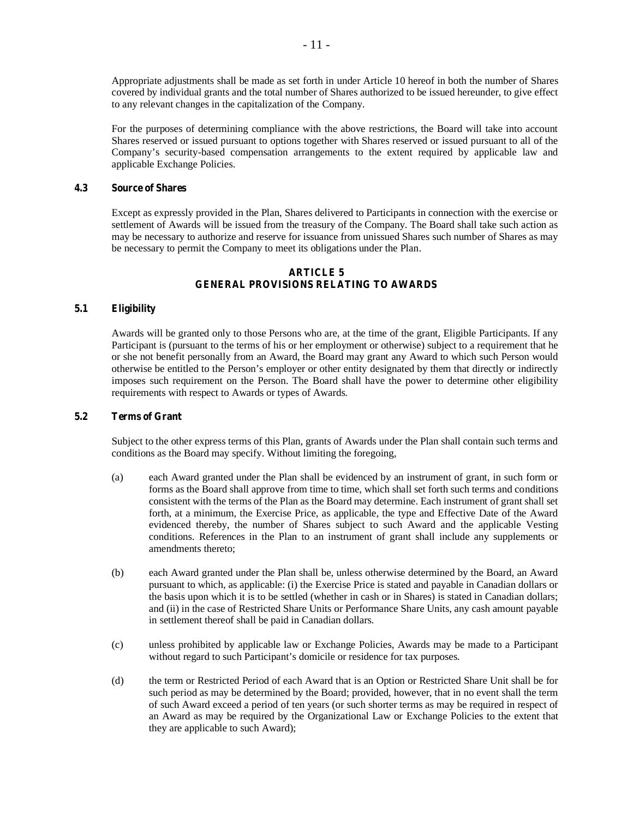Appropriate adjustments shall be made as set forth in under Article 10 hereof in both the number of Shares covered by individual grants and the total number of Shares authorized to be issued hereunder, to give effect to any relevant changes in the capitalization of the Company.

For the purposes of determining compliance with the above restrictions, the Board will take into account Shares reserved or issued pursuant to options together with Shares reserved or issued pursuant to all of the Company's security-based compensation arrangements to the extent required by applicable law and applicable Exchange Policies.

## **4.3 Source of Shares**

Except as expressly provided in the Plan, Shares delivered to Participants in connection with the exercise or settlement of Awards will be issued from the treasury of the Company. The Board shall take such action as may be necessary to authorize and reserve for issuance from unissued Shares such number of Shares as may be necessary to permit the Company to meet its obligations under the Plan.

## **ARTICLE 5 GENERAL PROVISIONS RELATING TO AWARDS**

#### **5.1 Eligibility**

Awards will be granted only to those Persons who are, at the time of the grant, Eligible Participants. If any Participant is (pursuant to the terms of his or her employment or otherwise) subject to a requirement that he or she not benefit personally from an Award, the Board may grant any Award to which such Person would otherwise be entitled to the Person's employer or other entity designated by them that directly or indirectly imposes such requirement on the Person. The Board shall have the power to determine other eligibility requirements with respect to Awards or types of Awards.

#### **5.2 Terms of Grant**

Subject to the other express terms of this Plan, grants of Awards under the Plan shall contain such terms and conditions as the Board may specify. Without limiting the foregoing,

- (a) each Award granted under the Plan shall be evidenced by an instrument of grant, in such form or forms as the Board shall approve from time to time, which shall set forth such terms and conditions consistent with the terms of the Plan as the Board may determine. Each instrument of grant shall set forth, at a minimum, the Exercise Price, as applicable, the type and Effective Date of the Award evidenced thereby, the number of Shares subject to such Award and the applicable Vesting conditions. References in the Plan to an instrument of grant shall include any supplements or amendments thereto;
- (b) each Award granted under the Plan shall be, unless otherwise determined by the Board, an Award pursuant to which, as applicable: (i) the Exercise Price is stated and payable in Canadian dollars or the basis upon which it is to be settled (whether in cash or in Shares) is stated in Canadian dollars; and (ii) in the case of Restricted Share Units or Performance Share Units, any cash amount payable in settlement thereof shall be paid in Canadian dollars.
- (c) unless prohibited by applicable law or Exchange Policies, Awards may be made to a Participant without regard to such Participant's domicile or residence for tax purposes.
- (d) the term or Restricted Period of each Award that is an Option or Restricted Share Unit shall be for such period as may be determined by the Board; provided, however, that in no event shall the term of such Award exceed a period of ten years (or such shorter terms as may be required in respect of an Award as may be required by the Organizational Law or Exchange Policies to the extent that they are applicable to such Award);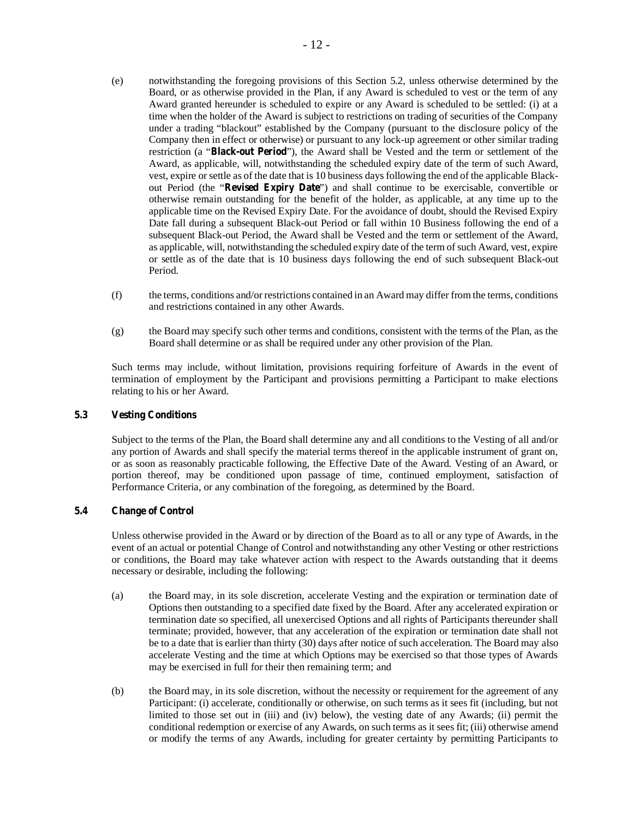- (e) notwithstanding the foregoing provisions of this Section 5.2, unless otherwise determined by the Board, or as otherwise provided in the Plan, if any Award is scheduled to vest or the term of any Award granted hereunder is scheduled to expire or any Award is scheduled to be settled: (i) at a time when the holder of the Award is subject to restrictions on trading of securities of the Company under a trading "blackout" established by the Company (pursuant to the disclosure policy of the Company then in effect or otherwise) or pursuant to any lock-up agreement or other similar trading restriction (a "**Black-out Period**"), the Award shall be Vested and the term or settlement of the Award, as applicable, will, notwithstanding the scheduled expiry date of the term of such Award, vest, expire or settle as of the date that is 10 business days following the end of the applicable Blackout Period (the "**Revised Expiry Date**") and shall continue to be exercisable, convertible or otherwise remain outstanding for the benefit of the holder, as applicable, at any time up to the applicable time on the Revised Expiry Date. For the avoidance of doubt, should the Revised Expiry Date fall during a subsequent Black-out Period or fall within 10 Business following the end of a subsequent Black-out Period, the Award shall be Vested and the term or settlement of the Award, as applicable, will, notwithstanding the scheduled expiry date of the term of such Award, vest, expire or settle as of the date that is 10 business days following the end of such subsequent Black-out Period.
- (f) the terms, conditions and/or restrictions contained in an Award may differ from the terms, conditions and restrictions contained in any other Awards.
- (g) the Board may specify such other terms and conditions, consistent with the terms of the Plan, as the Board shall determine or as shall be required under any other provision of the Plan.

Such terms may include, without limitation, provisions requiring forfeiture of Awards in the event of termination of employment by the Participant and provisions permitting a Participant to make elections relating to his or her Award.

## **5.3 Vesting Conditions**

Subject to the terms of the Plan, the Board shall determine any and all conditions to the Vesting of all and/or any portion of Awards and shall specify the material terms thereof in the applicable instrument of grant on, or as soon as reasonably practicable following, the Effective Date of the Award. Vesting of an Award, or portion thereof, may be conditioned upon passage of time, continued employment, satisfaction of Performance Criteria, or any combination of the foregoing, as determined by the Board.

# **5.4 Change of Control**

Unless otherwise provided in the Award or by direction of the Board as to all or any type of Awards, in the event of an actual or potential Change of Control and notwithstanding any other Vesting or other restrictions or conditions, the Board may take whatever action with respect to the Awards outstanding that it deems necessary or desirable, including the following:

- (a) the Board may, in its sole discretion, accelerate Vesting and the expiration or termination date of Options then outstanding to a specified date fixed by the Board. After any accelerated expiration or termination date so specified, all unexercised Options and all rights of Participants thereunder shall terminate; provided, however, that any acceleration of the expiration or termination date shall not be to a date that is earlier than thirty (30) days after notice of such acceleration. The Board may also accelerate Vesting and the time at which Options may be exercised so that those types of Awards may be exercised in full for their then remaining term; and
- (b) the Board may, in its sole discretion, without the necessity or requirement for the agreement of any Participant: (i) accelerate, conditionally or otherwise, on such terms as it sees fit (including, but not limited to those set out in (iii) and (iv) below), the vesting date of any Awards; (ii) permit the conditional redemption or exercise of any Awards, on such terms as it sees fit; (iii) otherwise amend or modify the terms of any Awards, including for greater certainty by permitting Participants to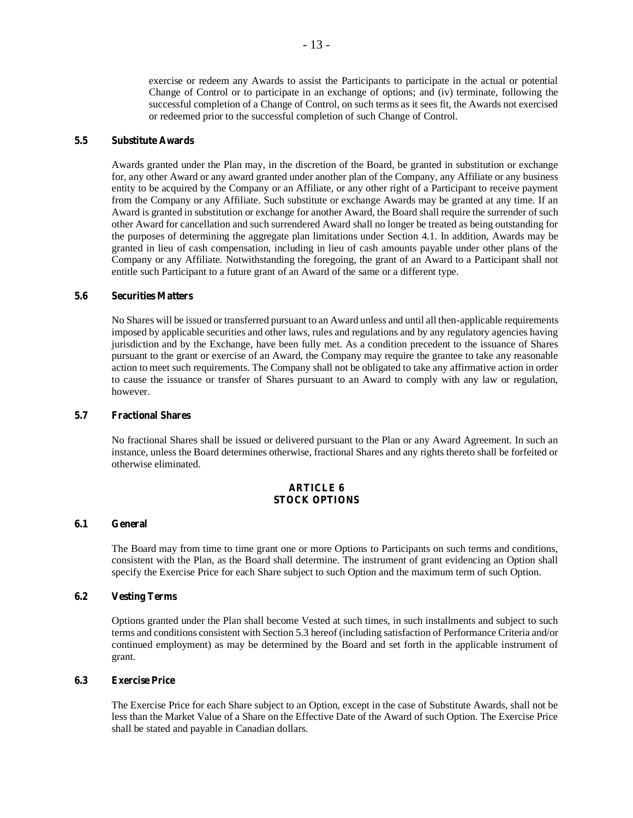exercise or redeem any Awards to assist the Participants to participate in the actual or potential Change of Control or to participate in an exchange of options; and (iv) terminate, following the successful completion of a Change of Control, on such terms as it sees fit, the Awards not exercised or redeemed prior to the successful completion of such Change of Control.

# **5.5 Substitute Awards**

Awards granted under the Plan may, in the discretion of the Board, be granted in substitution or exchange for, any other Award or any award granted under another plan of the Company, any Affiliate or any business entity to be acquired by the Company or an Affiliate, or any other right of a Participant to receive payment from the Company or any Affiliate. Such substitute or exchange Awards may be granted at any time. If an Award is granted in substitution or exchange for another Award, the Board shall require the surrender of such other Award for cancellation and such surrendered Award shall no longer be treated as being outstanding for the purposes of determining the aggregate plan limitations under Section 4.1. In addition, Awards may be granted in lieu of cash compensation, including in lieu of cash amounts payable under other plans of the Company or any Affiliate. Notwithstanding the foregoing, the grant of an Award to a Participant shall not entitle such Participant to a future grant of an Award of the same or a different type.

# **5.6 Securities Matters**

No Shares will be issued or transferred pursuant to an Award unless and until all then-applicable requirements imposed by applicable securities and other laws, rules and regulations and by any regulatory agencies having jurisdiction and by the Exchange, have been fully met. As a condition precedent to the issuance of Shares pursuant to the grant or exercise of an Award, the Company may require the grantee to take any reasonable action to meet such requirements. The Company shall not be obligated to take any affirmative action in order to cause the issuance or transfer of Shares pursuant to an Award to comply with any law or regulation, however.

#### **5.7 Fractional Shares**

No fractional Shares shall be issued or delivered pursuant to the Plan or any Award Agreement. In such an instance, unless the Board determines otherwise, fractional Shares and any rights thereto shall be forfeited or otherwise eliminated.

## **ARTICLE 6 STOCK OPTIONS**

# **6.1 General**

The Board may from time to time grant one or more Options to Participants on such terms and conditions, consistent with the Plan, as the Board shall determine. The instrument of grant evidencing an Option shall specify the Exercise Price for each Share subject to such Option and the maximum term of such Option.

#### **6.2 Vesting Terms**

Options granted under the Plan shall become Vested at such times, in such installments and subject to such terms and conditions consistent with Section 5.3 hereof (including satisfaction of Performance Criteria and/or continued employment) as may be determined by the Board and set forth in the applicable instrument of grant.

## **6.3 Exercise Price**

The Exercise Price for each Share subject to an Option, except in the case of Substitute Awards, shall not be less than the Market Value of a Share on the Effective Date of the Award of such Option. The Exercise Price shall be stated and payable in Canadian dollars.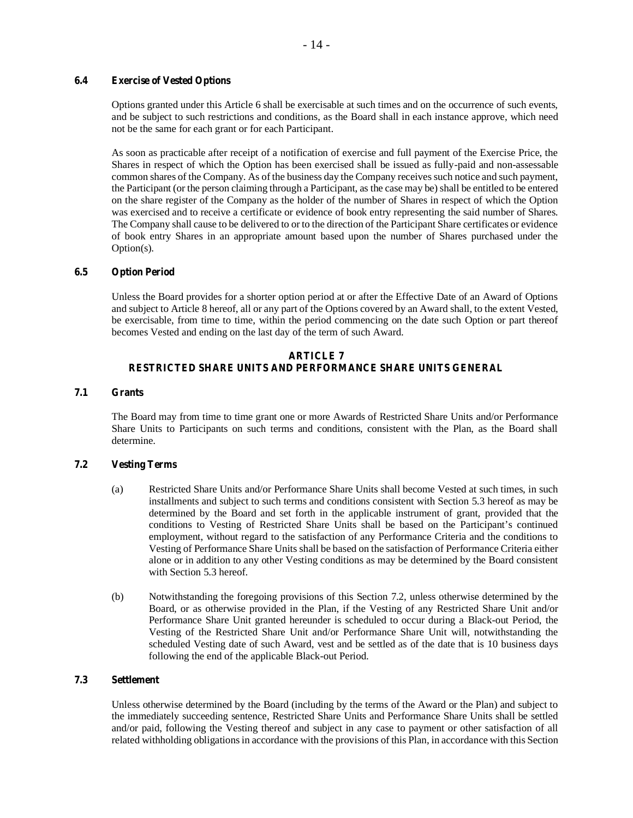## **6.4 Exercise of Vested Options**

Options granted under this Article 6 shall be exercisable at such times and on the occurrence of such events, and be subject to such restrictions and conditions, as the Board shall in each instance approve, which need not be the same for each grant or for each Participant.

As soon as practicable after receipt of a notification of exercise and full payment of the Exercise Price, the Shares in respect of which the Option has been exercised shall be issued as fully-paid and non-assessable common shares of the Company. As of the business day the Company receives such notice and such payment, the Participant (or the person claiming through a Participant, as the case may be) shall be entitled to be entered on the share register of the Company as the holder of the number of Shares in respect of which the Option was exercised and to receive a certificate or evidence of book entry representing the said number of Shares. The Company shall cause to be delivered to or to the direction of the Participant Share certificates or evidence of book entry Shares in an appropriate amount based upon the number of Shares purchased under the Option(s).

#### **6.5 Option Period**

Unless the Board provides for a shorter option period at or after the Effective Date of an Award of Options and subject to Article 8 hereof, all or any part of the Options covered by an Award shall, to the extent Vested, be exercisable, from time to time, within the period commencing on the date such Option or part thereof becomes Vested and ending on the last day of the term of such Award.

## **ARTICLE 7 RESTRICTED SHARE UNITS AND PERFORMANCE SHARE UNITS GENERAL**

# **7.1 Grants**

The Board may from time to time grant one or more Awards of Restricted Share Units and/or Performance Share Units to Participants on such terms and conditions, consistent with the Plan, as the Board shall determine.

#### **7.2 Vesting Terms**

- (a) Restricted Share Units and/or Performance Share Units shall become Vested at such times, in such installments and subject to such terms and conditions consistent with Section 5.3 hereof as may be determined by the Board and set forth in the applicable instrument of grant, provided that the conditions to Vesting of Restricted Share Units shall be based on the Participant's continued employment, without regard to the satisfaction of any Performance Criteria and the conditions to Vesting of Performance Share Units shall be based on the satisfaction of Performance Criteria either alone or in addition to any other Vesting conditions as may be determined by the Board consistent with Section 5.3 hereof.
- (b) Notwithstanding the foregoing provisions of this Section 7.2, unless otherwise determined by the Board, or as otherwise provided in the Plan, if the Vesting of any Restricted Share Unit and/or Performance Share Unit granted hereunder is scheduled to occur during a Black-out Period, the Vesting of the Restricted Share Unit and/or Performance Share Unit will, notwithstanding the scheduled Vesting date of such Award, vest and be settled as of the date that is 10 business days following the end of the applicable Black-out Period.

## **7.3 Settlement**

Unless otherwise determined by the Board (including by the terms of the Award or the Plan) and subject to the immediately succeeding sentence, Restricted Share Units and Performance Share Units shall be settled and/or paid, following the Vesting thereof and subject in any case to payment or other satisfaction of all related withholding obligations in accordance with the provisions of this Plan, in accordance with this Section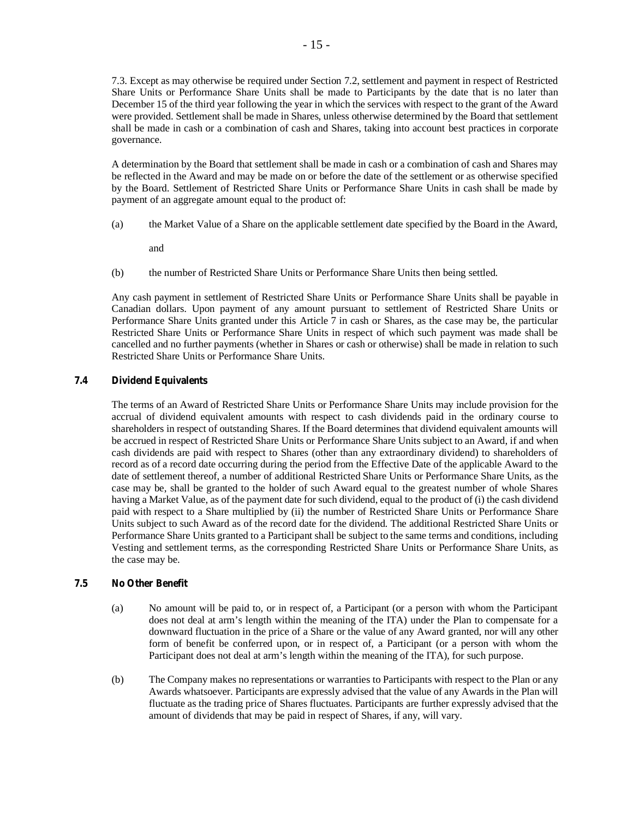7.3. Except as may otherwise be required under Section 7.2, settlement and payment in respect of Restricted Share Units or Performance Share Units shall be made to Participants by the date that is no later than December 15 of the third year following the year in which the services with respect to the grant of the Award were provided. Settlement shall be made in Shares, unless otherwise determined by the Board that settlement shall be made in cash or a combination of cash and Shares, taking into account best practices in corporate governance.

A determination by the Board that settlement shall be made in cash or a combination of cash and Shares may be reflected in the Award and may be made on or before the date of the settlement or as otherwise specified by the Board. Settlement of Restricted Share Units or Performance Share Units in cash shall be made by payment of an aggregate amount equal to the product of:

(a) the Market Value of a Share on the applicable settlement date specified by the Board in the Award,

and

(b) the number of Restricted Share Units or Performance Share Units then being settled.

Any cash payment in settlement of Restricted Share Units or Performance Share Units shall be payable in Canadian dollars. Upon payment of any amount pursuant to settlement of Restricted Share Units or Performance Share Units granted under this Article  $\overline{7}$  in cash or Shares, as the case may be, the particular Restricted Share Units or Performance Share Units in respect of which such payment was made shall be cancelled and no further payments (whether in Shares or cash or otherwise) shall be made in relation to such Restricted Share Units or Performance Share Units.

# **7.4 Dividend Equivalents**

The terms of an Award of Restricted Share Units or Performance Share Units may include provision for the accrual of dividend equivalent amounts with respect to cash dividends paid in the ordinary course to shareholders in respect of outstanding Shares. If the Board determines that dividend equivalent amounts will be accrued in respect of Restricted Share Units or Performance Share Units subject to an Award, if and when cash dividends are paid with respect to Shares (other than any extraordinary dividend) to shareholders of record as of a record date occurring during the period from the Effective Date of the applicable Award to the date of settlement thereof, a number of additional Restricted Share Units or Performance Share Units, as the case may be, shall be granted to the holder of such Award equal to the greatest number of whole Shares having a Market Value, as of the payment date for such dividend, equal to the product of (i) the cash dividend paid with respect to a Share multiplied by (ii) the number of Restricted Share Units or Performance Share Units subject to such Award as of the record date for the dividend. The additional Restricted Share Units or Performance Share Units granted to a Participant shall be subject to the same terms and conditions, including Vesting and settlement terms, as the corresponding Restricted Share Units or Performance Share Units, as the case may be.

# **7.5 No Other Benefit**

- (a) No amount will be paid to, or in respect of, a Participant (or a person with whom the Participant does not deal at arm's length within the meaning of the ITA) under the Plan to compensate for a downward fluctuation in the price of a Share or the value of any Award granted, nor will any other form of benefit be conferred upon, or in respect of, a Participant (or a person with whom the Participant does not deal at arm's length within the meaning of the ITA), for such purpose.
- (b) The Company makes no representations or warranties to Participants with respect to the Plan or any Awards whatsoever. Participants are expressly advised that the value of any Awards in the Plan will fluctuate as the trading price of Shares fluctuates. Participants are further expressly advised that the amount of dividends that may be paid in respect of Shares, if any, will vary.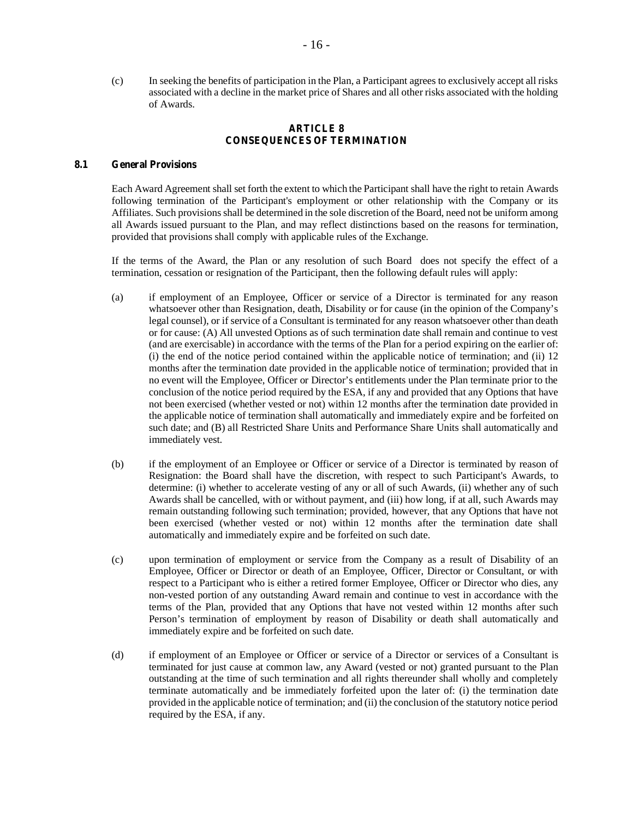(c) In seeking the benefits of participation in the Plan, a Participant agrees to exclusively accept all risks associated with a decline in the market price of Shares and all other risks associated with the holding of Awards.

## **ARTICLE 8 CONSEQUENCES OF TERMINATION**

## **8.1 General Provisions**

Each Award Agreement shall set forth the extent to which the Participant shall have the right to retain Awards following termination of the Participant's employment or other relationship with the Company or its Affiliates. Such provisions shall be determined in the sole discretion of the Board, need not be uniform among all Awards issued pursuant to the Plan, and may reflect distinctions based on the reasons for termination, provided that provisions shall comply with applicable rules of the Exchange.

If the terms of the Award, the Plan or any resolution of such Board does not specify the effect of a termination, cessation or resignation of the Participant, then the following default rules will apply:

- (a) if employment of an Employee, Officer or service of a Director is terminated for any reason whatsoever other than Resignation, death, Disability or for cause (in the opinion of the Company's legal counsel), or if service of a Consultant is terminated for any reason whatsoever other than death or for cause: (A) All unvested Options as of such termination date shall remain and continue to vest (and are exercisable) in accordance with the terms of the Plan for a period expiring on the earlier of: (i) the end of the notice period contained within the applicable notice of termination; and (ii) 12 months after the termination date provided in the applicable notice of termination; provided that in no event will the Employee, Officer or Director's entitlements under the Plan terminate prior to the conclusion of the notice period required by the ESA, if any and provided that any Options that have not been exercised (whether vested or not) within 12 months after the termination date provided in the applicable notice of termination shall automatically and immediately expire and be forfeited on such date; and (B) all Restricted Share Units and Performance Share Units shall automatically and immediately vest.
- (b) if the employment of an Employee or Officer or service of a Director is terminated by reason of Resignation: the Board shall have the discretion, with respect to such Participant's Awards, to determine: (i) whether to accelerate vesting of any or all of such Awards, (ii) whether any of such Awards shall be cancelled, with or without payment, and (iii) how long, if at all, such Awards may remain outstanding following such termination; provided, however, that any Options that have not been exercised (whether vested or not) within 12 months after the termination date shall automatically and immediately expire and be forfeited on such date.
- (c) upon termination of employment or service from the Company as a result of Disability of an Employee, Officer or Director or death of an Employee, Officer, Director or Consultant, or with respect to a Participant who is either a retired former Employee, Officer or Director who dies, any non-vested portion of any outstanding Award remain and continue to vest in accordance with the terms of the Plan, provided that any Options that have not vested within 12 months after such Person's termination of employment by reason of Disability or death shall automatically and immediately expire and be forfeited on such date.
- (d) if employment of an Employee or Officer or service of a Director or services of a Consultant is terminated for just cause at common law, any Award (vested or not) granted pursuant to the Plan outstanding at the time of such termination and all rights thereunder shall wholly and completely terminate automatically and be immediately forfeited upon the later of: (i) the termination date provided in the applicable notice of termination; and (ii) the conclusion of the statutory notice period required by the ESA, if any.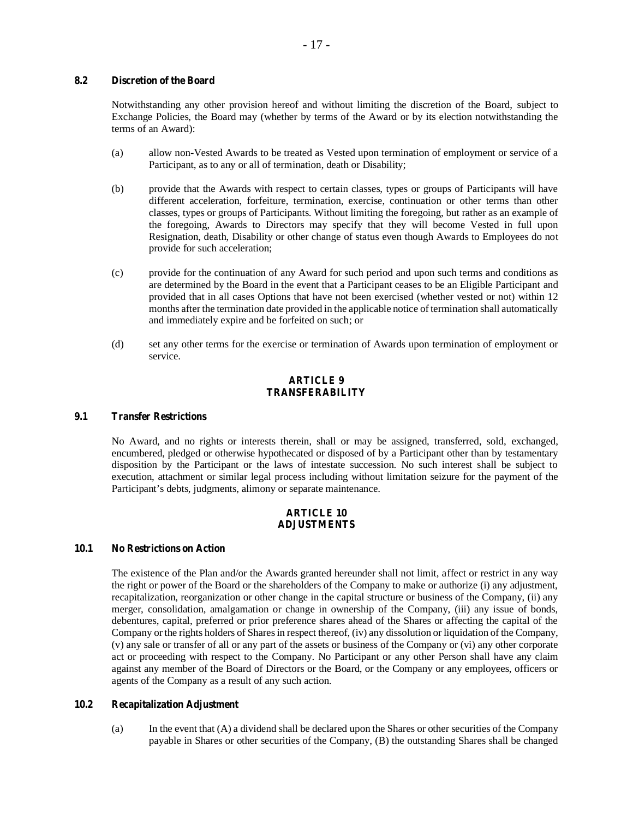# **8.2 Discretion of the Board**

Notwithstanding any other provision hereof and without limiting the discretion of the Board, subject to Exchange Policies, the Board may (whether by terms of the Award or by its election notwithstanding the terms of an Award):

- (a) allow non-Vested Awards to be treated as Vested upon termination of employment or service of a Participant, as to any or all of termination, death or Disability;
- (b) provide that the Awards with respect to certain classes, types or groups of Participants will have different acceleration, forfeiture, termination, exercise, continuation or other terms than other classes, types or groups of Participants. Without limiting the foregoing, but rather as an example of the foregoing, Awards to Directors may specify that they will become Vested in full upon Resignation, death, Disability or other change of status even though Awards to Employees do not provide for such acceleration;
- (c) provide for the continuation of any Award for such period and upon such terms and conditions as are determined by the Board in the event that a Participant ceases to be an Eligible Participant and provided that in all cases Options that have not been exercised (whether vested or not) within 12 months after the termination date provided in the applicable notice of termination shall automatically and immediately expire and be forfeited on such; or
- (d) set any other terms for the exercise or termination of Awards upon termination of employment or service.

# **ARTICLE 9 TRANSFERABILITY**

## **9.1 Transfer Restrictions**

No Award, and no rights or interests therein, shall or may be assigned, transferred, sold, exchanged, encumbered, pledged or otherwise hypothecated or disposed of by a Participant other than by testamentary disposition by the Participant or the laws of intestate succession. No such interest shall be subject to execution, attachment or similar legal process including without limitation seizure for the payment of the Participant's debts, judgments, alimony or separate maintenance.

#### **ARTICLE 10 ADJUSTMENTS**

## **10.1 No Restrictions on Action**

The existence of the Plan and/or the Awards granted hereunder shall not limit, affect or restrict in any way the right or power of the Board or the shareholders of the Company to make or authorize (i) any adjustment, recapitalization, reorganization or other change in the capital structure or business of the Company, (ii) any merger, consolidation, amalgamation or change in ownership of the Company, (iii) any issue of bonds, debentures, capital, preferred or prior preference shares ahead of the Shares or affecting the capital of the Company or the rights holders of Shares in respect thereof, (iv) any dissolution or liquidation of the Company, (v) any sale or transfer of all or any part of the assets or business of the Company or (vi) any other corporate act or proceeding with respect to the Company. No Participant or any other Person shall have any claim against any member of the Board of Directors or the Board, or the Company or any employees, officers or agents of the Company as a result of any such action.

# **10.2 Recapitalization Adjustment**

(a) In the event that (A) a dividend shall be declared upon the Shares or other securities of the Company payable in Shares or other securities of the Company, (B) the outstanding Shares shall be changed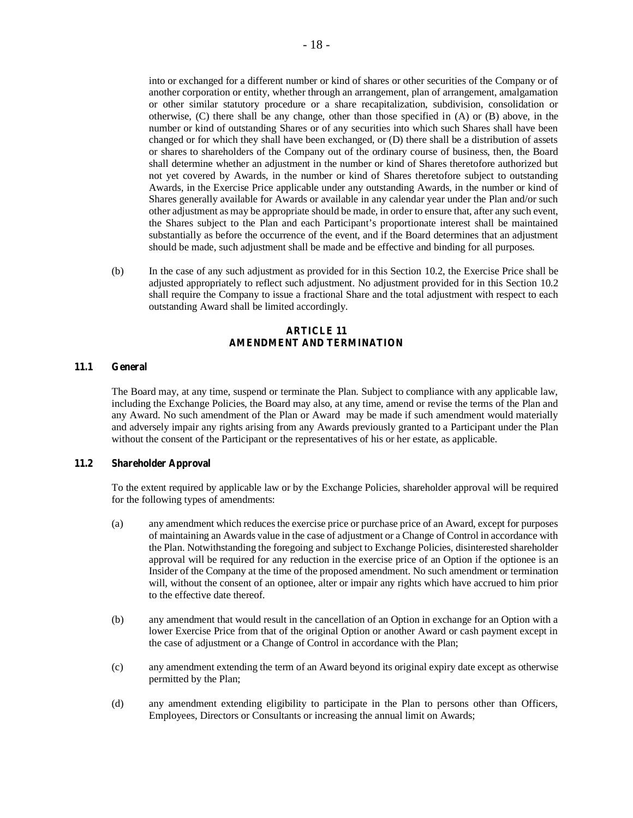into or exchanged for a different number or kind of shares or other securities of the Company or of another corporation or entity, whether through an arrangement, plan of arrangement, amalgamation or other similar statutory procedure or a share recapitalization, subdivision, consolidation or otherwise, (C) there shall be any change, other than those specified in (A) or (B) above, in the number or kind of outstanding Shares or of any securities into which such Shares shall have been changed or for which they shall have been exchanged, or (D) there shall be a distribution of assets or shares to shareholders of the Company out of the ordinary course of business, then, the Board shall determine whether an adjustment in the number or kind of Shares theretofore authorized but not yet covered by Awards, in the number or kind of Shares theretofore subject to outstanding Awards, in the Exercise Price applicable under any outstanding Awards, in the number or kind of Shares generally available for Awards or available in any calendar year under the Plan and/or such other adjustment as may be appropriate should be made, in order to ensure that, after any such event, the Shares subject to the Plan and each Participant's proportionate interest shall be maintained substantially as before the occurrence of the event, and if the Board determines that an adjustment should be made, such adjustment shall be made and be effective and binding for all purposes.

(b) In the case of any such adjustment as provided for in this Section 10.2, the Exercise Price shall be adjusted appropriately to reflect such adjustment. No adjustment provided for in this Section 10.2 shall require the Company to issue a fractional Share and the total adjustment with respect to each outstanding Award shall be limited accordingly.

# **ARTICLE 11 AMENDMENT AND TERMINATION**

#### **11.1 General**

The Board may, at any time, suspend or terminate the Plan. Subject to compliance with any applicable law, including the Exchange Policies, the Board may also, at any time, amend or revise the terms of the Plan and any Award. No such amendment of the Plan or Award may be made if such amendment would materially and adversely impair any rights arising from any Awards previously granted to a Participant under the Plan without the consent of the Participant or the representatives of his or her estate, as applicable.

#### **11.2 Shareholder Approval**

To the extent required by applicable law or by the Exchange Policies, shareholder approval will be required for the following types of amendments:

- (a) any amendment which reduces the exercise price or purchase price of an Award, except for purposes of maintaining an Awards value in the case of adjustment or a Change of Control in accordance with the Plan. Notwithstanding the foregoing and subject to Exchange Policies, disinterested shareholder approval will be required for any reduction in the exercise price of an Option if the optionee is an Insider of the Company at the time of the proposed amendment. No such amendment or termination will, without the consent of an optionee, alter or impair any rights which have accrued to him prior to the effective date thereof.
- (b) any amendment that would result in the cancellation of an Option in exchange for an Option with a lower Exercise Price from that of the original Option or another Award or cash payment except in the case of adjustment or a Change of Control in accordance with the Plan;
- (c) any amendment extending the term of an Award beyond its original expiry date except as otherwise permitted by the Plan;
- (d) any amendment extending eligibility to participate in the Plan to persons other than Officers, Employees, Directors or Consultants or increasing the annual limit on Awards;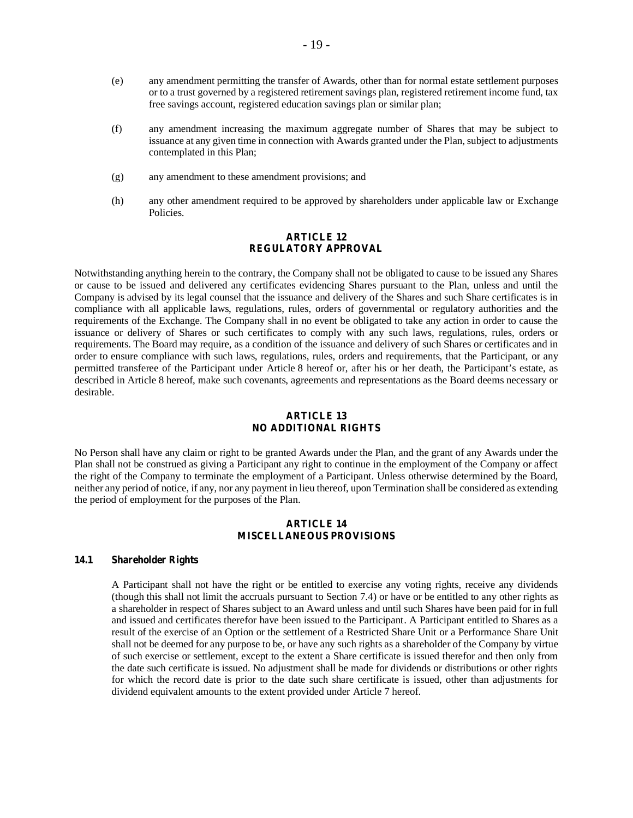- (e) any amendment permitting the transfer of Awards, other than for normal estate settlement purposes or to a trust governed by a registered retirement savings plan, registered retirement income fund, tax free savings account, registered education savings plan or similar plan;
- (f) any amendment increasing the maximum aggregate number of Shares that may be subject to issuance at any given time in connection with Awards granted under the Plan, subject to adjustments contemplated in this Plan;
- (g) any amendment to these amendment provisions; and
- (h) any other amendment required to be approved by shareholders under applicable law or Exchange Policies.

## **ARTICLE 12 REGULATORY APPROVAL**

Notwithstanding anything herein to the contrary, the Company shall not be obligated to cause to be issued any Shares or cause to be issued and delivered any certificates evidencing Shares pursuant to the Plan, unless and until the Company is advised by its legal counsel that the issuance and delivery of the Shares and such Share certificates is in compliance with all applicable laws, regulations, rules, orders of governmental or regulatory authorities and the requirements of the Exchange. The Company shall in no event be obligated to take any action in order to cause the issuance or delivery of Shares or such certificates to comply with any such laws, regulations, rules, orders or requirements. The Board may require, as a condition of the issuance and delivery of such Shares or certificates and in order to ensure compliance with such laws, regulations, rules, orders and requirements, that the Participant, or any permitted transferee of the Participant under Article 8 hereof or, after his or her death, the Participant's estate, as described in Article 8 hereof, make such covenants, agreements and representations as the Board deems necessary or desirable.

#### **ARTICLE 13 NO ADDITIONAL RIGHTS**

No Person shall have any claim or right to be granted Awards under the Plan, and the grant of any Awards under the Plan shall not be construed as giving a Participant any right to continue in the employment of the Company or affect the right of the Company to terminate the employment of a Participant. Unless otherwise determined by the Board, neither any period of notice, if any, nor any payment in lieu thereof, upon Termination shall be considered as extending the period of employment for the purposes of the Plan.

# **ARTICLE 14 MISCELLANEOUS PROVISIONS**

# **14.1 Shareholder Rights**

A Participant shall not have the right or be entitled to exercise any voting rights, receive any dividends (though this shall not limit the accruals pursuant to Section 7.4) or have or be entitled to any other rights as a shareholder in respect of Shares subject to an Award unless and until such Shares have been paid for in full and issued and certificates therefor have been issued to the Participant. A Participant entitled to Shares as a result of the exercise of an Option or the settlement of a Restricted Share Unit or a Performance Share Unit shall not be deemed for any purpose to be, or have any such rights as a shareholder of the Company by virtue of such exercise or settlement, except to the extent a Share certificate is issued therefor and then only from the date such certificate is issued. No adjustment shall be made for dividends or distributions or other rights for which the record date is prior to the date such share certificate is issued, other than adjustments for dividend equivalent amounts to the extent provided under Article 7 hereof.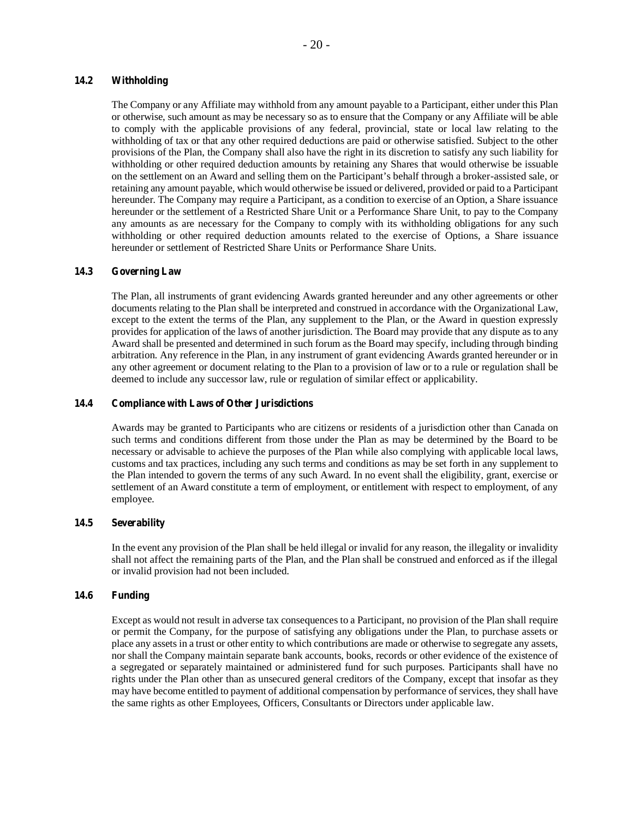## **14.2 Withholding**

The Company or any Affiliate may withhold from any amount payable to a Participant, either under this Plan or otherwise, such amount as may be necessary so as to ensure that the Company or any Affiliate will be able to comply with the applicable provisions of any federal, provincial, state or local law relating to the withholding of tax or that any other required deductions are paid or otherwise satisfied. Subject to the other provisions of the Plan, the Company shall also have the right in its discretion to satisfy any such liability for withholding or other required deduction amounts by retaining any Shares that would otherwise be issuable on the settlement on an Award and selling them on the Participant's behalf through a broker-assisted sale, or retaining any amount payable, which would otherwise be issued or delivered, provided or paid to a Participant hereunder. The Company may require a Participant, as a condition to exercise of an Option, a Share issuance hereunder or the settlement of a Restricted Share Unit or a Performance Share Unit, to pay to the Company any amounts as are necessary for the Company to comply with its withholding obligations for any such withholding or other required deduction amounts related to the exercise of Options, a Share issuance hereunder or settlement of Restricted Share Units or Performance Share Units.

## **14.3 Governing Law**

The Plan, all instruments of grant evidencing Awards granted hereunder and any other agreements or other documents relating to the Plan shall be interpreted and construed in accordance with the Organizational Law, except to the extent the terms of the Plan, any supplement to the Plan, or the Award in question expressly provides for application of the laws of another jurisdiction. The Board may provide that any dispute as to any Award shall be presented and determined in such forum as the Board may specify, including through binding arbitration. Any reference in the Plan, in any instrument of grant evidencing Awards granted hereunder or in any other agreement or document relating to the Plan to a provision of law or to a rule or regulation shall be deemed to include any successor law, rule or regulation of similar effect or applicability.

## **14.4 Compliance with Laws of Other Jurisdictions**

Awards may be granted to Participants who are citizens or residents of a jurisdiction other than Canada on such terms and conditions different from those under the Plan as may be determined by the Board to be necessary or advisable to achieve the purposes of the Plan while also complying with applicable local laws, customs and tax practices, including any such terms and conditions as may be set forth in any supplement to the Plan intended to govern the terms of any such Award. In no event shall the eligibility, grant, exercise or settlement of an Award constitute a term of employment, or entitlement with respect to employment, of any employee.

## **14.5 Severability**

In the event any provision of the Plan shall be held illegal or invalid for any reason, the illegality or invalidity shall not affect the remaining parts of the Plan, and the Plan shall be construed and enforced as if the illegal or invalid provision had not been included.

#### **14.6 Funding**

Except as would not result in adverse tax consequences to a Participant, no provision of the Plan shall require or permit the Company, for the purpose of satisfying any obligations under the Plan, to purchase assets or place any assets in a trust or other entity to which contributions are made or otherwise to segregate any assets, nor shall the Company maintain separate bank accounts, books, records or other evidence of the existence of a segregated or separately maintained or administered fund for such purposes. Participants shall have no rights under the Plan other than as unsecured general creditors of the Company, except that insofar as they may have become entitled to payment of additional compensation by performance of services, they shall have the same rights as other Employees, Officers, Consultants or Directors under applicable law.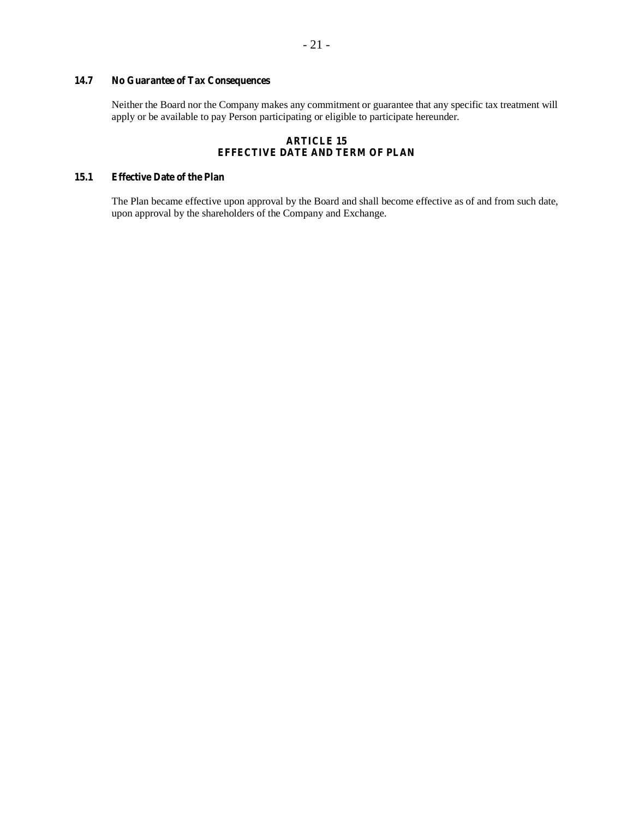# **14.7 No Guarantee of Tax Consequences**

Neither the Board nor the Company makes any commitment or guarantee that any specific tax treatment will apply or be available to pay Person participating or eligible to participate hereunder.

# **ARTICLE 15 EFFECTIVE DATE AND TERM OF PLAN**

# **15.1 Effective Date of the Plan**

The Plan became effective upon approval by the Board and shall become effective as of and from such date, upon approval by the shareholders of the Company and Exchange.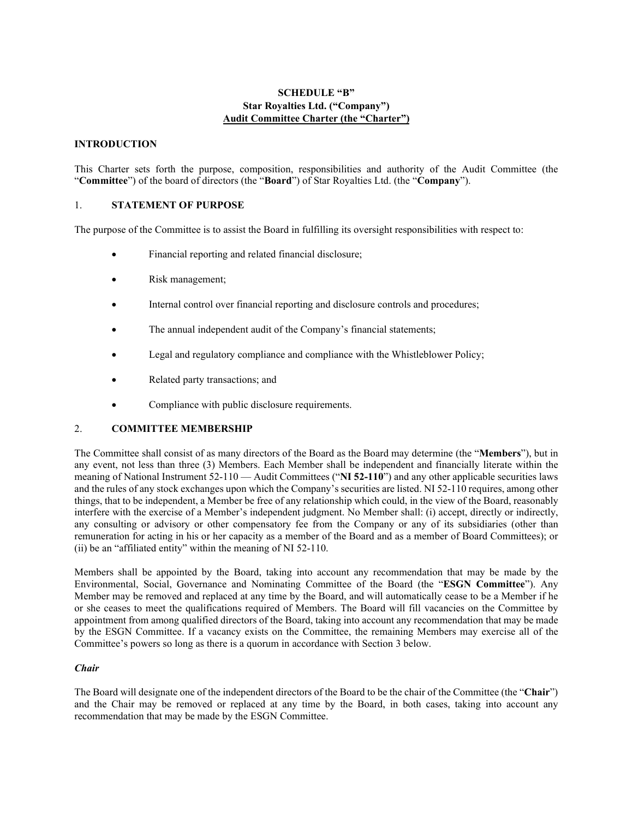# **SCHEDULE "B" Star Royalties Ltd. ("Company") Audit Committee Charter (the "Charter")**

# **INTRODUCTION**

This Charter sets forth the purpose, composition, responsibilities and authority of the Audit Committee (the "**Committee**") of the board of directors (the "**Board**") of Star Royalties Ltd. (the "**Company**").

# 1. **STATEMENT OF PURPOSE**

The purpose of the Committee is to assist the Board in fulfilling its oversight responsibilities with respect to:

- Financial reporting and related financial disclosure;
- Risk management;
- Internal control over financial reporting and disclosure controls and procedures;
- The annual independent audit of the Company's financial statements;
- Legal and regulatory compliance and compliance with the Whistleblower Policy;
- Related party transactions; and
- Compliance with public disclosure requirements.

# 2. **COMMITTEE MEMBERSHIP**

The Committee shall consist of as many directors of the Board as the Board may determine (the "**Members**"), but in any event, not less than three (3) Members. Each Member shall be independent and financially literate within the meaning of National Instrument 52-110 — Audit Committees ("**NI 52-110**") and any other applicable securities laws and the rules of any stock exchanges upon which the Company's securities are listed. NI 52-110 requires, among other things, that to be independent, a Member be free of any relationship which could, in the view of the Board, reasonably interfere with the exercise of a Member's independent judgment. No Member shall: (i) accept, directly or indirectly, any consulting or advisory or other compensatory fee from the Company or any of its subsidiaries (other than remuneration for acting in his or her capacity as a member of the Board and as a member of Board Committees); or (ii) be an "affiliated entity" within the meaning of NI 52-110.

Members shall be appointed by the Board, taking into account any recommendation that may be made by the Environmental, Social, Governance and Nominating Committee of the Board (the "**ESGN Committee**"). Any Member may be removed and replaced at any time by the Board, and will automatically cease to be a Member if he or she ceases to meet the qualifications required of Members. The Board will fill vacancies on the Committee by appointment from among qualified directors of the Board, taking into account any recommendation that may be made by the ESGN Committee. If a vacancy exists on the Committee, the remaining Members may exercise all of the Committee's powers so long as there is a quorum in accordance with Section 3 below.

## *Chair*

The Board will designate one of the independent directors of the Board to be the chair of the Committee (the "**Chair**") and the Chair may be removed or replaced at any time by the Board, in both cases, taking into account any recommendation that may be made by the ESGN Committee.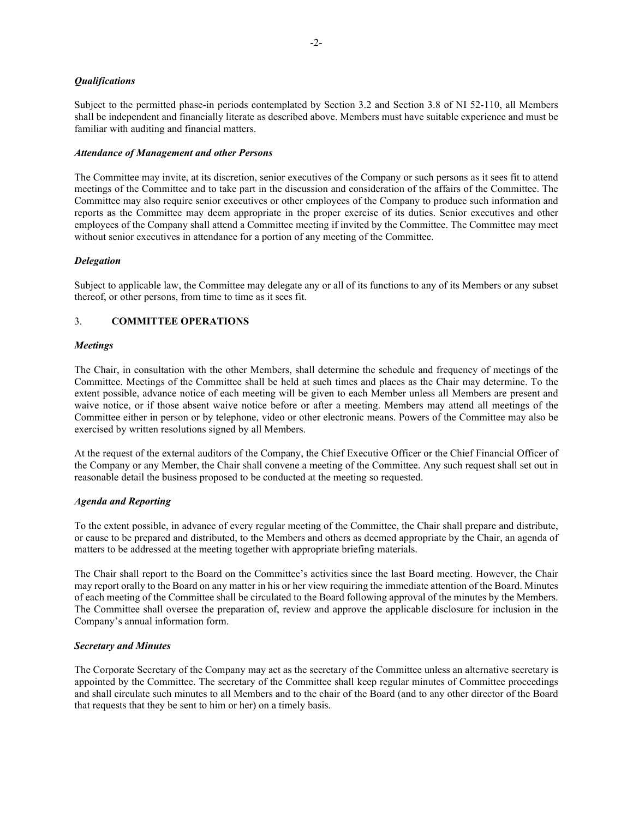# *Qualifications*

Subject to the permitted phase-in periods contemplated by Section 3.2 and Section 3.8 of NI 52-110, all Members shall be independent and financially literate as described above. Members must have suitable experience and must be familiar with auditing and financial matters.

## *Attendance of Management and other Persons*

The Committee may invite, at its discretion, senior executives of the Company or such persons as it sees fit to attend meetings of the Committee and to take part in the discussion and consideration of the affairs of the Committee. The Committee may also require senior executives or other employees of the Company to produce such information and reports as the Committee may deem appropriate in the proper exercise of its duties. Senior executives and other employees of the Company shall attend a Committee meeting if invited by the Committee. The Committee may meet without senior executives in attendance for a portion of any meeting of the Committee.

# *Delegation*

Subject to applicable law, the Committee may delegate any or all of its functions to any of its Members or any subset thereof, or other persons, from time to time as it sees fit.

# 3. **COMMITTEE OPERATIONS**

## *Meetings*

The Chair, in consultation with the other Members, shall determine the schedule and frequency of meetings of the Committee. Meetings of the Committee shall be held at such times and places as the Chair may determine. To the extent possible, advance notice of each meeting will be given to each Member unless all Members are present and waive notice, or if those absent waive notice before or after a meeting. Members may attend all meetings of the Committee either in person or by telephone, video or other electronic means. Powers of the Committee may also be exercised by written resolutions signed by all Members.

At the request of the external auditors of the Company, the Chief Executive Officer or the Chief Financial Officer of the Company or any Member, the Chair shall convene a meeting of the Committee. Any such request shall set out in reasonable detail the business proposed to be conducted at the meeting so requested.

## *Agenda and Reporting*

To the extent possible, in advance of every regular meeting of the Committee, the Chair shall prepare and distribute, or cause to be prepared and distributed, to the Members and others as deemed appropriate by the Chair, an agenda of matters to be addressed at the meeting together with appropriate briefing materials.

The Chair shall report to the Board on the Committee's activities since the last Board meeting. However, the Chair may report orally to the Board on any matter in his or her view requiring the immediate attention of the Board. Minutes of each meeting of the Committee shall be circulated to the Board following approval of the minutes by the Members. The Committee shall oversee the preparation of, review and approve the applicable disclosure for inclusion in the Company's annual information form.

# *Secretary and Minutes*

The Corporate Secretary of the Company may act as the secretary of the Committee unless an alternative secretary is appointed by the Committee. The secretary of the Committee shall keep regular minutes of Committee proceedings and shall circulate such minutes to all Members and to the chair of the Board (and to any other director of the Board that requests that they be sent to him or her) on a timely basis.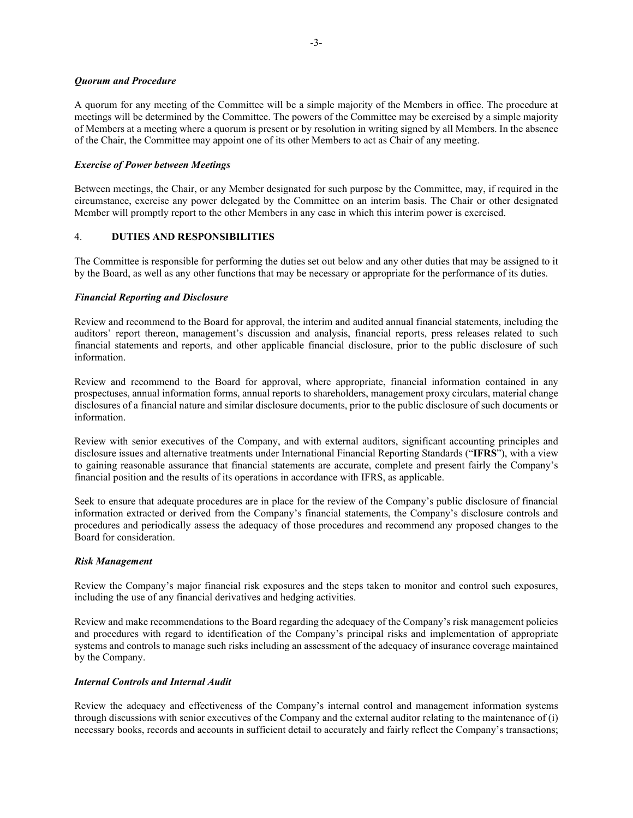## *Quorum and Procedure*

A quorum for any meeting of the Committee will be a simple majority of the Members in office. The procedure at meetings will be determined by the Committee. The powers of the Committee may be exercised by a simple majority of Members at a meeting where a quorum is present or by resolution in writing signed by all Members. In the absence of the Chair, the Committee may appoint one of its other Members to act as Chair of any meeting.

# *Exercise of Power between Meetings*

Between meetings, the Chair, or any Member designated for such purpose by the Committee, may, if required in the circumstance, exercise any power delegated by the Committee on an interim basis. The Chair or other designated Member will promptly report to the other Members in any case in which this interim power is exercised.

# 4. **DUTIES AND RESPONSIBILITIES**

The Committee is responsible for performing the duties set out below and any other duties that may be assigned to it by the Board, as well as any other functions that may be necessary or appropriate for the performance of its duties.

# *Financial Reporting and Disclosure*

Review and recommend to the Board for approval, the interim and audited annual financial statements, including the auditors' report thereon, management's discussion and analysis, financial reports, press releases related to such financial statements and reports, and other applicable financial disclosure, prior to the public disclosure of such information.

Review and recommend to the Board for approval, where appropriate, financial information contained in any prospectuses, annual information forms, annual reports to shareholders, management proxy circulars, material change disclosures of a financial nature and similar disclosure documents, prior to the public disclosure of such documents or information.

Review with senior executives of the Company, and with external auditors, significant accounting principles and disclosure issues and alternative treatments under International Financial Reporting Standards ("**IFRS**"), with a view to gaining reasonable assurance that financial statements are accurate, complete and present fairly the Company's financial position and the results of its operations in accordance with IFRS, as applicable.

Seek to ensure that adequate procedures are in place for the review of the Company's public disclosure of financial information extracted or derived from the Company's financial statements, the Company's disclosure controls and procedures and periodically assess the adequacy of those procedures and recommend any proposed changes to the Board for consideration.

# *Risk Management*

Review the Company's major financial risk exposures and the steps taken to monitor and control such exposures, including the use of any financial derivatives and hedging activities.

Review and make recommendations to the Board regarding the adequacy of the Company's risk management policies and procedures with regard to identification of the Company's principal risks and implementation of appropriate systems and controls to manage such risks including an assessment of the adequacy of insurance coverage maintained by the Company.

# *Internal Controls and Internal Audit*

Review the adequacy and effectiveness of the Company's internal control and management information systems through discussions with senior executives of the Company and the external auditor relating to the maintenance of (i) necessary books, records and accounts in sufficient detail to accurately and fairly reflect the Company's transactions;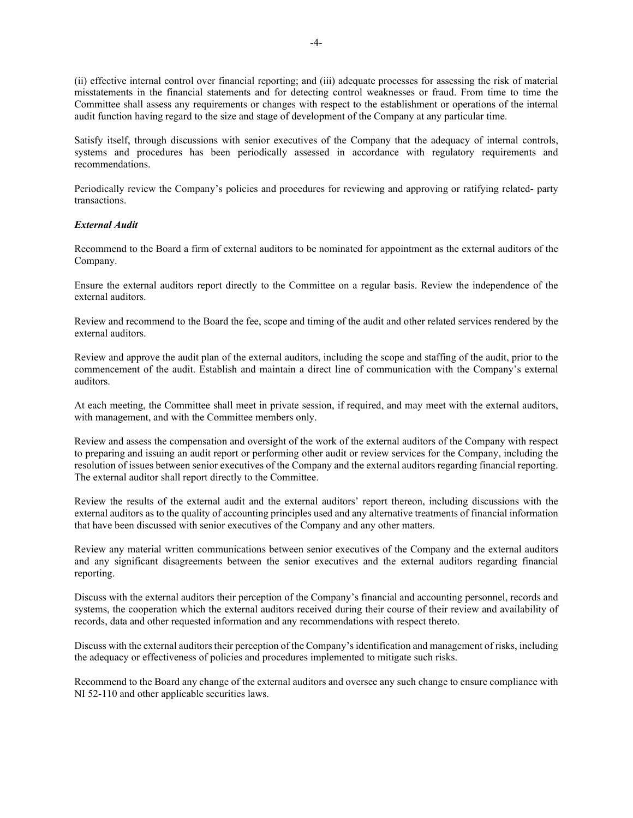(ii) effective internal control over financial reporting; and (iii) adequate processes for assessing the risk of material misstatements in the financial statements and for detecting control weaknesses or fraud. From time to time the Committee shall assess any requirements or changes with respect to the establishment or operations of the internal audit function having regard to the size and stage of development of the Company at any particular time.

Satisfy itself, through discussions with senior executives of the Company that the adequacy of internal controls, systems and procedures has been periodically assessed in accordance with regulatory requirements and recommendations.

Periodically review the Company's policies and procedures for reviewing and approving or ratifying related- party transactions.

# *External Audit*

Recommend to the Board a firm of external auditors to be nominated for appointment as the external auditors of the Company.

Ensure the external auditors report directly to the Committee on a regular basis. Review the independence of the external auditors.

Review and recommend to the Board the fee, scope and timing of the audit and other related services rendered by the external auditors.

Review and approve the audit plan of the external auditors, including the scope and staffing of the audit, prior to the commencement of the audit. Establish and maintain a direct line of communication with the Company's external auditors.

At each meeting, the Committee shall meet in private session, if required, and may meet with the external auditors, with management, and with the Committee members only.

Review and assess the compensation and oversight of the work of the external auditors of the Company with respect to preparing and issuing an audit report or performing other audit or review services for the Company, including the resolution of issues between senior executives of the Company and the external auditors regarding financial reporting. The external auditor shall report directly to the Committee.

Review the results of the external audit and the external auditors' report thereon, including discussions with the external auditors as to the quality of accounting principles used and any alternative treatments of financial information that have been discussed with senior executives of the Company and any other matters.

Review any material written communications between senior executives of the Company and the external auditors and any significant disagreements between the senior executives and the external auditors regarding financial reporting.

Discuss with the external auditors their perception of the Company's financial and accounting personnel, records and systems, the cooperation which the external auditors received during their course of their review and availability of records, data and other requested information and any recommendations with respect thereto.

Discuss with the external auditors their perception of the Company's identification and management of risks, including the adequacy or effectiveness of policies and procedures implemented to mitigate such risks.

Recommend to the Board any change of the external auditors and oversee any such change to ensure compliance with NI 52-110 and other applicable securities laws.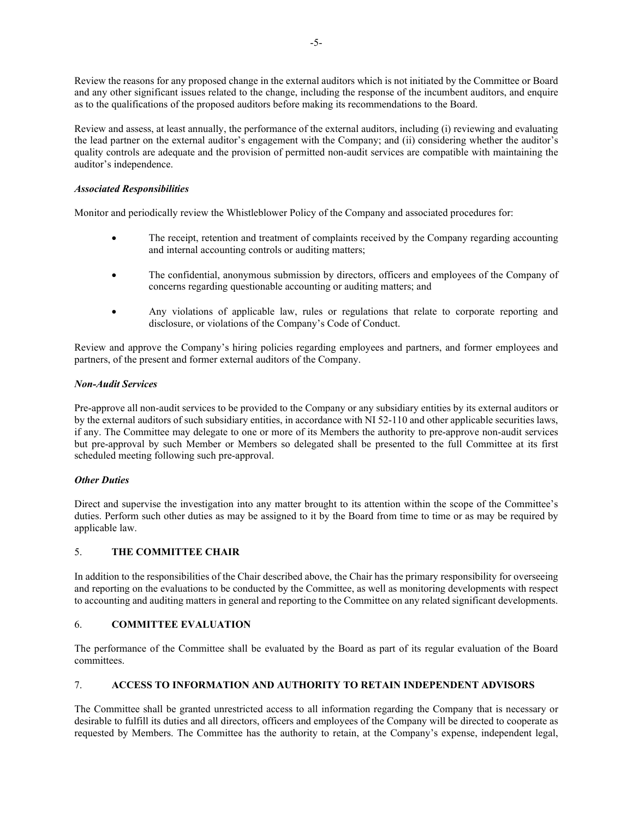Review the reasons for any proposed change in the external auditors which is not initiated by the Committee or Board and any other significant issues related to the change, including the response of the incumbent auditors, and enquire as to the qualifications of the proposed auditors before making its recommendations to the Board.

Review and assess, at least annually, the performance of the external auditors, including (i) reviewing and evaluating the lead partner on the external auditor's engagement with the Company; and (ii) considering whether the auditor's quality controls are adequate and the provision of permitted non-audit services are compatible with maintaining the auditor's independence.

# *Associated Responsibilities*

Monitor and periodically review the Whistleblower Policy of the Company and associated procedures for:

- The receipt, retention and treatment of complaints received by the Company regarding accounting and internal accounting controls or auditing matters;
- The confidential, anonymous submission by directors, officers and employees of the Company of concerns regarding questionable accounting or auditing matters; and
- Any violations of applicable law, rules or regulations that relate to corporate reporting and disclosure, or violations of the Company's Code of Conduct.

Review and approve the Company's hiring policies regarding employees and partners, and former employees and partners, of the present and former external auditors of the Company.

# *Non-Audit Services*

Pre-approve all non-audit services to be provided to the Company or any subsidiary entities by its external auditors or by the external auditors of such subsidiary entities, in accordance with NI 52-110 and other applicable securities laws, if any. The Committee may delegate to one or more of its Members the authority to pre-approve non-audit services but pre-approval by such Member or Members so delegated shall be presented to the full Committee at its first scheduled meeting following such pre-approval.

# *Other Duties*

Direct and supervise the investigation into any matter brought to its attention within the scope of the Committee's duties. Perform such other duties as may be assigned to it by the Board from time to time or as may be required by applicable law.

# 5. **THE COMMITTEE CHAIR**

In addition to the responsibilities of the Chair described above, the Chair has the primary responsibility for overseeing and reporting on the evaluations to be conducted by the Committee, as well as monitoring developments with respect to accounting and auditing matters in general and reporting to the Committee on any related significant developments.

# 6. **COMMITTEE EVALUATION**

The performance of the Committee shall be evaluated by the Board as part of its regular evaluation of the Board committees.

# 7. **ACCESS TO INFORMATION AND AUTHORITY TO RETAIN INDEPENDENT ADVISORS**

The Committee shall be granted unrestricted access to all information regarding the Company that is necessary or desirable to fulfill its duties and all directors, officers and employees of the Company will be directed to cooperate as requested by Members. The Committee has the authority to retain, at the Company's expense, independent legal,